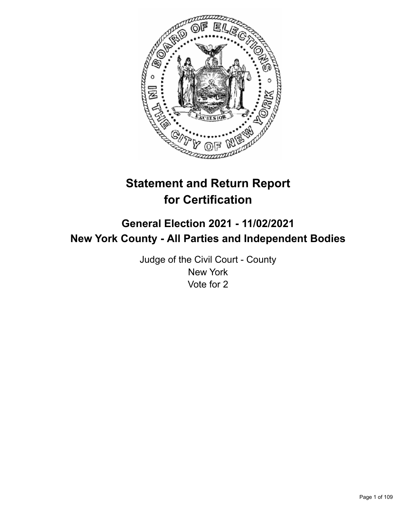

# **Statement and Return Report for Certification**

## **General Election 2021 - 11/02/2021 New York County - All Parties and Independent Bodies**

Judge of the Civil Court - County New York Vote for 2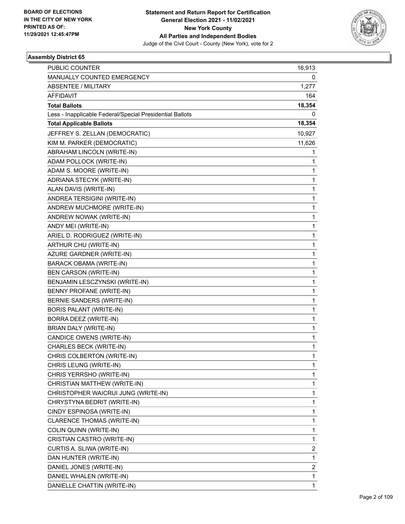

| PUBLIC COUNTER                                           | 16,913                  |
|----------------------------------------------------------|-------------------------|
| MANUALLY COUNTED EMERGENCY                               | 0                       |
| <b>ABSENTEE / MILITARY</b>                               | 1,277                   |
| AFFIDAVIT                                                | 164                     |
| <b>Total Ballots</b>                                     | 18,354                  |
| Less - Inapplicable Federal/Special Presidential Ballots | 0                       |
| <b>Total Applicable Ballots</b>                          | 18,354                  |
| JEFFREY S. ZELLAN (DEMOCRATIC)                           | 10,927                  |
| KIM M. PARKER (DEMOCRATIC)                               | 11,626                  |
| ABRAHAM LINCOLN (WRITE-IN)                               | 1                       |
| ADAM POLLOCK (WRITE-IN)                                  | 1                       |
| ADAM S. MOORE (WRITE-IN)                                 | 1                       |
| ADRIANA STECYK (WRITE-IN)                                | $\mathbf{1}$            |
| ALAN DAVIS (WRITE-IN)                                    | $\mathbf{1}$            |
| ANDREA TERSIGINI (WRITE-IN)                              | 1                       |
| ANDREW MUCHMORE (WRITE-IN)                               | $\mathbf{1}$            |
| ANDREW NOWAK (WRITE-IN)                                  | $\mathbf{1}$            |
| ANDY MEI (WRITE-IN)                                      | 1                       |
| ARIEL D. RODRIGUEZ (WRITE-IN)                            | $\mathbf{1}$            |
| ARTHUR CHU (WRITE-IN)                                    | $\mathbf{1}$            |
| AZURE GARDNER (WRITE-IN)                                 | 1                       |
| <b>BARACK OBAMA (WRITE-IN)</b>                           | $\mathbf{1}$            |
| <b>BEN CARSON (WRITE-IN)</b>                             | $\mathbf{1}$            |
| BENJAMIN LESCZYNSKI (WRITE-IN)                           | 1                       |
| <b>BENNY PROFANE (WRITE-IN)</b>                          | $\mathbf{1}$            |
| BERNIE SANDERS (WRITE-IN)                                | $\mathbf{1}$            |
| BORIS PALANT (WRITE-IN)                                  | 1                       |
| BORRA DEEZ (WRITE-IN)                                    | $\mathbf{1}$            |
| BRIAN DALY (WRITE-IN)                                    | $\mathbf{1}$            |
| CANDICE OWENS (WRITE-IN)                                 | 1                       |
| CHARLES BECK (WRITE-IN)                                  | 1                       |
| CHRIS COLBERTON (WRITE-IN)                               | 1                       |
| CHRIS LEUNG (WRITE-IN)                                   | 1                       |
| CHRIS YERRSHO (WRITE-IN)                                 | 1                       |
| CHRISTIAN MATTHEW (WRITE-IN)                             | $\mathbf{1}$            |
| CHRISTOPHER WAICRUI JUNG (WRITE-IN)                      | 1                       |
| CHRYSTYNA BEDRIT (WRITE-IN)                              | $\mathbf{1}$            |
| CINDY ESPINOSA (WRITE-IN)                                | $\mathbf{1}$            |
| CLARENCE THOMAS (WRITE-IN)                               | 1                       |
| COLIN QUINN (WRITE-IN)                                   | $\mathbf{1}$            |
| CRISTIAN CASTRO (WRITE-IN)                               | $\mathbf{1}$            |
| CURTIS A. SLIWA (WRITE-IN)                               | 2                       |
| DAN HUNTER (WRITE-IN)                                    | $\mathbf{1}$            |
| DANIEL JONES (WRITE-IN)                                  | $\overline{\mathbf{c}}$ |
| DANIEL WHALEN (WRITE-IN)                                 | 1                       |
| DANIELLE CHATTIN (WRITE-IN)                              | $\mathbf{1}$            |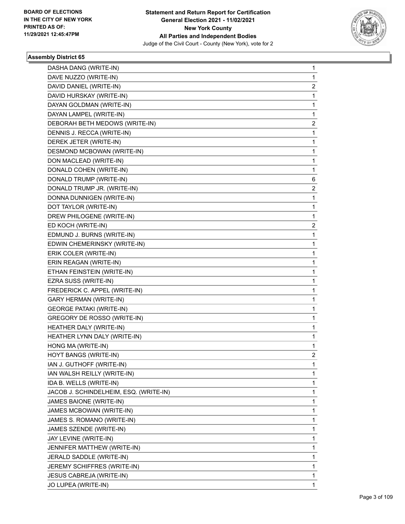

| DASHA DANG (WRITE-IN)                  | 1              |
|----------------------------------------|----------------|
| DAVE NUZZO (WRITE-IN)                  | $\mathbf{1}$   |
| DAVID DANIEL (WRITE-IN)                | 2              |
| DAVID HURSKAY (WRITE-IN)               | $\mathbf{1}$   |
| DAYAN GOLDMAN (WRITE-IN)               | 1              |
| DAYAN LAMPEL (WRITE-IN)                | 1              |
| DEBORAH BETH MEDOWS (WRITE-IN)         | $\overline{2}$ |
| DENNIS J. RECCA (WRITE-IN)             | 1              |
| DEREK JETER (WRITE-IN)                 | 1              |
| DESMOND MCBOWAN (WRITE-IN)             | $\mathbf{1}$   |
| DON MACLEAD (WRITE-IN)                 | 1              |
| DONALD COHEN (WRITE-IN)                | 1              |
| DONALD TRUMP (WRITE-IN)                | 6              |
| DONALD TRUMP JR. (WRITE-IN)            | 2              |
| DONNA DUNNIGEN (WRITE-IN)              | 1              |
| DOT TAYLOR (WRITE-IN)                  | $\mathbf{1}$   |
| DREW PHILOGENE (WRITE-IN)              | 1              |
| ED KOCH (WRITE-IN)                     | 2              |
| EDMUND J. BURNS (WRITE-IN)             | $\mathbf{1}$   |
| EDWIN CHEMERINSKY (WRITE-IN)           | 1              |
| ERIK COLER (WRITE-IN)                  | 1              |
| ERIN REAGAN (WRITE-IN)                 | $\mathbf{1}$   |
| ETHAN FEINSTEIN (WRITE-IN)             | 1              |
| EZRA SUSS (WRITE-IN)                   | 1              |
| FREDERICK C. APPEL (WRITE-IN)          | $\mathbf{1}$   |
| <b>GARY HERMAN (WRITE-IN)</b>          | 1              |
| <b>GEORGE PATAKI (WRITE-IN)</b>        | 1              |
| GREGORY DE ROSSO (WRITE-IN)            | $\mathbf{1}$   |
| HEATHER DALY (WRITE-IN)                | 1              |
| HEATHER LYNN DALY (WRITE-IN)           | 1              |
| HONG MA (WRITE-IN)                     | $\mathbf{1}$   |
| HOYT BANGS (WRITE-IN)                  | 2              |
| IAN J. GUTHOFF (WRITE-IN)              | 1              |
| IAN WALSH REILLY (WRITE-IN)            | $\mathbf{1}$   |
| IDA B. WELLS (WRITE-IN)                | $\mathbf{1}$   |
| JACOB J. SCHINDELHEIM, ESQ. (WRITE-IN) | 1              |
| JAMES BAIONE (WRITE-IN)                | $\mathbf{1}$   |
| JAMES MCBOWAN (WRITE-IN)               | 1              |
| JAMES S. ROMANO (WRITE-IN)             | 1              |
| JAMES SZENDE (WRITE-IN)                | $\mathbf{1}$   |
| JAY LEVINE (WRITE-IN)                  | $\mathbf{1}$   |
| JENNIFER MATTHEW (WRITE-IN)            | 1              |
| JERALD SADDLE (WRITE-IN)               | $\mathbf{1}$   |
| JEREMY SCHIFFRES (WRITE-IN)            | 1              |
| JESUS CABREJA (WRITE-IN)               | 1              |
| JO LUPEA (WRITE-IN)                    | 1              |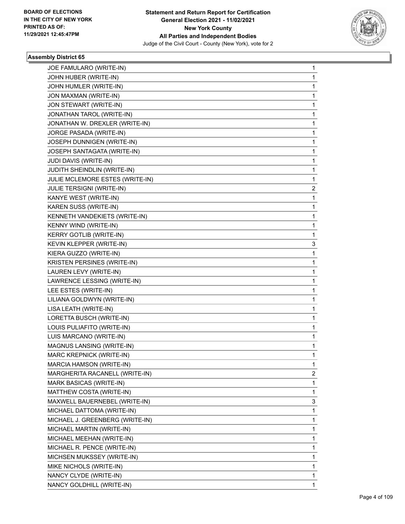

| JOE FAMULARO (WRITE-IN)         | 1 |
|---------------------------------|---|
| JOHN HUBER (WRITE-IN)           | 1 |
| JOHN HUMLER (WRITE-IN)          | 1 |
| JON MAXMAN (WRITE-IN)           | 1 |
| JON STEWART (WRITE-IN)          | 1 |
| JONATHAN TAROL (WRITE-IN)       | 1 |
| JONATHAN W. DREXLER (WRITE-IN)  | 1 |
| JORGE PASADA (WRITE-IN)         | 1 |
| JOSEPH DUNNIGEN (WRITE-IN)      | 1 |
| JOSEPH SANTAGATA (WRITE-IN)     | 1 |
| JUDI DAVIS (WRITE-IN)           | 1 |
| JUDITH SHEINDLIN (WRITE-IN)     | 1 |
| JULIE MCLEMORE ESTES (WRITE-IN) | 1 |
| JULIE TERSIGNI (WRITE-IN)       | 2 |
| KANYE WEST (WRITE-IN)           | 1 |
| KAREN SUSS (WRITE-IN)           | 1 |
| KENNETH VANDEKIETS (WRITE-IN)   | 1 |
| KENNY WIND (WRITE-IN)           | 1 |
| <b>KERRY GOTLIB (WRITE-IN)</b>  | 1 |
| KEVIN KLEPPER (WRITE-IN)        | 3 |
| KIERA GUZZO (WRITE-IN)          | 1 |
| KRISTEN PERSINES (WRITE-IN)     | 1 |
| LAUREN LEVY (WRITE-IN)          | 1 |
| LAWRENCE LESSING (WRITE-IN)     | 1 |
| LEE ESTES (WRITE-IN)            | 1 |
| LILIANA GOLDWYN (WRITE-IN)      | 1 |
| LISA LEATH (WRITE-IN)           | 1 |
| LORETTA BUSCH (WRITE-IN)        | 1 |
| LOUIS PULIAFITO (WRITE-IN)      | 1 |
| LUIS MARCANO (WRITE-IN)         | 1 |
| MAGNUS LANSING (WRITE-IN)       | 1 |
| <b>MARC KREPNICK (WRITE-IN)</b> | 1 |
| MARCIA HAMSON (WRITE-IN)        | 1 |
| MARGHERITA RACANELL (WRITE-IN)  | 2 |
| MARK BASICAS (WRITE-IN)         | 1 |
| MATTHEW COSTA (WRITE-IN)        | 1 |
| MAXWELL BAUERNEBEL (WRITE-IN)   | 3 |
| MICHAEL DATTOMA (WRITE-IN)      | 1 |
| MICHAEL J. GREENBERG (WRITE-IN) | 1 |
| MICHAEL MARTIN (WRITE-IN)       | 1 |
| MICHAEL MEEHAN (WRITE-IN)       | 1 |
| MICHAEL R. PENCE (WRITE-IN)     | 1 |
| MICHSEN MUKSSEY (WRITE-IN)      | 1 |
| MIKE NICHOLS (WRITE-IN)         | 1 |
| NANCY CLYDE (WRITE-IN)          | 1 |
| NANCY GOLDHILL (WRITE-IN)       | 1 |
|                                 |   |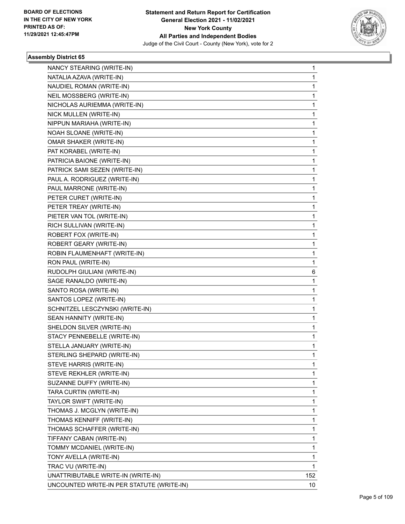

| NANCY STEARING (WRITE-IN)<br>NATALIA AZAVA (WRITE-IN)  | 1<br>1 |
|--------------------------------------------------------|--------|
| NAUDIEL ROMAN (WRITE-IN)                               | 1      |
| NEIL MOSSBERG (WRITE-IN)                               | 1      |
|                                                        |        |
| NICHOLAS AURIEMMA (WRITE-IN)<br>NICK MULLEN (WRITE-IN) | 1<br>1 |
|                                                        |        |
| NIPPUN MARIAHA (WRITE-IN)<br>NOAH SLOANE (WRITE-IN)    | 1<br>1 |
| OMAR SHAKER (WRITE-IN)                                 | 1      |
| PAT KORABEL (WRITE-IN)                                 |        |
|                                                        | 1      |
| PATRICIA BAIONE (WRITE-IN)                             | 1<br>1 |
| PATRICK SAMI SEZEN (WRITE-IN)                          |        |
| PAUL A. RODRIGUEZ (WRITE-IN)                           | 1      |
| PAUL MARRONE (WRITE-IN)                                | 1      |
| PETER CURET (WRITE-IN)                                 | 1      |
| PETER TREAY (WRITE-IN)                                 | 1      |
| PIETER VAN TOL (WRITE-IN)                              | 1      |
| RICH SULLIVAN (WRITE-IN)                               | 1      |
| ROBERT FOX (WRITE-IN)                                  | 1      |
| ROBERT GEARY (WRITE-IN)                                | 1      |
| ROBIN FLAUMENHAFT (WRITE-IN)                           | 1      |
| RON PAUL (WRITE-IN)                                    | 1      |
| RUDOLPH GIULIANI (WRITE-IN)                            | 6      |
| SAGE RANALDO (WRITE-IN)                                | 1      |
| SANTO ROSA (WRITE-IN)                                  | 1      |
| SANTOS LOPEZ (WRITE-IN)                                | 1      |
| SCHNITZEL LESCZYNSKI (WRITE-IN)                        | 1      |
| SEAN HANNITY (WRITE-IN)                                | 1      |
| SHELDON SILVER (WRITE-IN)                              | 1      |
| STACY PENNEBELLE (WRITE-IN)                            | 1      |
| STELLA JANUARY (WRITE-IN)                              | 1      |
| STERLING SHEPARD (WRITE-IN)                            | 1      |
| STEVE HARRIS (WRITE-IN)                                | 1      |
| STEVE REKHLER (WRITE-IN)                               | 1      |
| SUZANNE DUFFY (WRITE-IN)                               | 1      |
| TARA CURTIN (WRITE-IN)                                 | 1      |
| TAYLOR SWIFT (WRITE-IN)                                | 1      |
| THOMAS J. MCGLYN (WRITE-IN)                            | 1      |
| THOMAS KENNIFF (WRITE-IN)                              | 1      |
| THOMAS SCHAFFER (WRITE-IN)                             | 1      |
| TIFFANY CABAN (WRITE-IN)                               | 1      |
| TOMMY MCDANIEL (WRITE-IN)                              | 1      |
| TONY AVELLA (WRITE-IN)                                 | 1      |
| TRAC VU (WRITE-IN)                                     | 1      |
| UNATTRIBUTABLE WRITE-IN (WRITE-IN)                     | 152    |
| UNCOUNTED WRITE-IN PER STATUTE (WRITE-IN)              | 10     |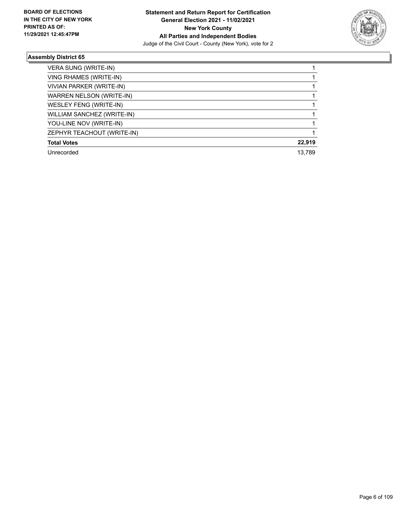

| VERA SUNG (WRITE-IN)            |        |
|---------------------------------|--------|
| VING RHAMES (WRITE-IN)          |        |
| VIVIAN PARKER (WRITE-IN)        |        |
| <b>WARREN NELSON (WRITE-IN)</b> |        |
| WESLEY FENG (WRITE-IN)          |        |
| WILLIAM SANCHEZ (WRITE-IN)      |        |
| YOU-LINE NOV (WRITE-IN)         |        |
| ZEPHYR TEACHOUT (WRITE-IN)      |        |
| <b>Total Votes</b>              | 22,919 |
| Unrecorded                      | 13.789 |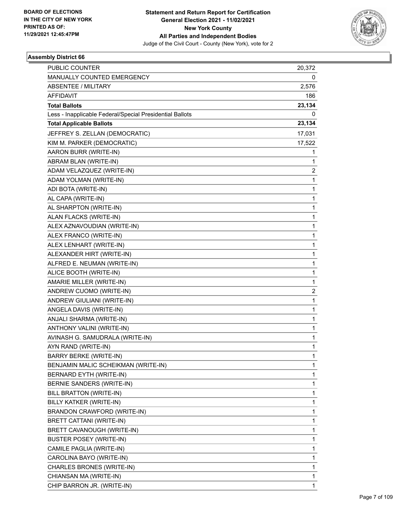

| <b>PUBLIC COUNTER</b>                                    | 20,372 |
|----------------------------------------------------------|--------|
| MANUALLY COUNTED EMERGENCY                               | 0      |
| ABSENTEE / MILITARY                                      | 2,576  |
| AFFIDAVIT                                                | 186    |
| <b>Total Ballots</b>                                     | 23,134 |
| Less - Inapplicable Federal/Special Presidential Ballots | 0      |
| <b>Total Applicable Ballots</b>                          | 23,134 |
| JEFFREY S. ZELLAN (DEMOCRATIC)                           | 17,031 |
| KIM M. PARKER (DEMOCRATIC)                               | 17,522 |
| AARON BURR (WRITE-IN)                                    | 1      |
| ABRAM BLAN (WRITE-IN)                                    | 1      |
| ADAM VELAZQUEZ (WRITE-IN)                                | 2      |
| ADAM YOLMAN (WRITE-IN)                                   | 1      |
| ADI BOTA (WRITE-IN)                                      | 1      |
| AL CAPA (WRITE-IN)                                       | 1      |
| AL SHARPTON (WRITE-IN)                                   | 1      |
| ALAN FLACKS (WRITE-IN)                                   | 1      |
| ALEX AZNAVOUDIAN (WRITE-IN)                              | 1      |
| ALEX FRANCO (WRITE-IN)                                   | 1      |
| ALEX LENHART (WRITE-IN)                                  | 1      |
| ALEXANDER HIRT (WRITE-IN)                                | 1      |
| ALFRED E. NEUMAN (WRITE-IN)                              | 1      |
| ALICE BOOTH (WRITE-IN)                                   | 1      |
| AMARIE MILLER (WRITE-IN)                                 | 1      |
| ANDREW CUOMO (WRITE-IN)                                  | 2      |
| ANDREW GIULIANI (WRITE-IN)                               | 1      |
| ANGELA DAVIS (WRITE-IN)                                  | 1      |
| ANJALI SHARMA (WRITE-IN)                                 | 1      |
| ANTHONY VALINI (WRITE-IN)                                | 1      |
| AVINASH G. SAMUDRALA (WRITE-IN)                          | 1      |
| AYN RAND (WRITE-IN)                                      | 1      |
| <b>BARRY BERKE (WRITE-IN)</b>                            | 1      |
| BENJAMIN MALIC SCHEIKMAN (WRITE-IN)                      | 1      |
| BERNARD EYTH (WRITE-IN)                                  | 1      |
| BERNIE SANDERS (WRITE-IN)                                | 1      |
| BILL BRATTON (WRITE-IN)                                  | 1      |
| BILLY KATKER (WRITE-IN)                                  | 1      |
| BRANDON CRAWFORD (WRITE-IN)                              | 1      |
| <b>BRETT CATTANI (WRITE-IN)</b>                          | 1      |
| BRETT CAVANOUGH (WRITE-IN)                               | 1      |
| BUSTER POSEY (WRITE-IN)                                  | 1      |
| CAMILE PAGLIA (WRITE-IN)                                 | 1      |
| CAROLINA BAYO (WRITE-IN)                                 | 1      |
| CHARLES BRONES (WRITE-IN)                                | 1      |
| CHIANSAN MA (WRITE-IN)                                   | 1      |
| CHIP BARRON JR. (WRITE-IN)                               | 1      |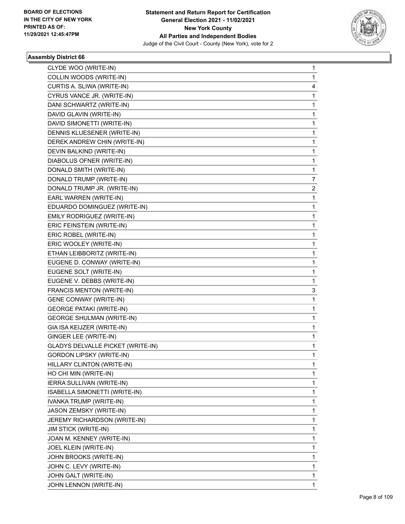

| CLYDE WOO (WRITE-IN)                     | 1 |
|------------------------------------------|---|
| COLLIN WOODS (WRITE-IN)                  | 1 |
| CURTIS A. SLIWA (WRITE-IN)               | 4 |
| CYRUS VANCE JR. (WRITE-IN)               | 1 |
| DANI SCHWARTZ (WRITE-IN)                 | 1 |
| DAVID GLAVIN (WRITE-IN)                  | 1 |
| DAVID SIMONETTI (WRITE-IN)               | 1 |
| DENNIS KLUESENER (WRITE-IN)              | 1 |
| DEREK ANDREW CHIN (WRITE-IN)             | 1 |
| DEVIN BALKIND (WRITE-IN)                 | 1 |
| DIABOLUS OFNER (WRITE-IN)                | 1 |
| DONALD SMITH (WRITE-IN)                  | 1 |
| DONALD TRUMP (WRITE-IN)                  | 7 |
| DONALD TRUMP JR. (WRITE-IN)              | 2 |
| EARL WARREN (WRITE-IN)                   | 1 |
| EDUARDO DOMINGUEZ (WRITE-IN)             | 1 |
| EMILY RODRIGUEZ (WRITE-IN)               | 1 |
| ERIC FEINSTEIN (WRITE-IN)                | 1 |
| ERIC ROBEL (WRITE-IN)                    | 1 |
| ERIC WOOLEY (WRITE-IN)                   | 1 |
| ETHAN LEIBBORITZ (WRITE-IN)              | 1 |
| EUGENE D. CONWAY (WRITE-IN)              | 1 |
| EUGENE SOLT (WRITE-IN)                   | 1 |
| EUGENE V. DEBBS (WRITE-IN)               | 1 |
| FRANCIS MENTON (WRITE-IN)                | 3 |
| <b>GENE CONWAY (WRITE-IN)</b>            | 1 |
| <b>GEORGE PATAKI (WRITE-IN)</b>          | 1 |
| <b>GEORGE SHULMAN (WRITE-IN)</b>         | 1 |
| GIA ISA KEIJZER (WRITE-IN)               | 1 |
| GINGER LEE (WRITE-IN)                    | 1 |
| <b>GLADYS DELVALLE PICKET (WRITE-IN)</b> | 1 |
| <b>GORDON LIPSKY (WRITE-IN)</b>          | 1 |
| HILLARY CLINTON (WRITE-IN)               | 1 |
| HO CHI MIN (WRITE-IN)                    | 1 |
| IERRA SULLIVAN (WRITE-IN)                | 1 |
| ISABELLA SIMONETTI (WRITE-IN)            | 1 |
| IVANKA TRUMP (WRITE-IN)                  | 1 |
| JASON ZEMSKY (WRITE-IN)                  | 1 |
| JEREMY RICHARDSON (WRITE-IN)             | 1 |
| <b>JIM STICK (WRITE-IN)</b>              | 1 |
| JOAN M. KENNEY (WRITE-IN)                | 1 |
| JOEL KLEIN (WRITE-IN)                    | 1 |
| JOHN BROOKS (WRITE-IN)                   | 1 |
| JOHN C. LEVY (WRITE-IN)                  | 1 |
| JOHN GALT (WRITE-IN)                     | 1 |
| JOHN LENNON (WRITE-IN)                   | 1 |
|                                          |   |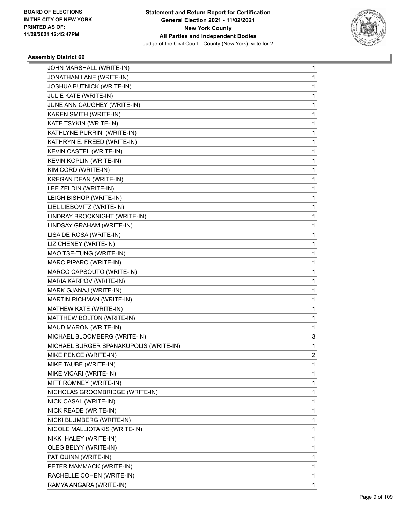

| JOHN MARSHALL (WRITE-IN)               | 1              |
|----------------------------------------|----------------|
| JONATHAN LANE (WRITE-IN)               | 1              |
| <b>JOSHUA BUTNICK (WRITE-IN)</b>       | 1              |
| JULIE KATE (WRITE-IN)                  | 1              |
| JUNE ANN CAUGHEY (WRITE-IN)            | 1              |
| KAREN SMITH (WRITE-IN)                 | 1              |
| KATE TSYKIN (WRITE-IN)                 | 1              |
| KATHLYNE PURRINI (WRITE-IN)            | 1              |
| KATHRYN E. FREED (WRITE-IN)            | 1              |
| KEVIN CASTEL (WRITE-IN)                | 1              |
| KEVIN KOPLIN (WRITE-IN)                | 1              |
| KIM CORD (WRITE-IN)                    | 1              |
| <b>KREGAN DEAN (WRITE-IN)</b>          | 1              |
| LEE ZELDIN (WRITE-IN)                  | 1              |
| LEIGH BISHOP (WRITE-IN)                | 1              |
| LIEL LIEBOVITZ (WRITE-IN)              | 1              |
| LINDRAY BROCKNIGHT (WRITE-IN)          | 1              |
| LINDSAY GRAHAM (WRITE-IN)              | 1              |
| LISA DE ROSA (WRITE-IN)                | 1              |
| LIZ CHENEY (WRITE-IN)                  | 1              |
| MAO TSE-TUNG (WRITE-IN)                | 1              |
| MARC PIPARO (WRITE-IN)                 | 1              |
| MARCO CAPSOUTO (WRITE-IN)              | 1              |
| MARIA KARPOV (WRITE-IN)                | 1              |
| MARK GJANAJ (WRITE-IN)                 | 1              |
| MARTIN RICHMAN (WRITE-IN)              | 1              |
| MATHEW KATE (WRITE-IN)                 | 1              |
| MATTHEW BOLTON (WRITE-IN)              | 1              |
| MAUD MARON (WRITE-IN)                  | 1              |
| MICHAEL BLOOMBERG (WRITE-IN)           | 3              |
| MICHAEL BURGER SPANAKUPOLIS (WRITE-IN) | 1              |
| MIKE PENCE (WRITE-IN)                  | $\overline{2}$ |
| MIKE TAUBE (WRITE-IN)                  | 1              |
| MIKE VICARI (WRITE-IN)                 | 1              |
| MITT ROMNEY (WRITE-IN)                 | 1              |
| NICHOLAS GROOMBRIDGE (WRITE-IN)        | 1              |
| NICK CASAL (WRITE-IN)                  | 1              |
| NICK READE (WRITE-IN)                  | 1              |
| NICKI BLUMBERG (WRITE-IN)              | 1              |
| NICOLE MALLIOTAKIS (WRITE-IN)          | 1              |
| NIKKI HALEY (WRITE-IN)                 | 1              |
| OLEG BELYY (WRITE-IN)                  | 1              |
| PAT QUINN (WRITE-IN)                   | 1              |
| PETER MAMMACK (WRITE-IN)               | 1              |
| RACHELLE COHEN (WRITE-IN)              | 1              |
| RAMYA ANGARA (WRITE-IN)                | 1              |
|                                        |                |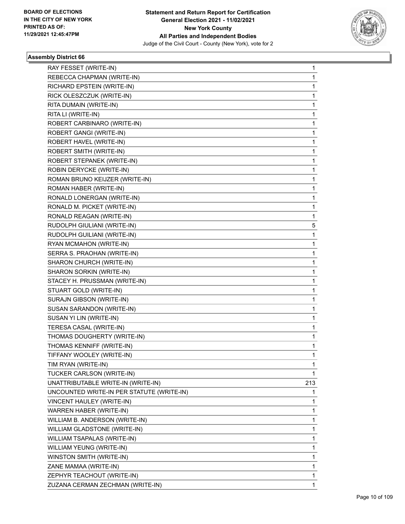

| RAY FESSET (WRITE-IN)                     | 1            |
|-------------------------------------------|--------------|
| REBECCA CHAPMAN (WRITE-IN)                | $\mathbf{1}$ |
| RICHARD EPSTEIN (WRITE-IN)                | 1            |
| RICK OLESZCZUK (WRITE-IN)                 | $\mathbf{1}$ |
| RITA DUMAIN (WRITE-IN)                    | 1            |
| RITA LI (WRITE-IN)                        | 1            |
| ROBERT CARBINARO (WRITE-IN)               | $\mathbf{1}$ |
| ROBERT GANGI (WRITE-IN)                   | $\mathbf{1}$ |
| ROBERT HAVEL (WRITE-IN)                   | 1            |
| ROBERT SMITH (WRITE-IN)                   | $\mathbf{1}$ |
| ROBERT STEPANEK (WRITE-IN)                | 1            |
| ROBIN DERYCKE (WRITE-IN)                  | 1            |
| ROMAN BRUNO KEIJZER (WRITE-IN)            | $\mathbf{1}$ |
| ROMAN HABER (WRITE-IN)                    | 1            |
| RONALD LONERGAN (WRITE-IN)                | 1            |
| RONALD M. PICKET (WRITE-IN)               | $\mathbf{1}$ |
| RONALD REAGAN (WRITE-IN)                  | 1            |
| RUDOLPH GIULIANI (WRITE-IN)               | 5            |
| RUDOLPH GUILIANI (WRITE-IN)               | $\mathbf{1}$ |
| RYAN MCMAHON (WRITE-IN)                   | 1            |
| SERRA S. PRAOHAN (WRITE-IN)               | 1            |
| SHARON CHURCH (WRITE-IN)                  | $\mathbf{1}$ |
| SHARON SORKIN (WRITE-IN)                  | 1            |
| STACEY H. PRUSSMAN (WRITE-IN)             | 1            |
| STUART GOLD (WRITE-IN)                    | $\mathbf{1}$ |
| SURAJN GIBSON (WRITE-IN)                  | 1            |
| SUSAN SARANDON (WRITE-IN)                 | 1            |
| SUSAN YI LIN (WRITE-IN)                   | $\mathbf{1}$ |
| TERESA CASAL (WRITE-IN)                   | 1            |
| THOMAS DOUGHERTY (WRITE-IN)               | 1            |
| THOMAS KENNIFF (WRITE-IN)                 | $\mathbf{1}$ |
| TIFFANY WOOLEY (WRITE-IN)                 | 1            |
| TIM RYAN (WRITE-IN)                       | 1            |
| TUCKER CARLSON (WRITE-IN)                 | 1            |
| UNATTRIBUTABLE WRITE-IN (WRITE-IN)        | 213          |
| UNCOUNTED WRITE-IN PER STATUTE (WRITE-IN) | 1.           |
| VINCENT HAULEY (WRITE-IN)                 | $\mathbf{1}$ |
| WARREN HABER (WRITE-IN)                   | 1            |
| WILLIAM B. ANDERSON (WRITE-IN)            | 1            |
| WILLIAM GLADSTONE (WRITE-IN)              | $\mathbf{1}$ |
| WILLIAM TSAPALAS (WRITE-IN)               | $\mathbf{1}$ |
| WILLIAM YEUNG (WRITE-IN)                  | 1            |
| WINSTON SMITH (WRITE-IN)                  | $\mathbf{1}$ |
| ZANE MAMAA (WRITE-IN)                     | 1            |
| ZEPHYR TEACHOUT (WRITE-IN)                | 1            |
| ZUZANA CERMAN ZECHMAN (WRITE-IN)          | 1            |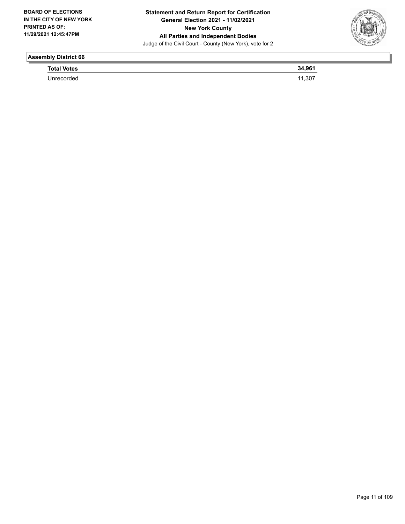

| <b>Total Votes</b> | $\alpha$       |
|--------------------|----------------|
|                    | . 20-<br>. יש. |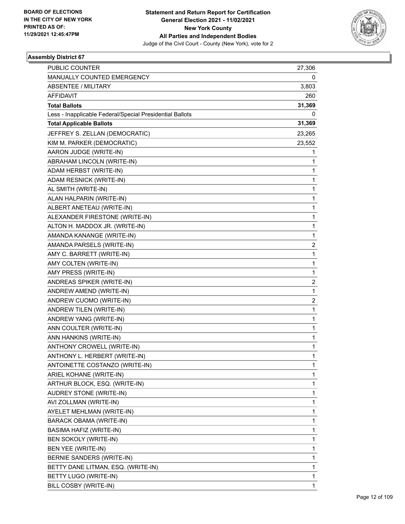

| <b>PUBLIC COUNTER</b>                                    | 27,306                  |
|----------------------------------------------------------|-------------------------|
| MANUALLY COUNTED EMERGENCY                               | 0                       |
| <b>ABSENTEE / MILITARY</b>                               | 3,803                   |
| AFFIDAVIT                                                | 260                     |
| <b>Total Ballots</b>                                     | 31,369                  |
| Less - Inapplicable Federal/Special Presidential Ballots | 0                       |
| <b>Total Applicable Ballots</b>                          | 31,369                  |
| JEFFREY S. ZELLAN (DEMOCRATIC)                           | 23,265                  |
| KIM M. PARKER (DEMOCRATIC)                               | 23,552                  |
| AARON JUDGE (WRITE-IN)                                   | 1                       |
| ABRAHAM LINCOLN (WRITE-IN)                               | 1                       |
| ADAM HERBST (WRITE-IN)                                   | 1                       |
| ADAM RESNICK (WRITE-IN)                                  | 1                       |
| AL SMITH (WRITE-IN)                                      | 1                       |
| ALAN HALPARIN (WRITE-IN)                                 | 1                       |
| ALBERT ANETEAU (WRITE-IN)                                | 1                       |
| ALEXANDER FIRESTONE (WRITE-IN)                           | 1                       |
| ALTON H. MADDOX JR. (WRITE-IN)                           | 1                       |
| AMANDA KANANGE (WRITE-IN)                                | 1                       |
| AMANDA PARSELS (WRITE-IN)                                | 2                       |
| AMY C. BARRETT (WRITE-IN)                                | 1                       |
| AMY COLTEN (WRITE-IN)                                    | 1                       |
| AMY PRESS (WRITE-IN)                                     | 1                       |
| ANDREAS SPIKER (WRITE-IN)                                | $\overline{\mathbf{c}}$ |
| ANDREW AMEND (WRITE-IN)                                  | 1                       |
| ANDREW CUOMO (WRITE-IN)                                  | 2                       |
| ANDREW TILEN (WRITE-IN)                                  | 1                       |
| ANDREW YANG (WRITE-IN)                                   | 1                       |
| ANN COULTER (WRITE-IN)                                   | 1                       |
| ANN HANKINS (WRITE-IN)                                   | 1                       |
| ANTHONY CROWELL (WRITE-IN)                               | 1                       |
| ANTHONY L. HERBERT (WRITE-IN)                            | 1                       |
| ANTOINETTE COSTANZO (WRITE-IN)                           | 1                       |
| ARIEL KOHANE (WRITE-IN)                                  | 1                       |
| ARTHUR BLOCK, ESQ. (WRITE-IN)                            | 1                       |
| AUDREY STONE (WRITE-IN)                                  | 1                       |
| AVI ZOLLMAN (WRITE-IN)                                   | 1                       |
| AYELET MEHLMAN (WRITE-IN)                                | 1                       |
| BARACK OBAMA (WRITE-IN)                                  | 1                       |
| BASIMA HAFIZ (WRITE-IN)                                  | 1                       |
| BEN SOKOLY (WRITE-IN)                                    | 1                       |
| BEN YEE (WRITE-IN)                                       | 1                       |
| BERNIE SANDERS (WRITE-IN)                                | 1                       |
| BETTY DANE LITMAN, ESQ. (WRITE-IN)                       | 1                       |
| BETTY LUGO (WRITE-IN)                                    | 1                       |
| BILL COSBY (WRITE-IN)                                    | 1                       |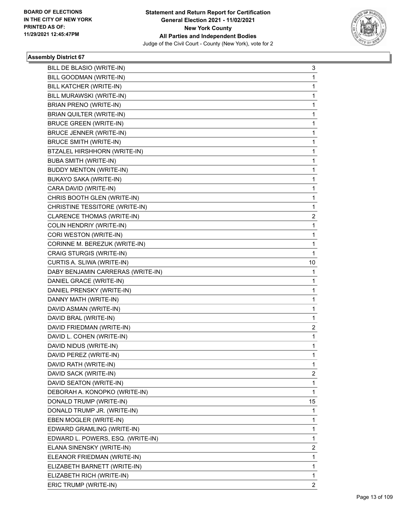

| BILL DE BLASIO (WRITE-IN)         | 3            |
|-----------------------------------|--------------|
| BILL GOODMAN (WRITE-IN)           | 1            |
| BILL KATCHER (WRITE-IN)           | 1            |
| BILL MURAWSKI (WRITE-IN)          | 1            |
| BRIAN PRENO (WRITE-IN)            | 1            |
| BRIAN QUILTER (WRITE-IN)          | 1            |
| <b>BRUCE GREEN (WRITE-IN)</b>     | 1            |
| <b>BRUCE JENNER (WRITE-IN)</b>    | 1            |
| <b>BRUCE SMITH (WRITE-IN)</b>     | 1            |
| BTZALEL HIRSHHORN (WRITE-IN)      | 1            |
| <b>BUBA SMITH (WRITE-IN)</b>      | 1            |
| <b>BUDDY MENTON (WRITE-IN)</b>    | 1            |
| BUKAYO SAKA (WRITE-IN)            | 1            |
| CARA DAVID (WRITE-IN)             | 1            |
| CHRIS BOOTH GLEN (WRITE-IN)       | 1            |
| CHRISTINE TESSITORE (WRITE-IN)    | 1            |
| CLARENCE THOMAS (WRITE-IN)        | 2            |
| COLIN HENDRIY (WRITE-IN)          | 1            |
| CORI WESTON (WRITE-IN)            | 1            |
| CORINNE M. BEREZUK (WRITE-IN)     | 1            |
| CRAIG STURGIS (WRITE-IN)          | $\mathbf{1}$ |
| CURTIS A. SLIWA (WRITE-IN)        | 10           |
| DABY BENJAMIN CARRERAS (WRITE-IN) | 1            |
| DANIEL GRACE (WRITE-IN)           | 1            |
| DANIEL PRENSKY (WRITE-IN)         | 1            |
| DANNY MATH (WRITE-IN)             | 1            |
| DAVID ASMAN (WRITE-IN)            | 1            |
| DAVID BRAL (WRITE-IN)             | 1            |
| DAVID FRIEDMAN (WRITE-IN)         | 2            |
| DAVID L. COHEN (WRITE-IN)         | 1            |
| DAVID NIDUS (WRITE-IN)            | 1            |
| DAVID PEREZ (WRITE-IN)            | $\mathbf{1}$ |
| DAVID RATH (WRITE-IN)             | 1            |
| DAVID SACK (WRITE-IN)             | 2            |
| DAVID SEATON (WRITE-IN)           | 1            |
| DEBORAH A. KONOPKO (WRITE-IN)     | 1            |
| DONALD TRUMP (WRITE-IN)           | 15           |
| DONALD TRUMP JR. (WRITE-IN)       | 1            |
| EBEN MOGLER (WRITE-IN)            | 1            |
| EDWARD GRAMLING (WRITE-IN)        | 1            |
|                                   |              |
| EDWARD L. POWERS, ESQ. (WRITE-IN) | 1            |
| ELANA SINENSKY (WRITE-IN)         | 2            |
| ELEANOR FRIEDMAN (WRITE-IN)       | 1            |
| ELIZABETH BARNETT (WRITE-IN)      | 1            |
| ELIZABETH RICH (WRITE-IN)         | 1            |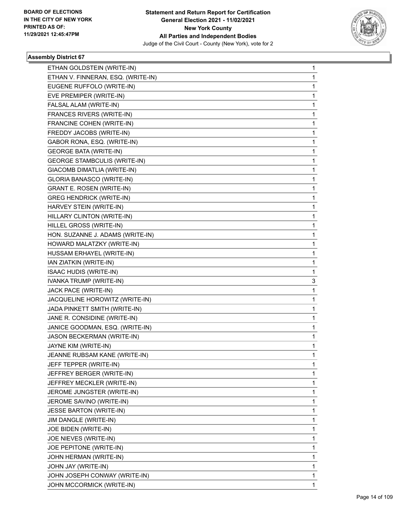

| ETHAN GOLDSTEIN (WRITE-IN)          | 1            |
|-------------------------------------|--------------|
| ETHAN V. FINNERAN, ESQ. (WRITE-IN)  | $\mathbf{1}$ |
| EUGENE RUFFOLO (WRITE-IN)           | 1            |
| EVE PREMIPER (WRITE-IN)             | $\mathbf{1}$ |
| FALSAL ALAM (WRITE-IN)              | 1            |
| FRANCES RIVERS (WRITE-IN)           | 1            |
| FRANCINE COHEN (WRITE-IN)           | $\mathbf{1}$ |
| FREDDY JACOBS (WRITE-IN)            | 1            |
| GABOR RONA, ESQ. (WRITE-IN)         | 1            |
| <b>GEORGE BATA (WRITE-IN)</b>       | $\mathbf{1}$ |
| <b>GEORGE STAMBCULIS (WRITE-IN)</b> | 1            |
| GIACOMB DIMATLIA (WRITE-IN)         | 1            |
| GLORIA BANASCO (WRITE-IN)           | $\mathbf{1}$ |
| <b>GRANT E. ROSEN (WRITE-IN)</b>    | 1            |
| <b>GREG HENDRICK (WRITE-IN)</b>     | 1            |
| HARVEY STEIN (WRITE-IN)             | $\mathbf{1}$ |
| HILLARY CLINTON (WRITE-IN)          | 1            |
| HILLEL GROSS (WRITE-IN)             | 1            |
| HON. SUZANNE J. ADAMS (WRITE-IN)    | $\mathbf{1}$ |
| HOWARD MALATZKY (WRITE-IN)          | 1            |
| HUSSAM ERHAYEL (WRITE-IN)           | 1            |
| IAN ZIATKIN (WRITE-IN)              | $\mathbf{1}$ |
| <b>ISAAC HUDIS (WRITE-IN)</b>       | 1            |
| IVANKA TRUMP (WRITE-IN)             | 3            |
| JACK PACE (WRITE-IN)                | $\mathbf{1}$ |
| JACQUELINE HOROWITZ (WRITE-IN)      | 1            |
| JADA PINKETT SMITH (WRITE-IN)       | 1            |
| JANE R. CONSIDINE (WRITE-IN)        | $\mathbf{1}$ |
| JANICE GOODMAN, ESQ. (WRITE-IN)     | 1            |
| JASON BECKERMAN (WRITE-IN)          | 1            |
| JAYNE KIM (WRITE-IN)                | $\mathbf{1}$ |
| JEANNE RUBSAM KANE (WRITE-IN)       | 1            |
| JEFF TEPPER (WRITE-IN)              | 1            |
| JEFFREY BERGER (WRITE-IN)           | $\mathbf{1}$ |
| JEFFREY MECKLER (WRITE-IN)          | $\mathbf{1}$ |
| JEROME JUNGSTER (WRITE-IN)          | 1            |
| JEROME SAVINO (WRITE-IN)            | $\mathbf{1}$ |
| <b>JESSE BARTON (WRITE-IN)</b>      | 1            |
| JIM DANGLE (WRITE-IN)               | 1            |
| JOE BIDEN (WRITE-IN)                | $\mathbf{1}$ |
| JOE NIEVES (WRITE-IN)               | $\mathbf{1}$ |
| JOE PEPITONE (WRITE-IN)             | 1            |
| JOHN HERMAN (WRITE-IN)              | $\mathbf{1}$ |
| JOHN JAY (WRITE-IN)                 | 1            |
| JOHN JOSEPH CONWAY (WRITE-IN)       | 1            |
| JOHN MCCORMICK (WRITE-IN)           | $\mathbf{1}$ |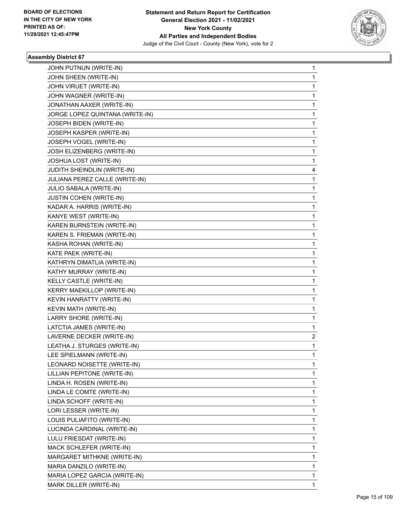

| JOHN PUTNUN (WRITE-IN)          | $\mathbf{1}$   |
|---------------------------------|----------------|
| JOHN SHEEN (WRITE-IN)           | $\mathbf{1}$   |
| JOHN VIRUET (WRITE-IN)          | 1              |
| JOHN WAGNER (WRITE-IN)          | $\mathbf{1}$   |
| JONATHAN AAXER (WRITE-IN)       | 1              |
| JORGE LOPEZ QUINTANA (WRITE-IN) | 1              |
| JOSEPH BIDEN (WRITE-IN)         | $\mathbf{1}$   |
| JOSEPH KASPER (WRITE-IN)        | 1              |
| JOSEPH VOGEL (WRITE-IN)         | 1              |
| JOSH ELIZENBERG (WRITE-IN)      | $\mathbf{1}$   |
| JOSHUA LOST (WRITE-IN)          | 1              |
| JUDITH SHEINDLIN (WRITE-IN)     | 4              |
| JULIANA PEREZ CALLE (WRITE-IN)  | 1              |
| JULIO SABALA (WRITE-IN)         | 1              |
| <b>JUSTIN COHEN (WRITE-IN)</b>  | 1              |
| KADAR A. HARRIS (WRITE-IN)      | $\mathbf 1$    |
| KANYE WEST (WRITE-IN)           | $\mathbf{1}$   |
| KAREN BURNSTEIN (WRITE-IN)      | 1              |
| KAREN S. FRIEMAN (WRITE-IN)     | $\mathbf 1$    |
| KASHA ROHAN (WRITE-IN)          | $\mathbf{1}$   |
| KATE PAEK (WRITE-IN)            | 1              |
| KATHRYN DIMATLIA (WRITE-IN)     | $\mathbf 1$    |
| KATHY MURRAY (WRITE-IN)         | $\mathbf{1}$   |
| KELLY CASTLE (WRITE-IN)         | 1              |
| KERRY MAEKILLOP (WRITE-IN)      | $\mathbf 1$    |
| KEVIN HANRATTY (WRITE-IN)       | $\mathbf{1}$   |
| KEVIN MATH (WRITE-IN)           | 1              |
| LARRY SHORE (WRITE-IN)          | $\mathbf 1$    |
| LATCTIA JAMES (WRITE-IN)        | 1              |
| LAVERNE DECKER (WRITE-IN)       | $\overline{2}$ |
| LEATHA J. STURGES (WRITE-IN)    | $\mathbf 1$    |
| LEE SPIELMANN (WRITE-IN)        | $\mathbf 1$    |
| LEONARD NOISETTE (WRITE-IN)     | 1              |
| LILLIAN PEPITONE (WRITE-IN)     | 1              |
| LINDA H. ROSEN (WRITE-IN)       | 1              |
| LINDA LE COMTE (WRITE-IN)       | 1              |
| LINDA SCHOFF (WRITE-IN)         | 1              |
| LORI LESSER (WRITE-IN)          | 1              |
| LOUIS PULIAFITO (WRITE-IN)      | 1              |
| LUCINDA CARDINAL (WRITE-IN)     | 1              |
| LULU FRIESDAT (WRITE-IN)        | 1              |
| MACK SCHLEFER (WRITE-IN)        | 1              |
| MARGARET MITHKNE (WRITE-IN)     | 1              |
| MARIA DANZILO (WRITE-IN)        | 1              |
| MARIA LOPEZ GARCIA (WRITE-IN)   | 1              |
| MARK DILLER (WRITE-IN)          | 1              |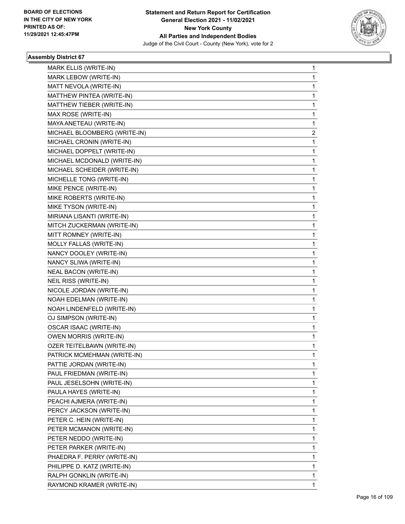

| MARK ELLIS (WRITE-IN)         | 1 |
|-------------------------------|---|
| MARK LEBOW (WRITE-IN)         | 1 |
| MATT NEVOLA (WRITE-IN)        | 1 |
| MATTHEW PINTEA (WRITE-IN)     | 1 |
| MATTHEW TIEBER (WRITE-IN)     | 1 |
| MAX ROSE (WRITE-IN)           | 1 |
| MAYA ANETEAU (WRITE-IN)       | 1 |
| MICHAEL BLOOMBERG (WRITE-IN)  | 2 |
| MICHAEL CRONIN (WRITE-IN)     | 1 |
| MICHAEL DOPPELT (WRITE-IN)    | 1 |
| MICHAEL MCDONALD (WRITE-IN)   | 1 |
| MICHAEL SCHEIDER (WRITE-IN)   | 1 |
| MICHELLE TONG (WRITE-IN)      | 1 |
| MIKE PENCE (WRITE-IN)         | 1 |
| MIKE ROBERTS (WRITE-IN)       | 1 |
| MIKE TYSON (WRITE-IN)         | 1 |
| MIRIANA LISANTI (WRITE-IN)    | 1 |
| MITCH ZUCKERMAN (WRITE-IN)    | 1 |
| MITT ROMNEY (WRITE-IN)        | 1 |
| MOLLY FALLAS (WRITE-IN)       | 1 |
| NANCY DOOLEY (WRITE-IN)       | 1 |
| NANCY SLIWA (WRITE-IN)        | 1 |
| <b>NEAL BACON (WRITE-IN)</b>  | 1 |
| NEIL RISS (WRITE-IN)          | 1 |
| NICOLE JORDAN (WRITE-IN)      | 1 |
| NOAH EDELMAN (WRITE-IN)       | 1 |
| NOAH LINDENFELD (WRITE-IN)    | 1 |
| OJ SIMPSON (WRITE-IN)         | 1 |
| OSCAR ISAAC (WRITE-IN)        | 1 |
| <b>OWEN MORRIS (WRITE-IN)</b> | 1 |
| OZER TEITELBAWN (WRITE-IN)    | 1 |
| PATRICK MCMEHMAN (WRITE-IN)   | 1 |
| PATTIE JORDAN (WRITE-IN)      | 1 |
| PAUL FRIEDMAN (WRITE-IN)      | 1 |
| PAUL JESELSOHN (WRITE-IN)     | 1 |
| PAULA HAYES (WRITE-IN)        | 1 |
| PEACHI AJMERA (WRITE-IN)      | 1 |
| PERCY JACKSON (WRITE-IN)      | 1 |
| PETER C. HEIN (WRITE-IN)      | 1 |
| PETER MCMANON (WRITE-IN)      | 1 |
| PETER NEDDO (WRITE-IN)        | 1 |
| PETER PARKER (WRITE-IN)       | 1 |
| PHAEDRA F. PERRY (WRITE-IN)   | 1 |
| PHILIPPE D. KATZ (WRITE-IN)   | 1 |
| RALPH GONKLIN (WRITE-IN)      | 1 |
| RAYMOND KRAMER (WRITE-IN)     | 1 |
|                               |   |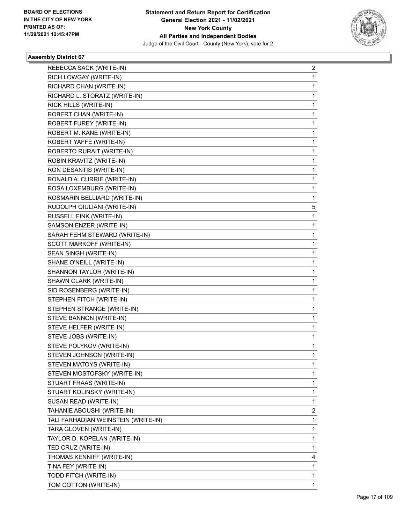

| REBECCA SACK (WRITE-IN)             | 2 |
|-------------------------------------|---|
| RICH LOWGAY (WRITE-IN)              | 1 |
| RICHARD CHAN (WRITE-IN)             | 1 |
| RICHARD L. STORATZ (WRITE-IN)       | 1 |
| RICK HILLS (WRITE-IN)               | 1 |
| ROBERT CHAN (WRITE-IN)              | 1 |
| ROBERT FUREY (WRITE-IN)             | 1 |
| ROBERT M. KANE (WRITE-IN)           | 1 |
| ROBERT YAFFE (WRITE-IN)             | 1 |
| ROBERTO RURAIT (WRITE-IN)           | 1 |
| ROBIN KRAVITZ (WRITE-IN)            | 1 |
| RON DESANTIS (WRITE-IN)             | 1 |
| RONALD A. CURRIE (WRITE-IN)         | 1 |
| ROSA LOXEMBURG (WRITE-IN)           | 1 |
| ROSMARIN BELLIARD (WRITE-IN)        | 1 |
| RUDOLPH GIULIANI (WRITE-IN)         | 5 |
| RUSSELL FINK (WRITE-IN)             | 1 |
| SAMSON ENZER (WRITE-IN)             | 1 |
| SARAH FEHM STEWARD (WRITE-IN)       | 1 |
| SCOTT MARKOFF (WRITE-IN)            | 1 |
| SEAN SINGH (WRITE-IN)               | 1 |
| SHANE O'NEILL (WRITE-IN)            | 1 |
| SHANNON TAYLOR (WRITE-IN)           | 1 |
| SHAWN CLARK (WRITE-IN)              | 1 |
| SID ROSENBERG (WRITE-IN)            | 1 |
| STEPHEN FITCH (WRITE-IN)            | 1 |
| STEPHEN STRANGE (WRITE-IN)          | 1 |
| STEVE BANNON (WRITE-IN)             | 1 |
| STEVE HELFER (WRITE-IN)             | 1 |
| STEVE JOBS (WRITE-IN)               | 1 |
| STEVE POLYKOV (WRITE-IN)            | 1 |
| STEVEN JOHNSON (WRITE-IN)           | 1 |
| STEVEN MATOYS (WRITE-IN)            | 1 |
| STEVEN MOSTOFSKY (WRITE-IN)         | 1 |
| STUART FRAAS (WRITE-IN)             | 1 |
| STUART KOLINSKY (WRITE-IN)          | 1 |
| SUSAN READ (WRITE-IN)               | 1 |
| TAHANIE ABOUSHI (WRITE-IN)          | 2 |
| TALI FARHADIAN WEINSTEIN (WRITE-IN) | 1 |
| TARA GLOVEN (WRITE-IN)              | 1 |
| TAYLOR D. KOPELAN (WRITE-IN)        | 1 |
| TED CRUZ (WRITE-IN)                 | 1 |
| THOMAS KENNIFF (WRITE-IN)           | 4 |
| TINA FEY (WRITE-IN)                 | 1 |
| TODD FITCH (WRITE-IN)               | 1 |
| TOM COTTON (WRITE-IN)               | 1 |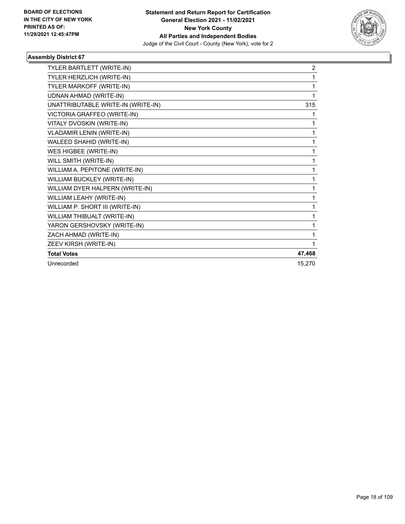

| TYLER BARTLETT (WRITE-IN)          | $\overline{2}$ |
|------------------------------------|----------------|
| TYLER HERZLICH (WRITE-IN)          | 1              |
| TYLER MARKOFF (WRITE-IN)           | 1              |
| <b>UDNAN AHMAD (WRITE-IN)</b>      | 1              |
| UNATTRIBUTABLE WRITE-IN (WRITE-IN) | 315            |
| VICTORIA GRAFFEO (WRITE-IN)        | 1              |
| VITALY DVOSKIN (WRITE-IN)          | 1              |
| <b>VLADAMIR LENIN (WRITE-IN)</b>   | 1              |
| WALEED SHAHID (WRITE-IN)           | 1              |
| WES HIGBEE (WRITE-IN)              | 1              |
| WILL SMITH (WRITE-IN)              | 1              |
| WILLIAM A. PEPITONE (WRITE-IN)     | 1              |
| WILLIAM BUCKLEY (WRITE-IN)         | 1              |
| WILLIAM DYER HALPERN (WRITE-IN)    | 1              |
| WILLIAM LEAHY (WRITE-IN)           | 1              |
| WILLIAM P. SHORT III (WRITE-IN)    | 1              |
| WILLIAM THIBUALT (WRITE-IN)        | 1              |
| YARON GERSHOVSKY (WRITE-IN)        | 1              |
| ZACH AHMAD (WRITE-IN)              | 1              |
| ZEEV KIRSH (WRITE-IN)              | 1              |
| <b>Total Votes</b>                 | 47,468         |
| Unrecorded                         | 15,270         |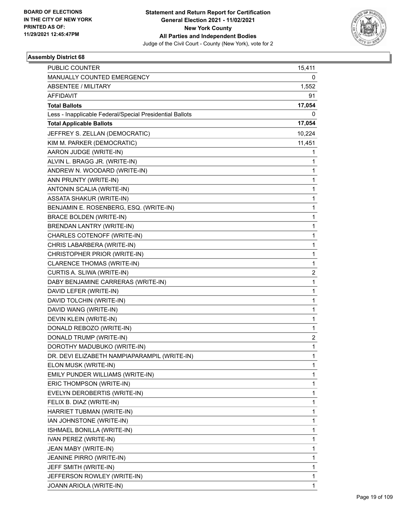

| PUBLIC COUNTER                                           | 15,411         |
|----------------------------------------------------------|----------------|
| MANUALLY COUNTED EMERGENCY                               | 0              |
| <b>ABSENTEE / MILITARY</b>                               | 1,552          |
| AFFIDAVIT                                                | 91             |
| <b>Total Ballots</b>                                     | 17,054         |
| Less - Inapplicable Federal/Special Presidential Ballots | 0              |
| <b>Total Applicable Ballots</b>                          | 17,054         |
| JEFFREY S. ZELLAN (DEMOCRATIC)                           | 10,224         |
| KIM M. PARKER (DEMOCRATIC)                               | 11,451         |
| AARON JUDGE (WRITE-IN)                                   | 1              |
| ALVIN L. BRAGG JR. (WRITE-IN)                            | 1              |
| ANDREW N. WOODARD (WRITE-IN)                             | 1              |
| ANN PRUNTY (WRITE-IN)                                    | 1              |
| ANTONIN SCALIA (WRITE-IN)                                | 1              |
| <b>ASSATA SHAKUR (WRITE-IN)</b>                          | 1              |
| BENJAMIN E. ROSENBERG, ESQ. (WRITE-IN)                   | 1              |
| <b>BRACE BOLDEN (WRITE-IN)</b>                           | 1              |
| BRENDAN LANTRY (WRITE-IN)                                | 1              |
| CHARLES COTENOFF (WRITE-IN)                              | 1              |
| CHRIS LABARBERA (WRITE-IN)                               | 1              |
| CHRISTOPHER PRIOR (WRITE-IN)                             | 1              |
| CLARENCE THOMAS (WRITE-IN)                               | 1              |
| CURTIS A. SLIWA (WRITE-IN)                               | $\overline{2}$ |
| DABY BENJAMINE CARRERAS (WRITE-IN)                       | 1              |
| DAVID LEFER (WRITE-IN)                                   | 1              |
| DAVID TOLCHIN (WRITE-IN)                                 | 1              |
| DAVID WANG (WRITE-IN)                                    | 1              |
| DEVIN KLEIN (WRITE-IN)                                   | 1              |
| DONALD REBOZO (WRITE-IN)                                 | 1              |
| DONALD TRUMP (WRITE-IN)                                  | 2              |
| DOROTHY MADUBUKO (WRITE-IN)                              | 1              |
| DR. DEVI ELIZABETH NAMPIAPARAMPIL (WRITE-IN)             | 1              |
| ELON MUSK (WRITE-IN)                                     | 1              |
| EMILY PUNDER WILLIAMS (WRITE-IN)                         | 1              |
| ERIC THOMPSON (WRITE-IN)                                 | 1              |
| EVELYN DEROBERTIS (WRITE-IN)                             | 1              |
| FELIX B. DIAZ (WRITE-IN)                                 | 1              |
| HARRIET TUBMAN (WRITE-IN)                                | 1              |
| IAN JOHNSTONE (WRITE-IN)                                 | 1              |
| ISHMAEL BONILLA (WRITE-IN)                               | 1              |
| IVAN PEREZ (WRITE-IN)                                    | 1              |
| JEAN MABY (WRITE-IN)                                     | 1              |
| JEANINE PIRRO (WRITE-IN)                                 | 1              |
| JEFF SMITH (WRITE-IN)                                    | 1              |
| JEFFERSON ROWLEY (WRITE-IN)                              | 1              |
| JOANN ARIOLA (WRITE-IN)                                  | 1              |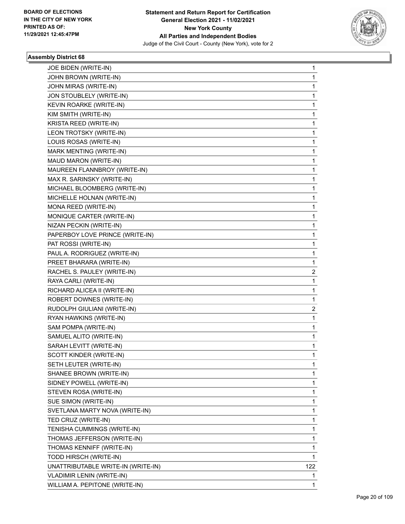

| JOE BIDEN (WRITE-IN)               | 1   |
|------------------------------------|-----|
| JOHN BROWN (WRITE-IN)              | 1   |
| JOHN MIRAS (WRITE-IN)              | 1   |
| JON STOUBLELY (WRITE-IN)           | 1   |
| KEVIN ROARKE (WRITE-IN)            | 1   |
| KIM SMITH (WRITE-IN)               | 1   |
| KRISTA REED (WRITE-IN)             | 1   |
| LEON TROTSKY (WRITE-IN)            | 1   |
| LOUIS ROSAS (WRITE-IN)             | 1   |
| MARK MENTING (WRITE-IN)            | 1   |
| MAUD MARON (WRITE-IN)              | 1   |
| MAUREEN FLANNBROY (WRITE-IN)       | 1   |
| MAX R. SARINSKY (WRITE-IN)         | 1   |
| MICHAEL BLOOMBERG (WRITE-IN)       | 1   |
| MICHELLE HOLNAN (WRITE-IN)         | 1   |
| MONA REED (WRITE-IN)               | 1   |
| MONIQUE CARTER (WRITE-IN)          | 1   |
| NIZAN PECKIN (WRITE-IN)            | 1   |
| PAPERBOY LOVE PRINCE (WRITE-IN)    | 1   |
| PAT ROSSI (WRITE-IN)               | 1   |
| PAUL A. RODRIGUEZ (WRITE-IN)       | 1   |
| PREET BHARARA (WRITE-IN)           | 1   |
| RACHEL S. PAULEY (WRITE-IN)        | 2   |
| RAYA CARLI (WRITE-IN)              | 1   |
| RICHARD ALICEA II (WRITE-IN)       | 1   |
| ROBERT DOWNES (WRITE-IN)           | 1   |
| RUDOLPH GIULIANI (WRITE-IN)        | 2   |
| RYAN HAWKINS (WRITE-IN)            | 1   |
| SAM POMPA (WRITE-IN)               | 1   |
| SAMUEL ALITO (WRITE-IN)            | 1   |
| SARAH LEVITT (WRITE-IN)            | 1   |
| SCOTT KINDER (WRITE-IN)            | 1   |
| SETH LEUTER (WRITE-IN)             | 1   |
| SHANEE BROWN (WRITE-IN)            | 1   |
| SIDNEY POWELL (WRITE-IN)           | 1   |
| STEVEN ROSA (WRITE-IN)             | 1   |
| SUE SIMON (WRITE-IN)               | 1   |
| SVETLANA MARTY NOVA (WRITE-IN)     | 1   |
| TED CRUZ (WRITE-IN)                | 1   |
| TENISHA CUMMINGS (WRITE-IN)        | 1   |
| THOMAS JEFFERSON (WRITE-IN)        | 1   |
| THOMAS KENNIFF (WRITE-IN)          | 1   |
| TODD HIRSCH (WRITE-IN)             | 1   |
| UNATTRIBUTABLE WRITE-IN (WRITE-IN) | 122 |
| <b>VLADIMIR LENIN (WRITE-IN)</b>   | 1   |
| WILLIAM A. PEPITONE (WRITE-IN)     | 1   |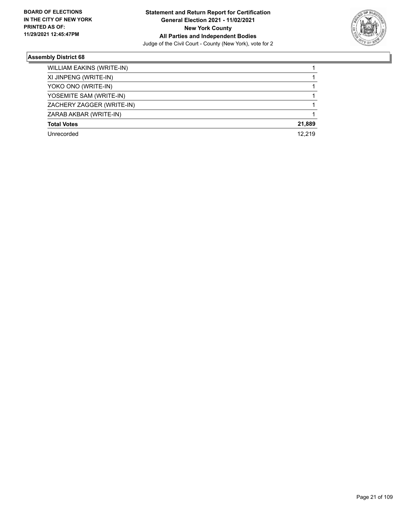

| <b>WILLIAM EAKINS (WRITE-IN)</b> |        |
|----------------------------------|--------|
| XI JINPENG (WRITE-IN)            |        |
| YOKO ONO (WRITE-IN)              |        |
| YOSEMITE SAM (WRITE-IN)          |        |
| ZACHERY ZAGGER (WRITE-IN)        |        |
| ZARAB AKBAR (WRITE-IN)           |        |
| <b>Total Votes</b>               | 21,889 |
| Unrecorded                       | 12.219 |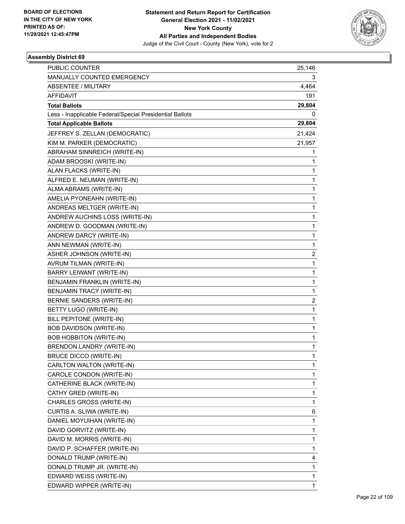

| PUBLIC COUNTER                                           | 25,146                  |
|----------------------------------------------------------|-------------------------|
| MANUALLY COUNTED EMERGENCY                               | 3                       |
| <b>ABSENTEE / MILITARY</b>                               | 4,464                   |
| AFFIDAVIT                                                | 191                     |
| <b>Total Ballots</b>                                     | 29,804                  |
| Less - Inapplicable Federal/Special Presidential Ballots | 0                       |
| <b>Total Applicable Ballots</b>                          | 29,804                  |
| JEFFREY S. ZELLAN (DEMOCRATIC)                           | 21,424                  |
| KIM M. PARKER (DEMOCRATIC)                               | 21,957                  |
| ABRAHAM SINNREICH (WRITE-IN)                             | 1                       |
| ADAM BROOSKI (WRITE-IN)                                  | 1                       |
| ALAN FLACKS (WRITE-IN)                                   | 1                       |
| ALFRED E. NEUMAN (WRITE-IN)                              | $\mathbf{1}$            |
| ALMA ABRAMS (WRITE-IN)                                   | $\mathbf{1}$            |
| AMELIA PYONEAHN (WRITE-IN)                               | 1                       |
| ANDREAS MELTGER (WRITE-IN)                               | $\mathbf{1}$            |
| ANDREW AUCHINS LOSS (WRITE-IN)                           | $\mathbf{1}$            |
| ANDREW D. GOODMAN (WRITE-IN)                             | 1                       |
| ANDREW DARCY (WRITE-IN)                                  | $\mathbf{1}$            |
| ANN NEWMAN (WRITE-IN)                                    | $\mathbf{1}$            |
| ASHER JOHNSON (WRITE-IN)                                 | 2                       |
| AVRUM TILMAN (WRITE-IN)                                  | $\mathbf{1}$            |
| BARRY LEIWANT (WRITE-IN)                                 | $\mathbf{1}$            |
| BENJAMIN FRANKLIN (WRITE-IN)                             | 1                       |
| BENJAMIN TRACY (WRITE-IN)                                | $\mathbf{1}$            |
| BERNIE SANDERS (WRITE-IN)                                | $\overline{\mathbf{c}}$ |
| BETTY LUGO (WRITE-IN)                                    | 1                       |
| <b>BILL PEPITONE (WRITE-IN)</b>                          | $\mathbf{1}$            |
| BOB DAVIDSON (WRITE-IN)                                  | $\mathbf{1}$            |
| <b>BOB HOBBITON (WRITE-IN)</b>                           | 1                       |
| BRENDON LANDRY (WRITE-IN)                                | $\mathbf{1}$            |
| <b>BRUCE DICCO (WRITE-IN)</b>                            | 1                       |
| CARLTON WALTON (WRITE-IN)                                | 1                       |
| CAROLE CONDON (WRITE-IN)                                 | $\mathbf{1}$            |
| CATHERINE BLACK (WRITE-IN)                               | 1                       |
| CATHY GRED (WRITE-IN)                                    | 1                       |
| CHARLES GROSS (WRITE-IN)                                 | $\mathbf{1}$            |
| CURTIS A. SLIWA (WRITE-IN)                               | 6                       |
| DANIEL MOYUIHAN (WRITE-IN)                               | 1                       |
| DAVID GORVITZ (WRITE-IN)                                 | $\mathbf 1$             |
| DAVID M. MORRIS (WRITE-IN)                               | $\mathbf{1}$            |
| DAVID P. SCHAFFER (WRITE-IN)                             | 1                       |
| DONALD TRUMP (WRITE-IN)                                  | 4                       |
| DONALD TRUMP JR. (WRITE-IN)                              | $\mathbf{1}$            |
| EDWARD WEISS (WRITE-IN)                                  | 1                       |
| EDWARD WIPPER (WRITE-IN)                                 | $\mathbf{1}$            |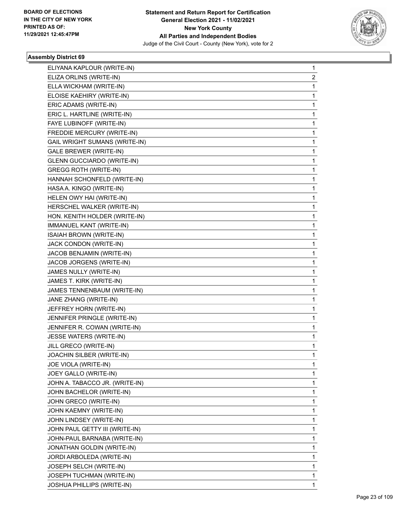

| ELIYANA KAPLOUR (WRITE-IN)        | 1            |
|-----------------------------------|--------------|
| ELIZA ORLINS (WRITE-IN)           | 2            |
| ELLA WICKHAM (WRITE-IN)           | $\mathbf{1}$ |
| ELOISE KAEHIRY (WRITE-IN)         | 1            |
| ERIC ADAMS (WRITE-IN)             | 1            |
| ERIC L. HARTLINE (WRITE-IN)       | 1            |
| FAYE LUBINOFF (WRITE-IN)          | 1            |
| FREDDIE MERCURY (WRITE-IN)        | 1            |
| GAIL WRIGHT SUMANS (WRITE-IN)     | 1            |
| <b>GALE BREWER (WRITE-IN)</b>     | 1            |
| <b>GLENN GUCCIARDO (WRITE-IN)</b> | 1            |
| <b>GREGG ROTH (WRITE-IN)</b>      | 1            |
| HANNAH SCHONFELD (WRITE-IN)       | 1            |
| HASA A. KINGO (WRITE-IN)          | 1            |
| HELEN OWY HAI (WRITE-IN)          | 1            |
| HERSCHEL WALKER (WRITE-IN)        | 1            |
| HON. KENITH HOLDER (WRITE-IN)     | 1            |
| IMMANUEL KANT (WRITE-IN)          | 1            |
| ISAIAH BROWN (WRITE-IN)           | 1            |
| JACK CONDON (WRITE-IN)            | 1            |
| JACOB BENJAMIN (WRITE-IN)         | 1            |
| JACOB JORGENS (WRITE-IN)          | 1            |
| JAMES NULLY (WRITE-IN)            | 1            |
| JAMES T. KIRK (WRITE-IN)          | 1            |
| JAMES TENNENBAUM (WRITE-IN)       | 1            |
| JANE ZHANG (WRITE-IN)             | 1            |
| JEFFREY HORN (WRITE-IN)           | 1            |
| JENNIFER PRINGLE (WRITE-IN)       | 1            |
| JENNIFER R. COWAN (WRITE-IN)      | 1            |
| JESSE WATERS (WRITE-IN)           | 1            |
| JILL GRECO (WRITE-IN)             | 1            |
| JOACHIN SILBER (WRITE-IN)         | 1            |
| JOE VIOLA (WRITE-IN)              | 1            |
| JOEY GALLO (WRITE-IN)             | 1            |
| JOHN A. TABACCO JR. (WRITE-IN)    | 1            |
| JOHN BACHELOR (WRITE-IN)          | 1            |
| JOHN GRECO (WRITE-IN)             | 1            |
| JOHN KAEMNY (WRITE-IN)            | 1            |
| JOHN LINDSEY (WRITE-IN)           | 1            |
| JOHN PAUL GETTY III (WRITE-IN)    | 1            |
| JOHN-PAUL BARNABA (WRITE-IN)      | 1            |
| JONATHAN GOLDIN (WRITE-IN)        | 1            |
| JORDI ARBOLEDA (WRITE-IN)         | 1            |
| JOSEPH SELCH (WRITE-IN)           | 1            |
| JOSEPH TUCHMAN (WRITE-IN)         | 1            |
| JOSHUA PHILLIPS (WRITE-IN)        | 1            |
|                                   |              |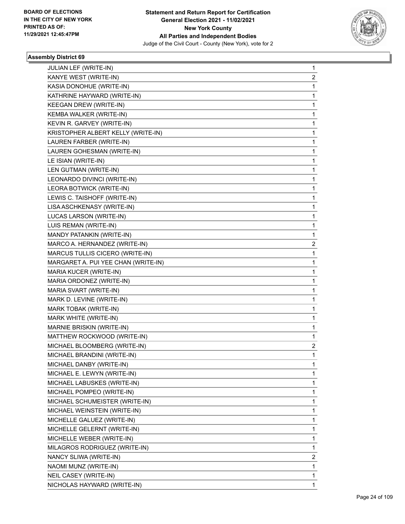

| JULIAN LEF (WRITE-IN)               | 1            |
|-------------------------------------|--------------|
| KANYE WEST (WRITE-IN)               | 2            |
| KASIA DONOHUE (WRITE-IN)            | $\mathbf{1}$ |
| KATHRINE HAYWARD (WRITE-IN)         | 1            |
| KEEGAN DREW (WRITE-IN)              | 1            |
| KEMBA WALKER (WRITE-IN)             | 1            |
| KEVIN R. GARVEY (WRITE-IN)          | 1            |
| KRISTOPHER ALBERT KELLY (WRITE-IN)  | 1            |
| LAUREN FARBER (WRITE-IN)            | $\mathbf{1}$ |
| LAUREN GOHESMAN (WRITE-IN)          | 1            |
| LE ISIAN (WRITE-IN)                 | 1            |
| LEN GUTMAN (WRITE-IN)               | 1            |
| LEONARDO DIVINCI (WRITE-IN)         | 1            |
| LEORA BOTWICK (WRITE-IN)            | 1            |
| LEWIS C. TAISHOFF (WRITE-IN)        | $\mathbf{1}$ |
| LISA ASCHKENASY (WRITE-IN)          | 1            |
| LUCAS LARSON (WRITE-IN)             | 1            |
| LUIS REMAN (WRITE-IN)               | 1            |
| MANDY PATANKIN (WRITE-IN)           | 1            |
| MARCO A. HERNANDEZ (WRITE-IN)       | 2            |
| MARCUS TULLIS CICERO (WRITE-IN)     | $\mathbf{1}$ |
| MARGARET A. PUI YEE CHAN (WRITE-IN) | 1            |
| MARIA KUCER (WRITE-IN)              | 1            |
| MARIA ORDONEZ (WRITE-IN)            | 1            |
| MARIA SVART (WRITE-IN)              | 1            |
| MARK D. LEVINE (WRITE-IN)           | 1            |
| MARK TOBAK (WRITE-IN)               | $\mathbf{1}$ |
| MARK WHITE (WRITE-IN)               | 1            |
| MARNIE BRISKIN (WRITE-IN)           | 1            |
| MATTHEW ROCKWOOD (WRITE-IN)         | 1            |
| MICHAEL BLOOMBERG (WRITE-IN)        | 2            |
| MICHAEL BRANDINI (WRITE-IN)         | 1            |
| MICHAEL DANBY (WRITE-IN)            | 1            |
| MICHAEL E. LEWYN (WRITE-IN)         | 1            |
| MICHAEL LABUSKES (WRITE-IN)         | 1            |
| MICHAEL POMPEO (WRITE-IN)           | $\mathbf{1}$ |
| MICHAEL SCHUMEISTER (WRITE-IN)      | 1            |
| MICHAEL WEINSTEIN (WRITE-IN)        | 1            |
| MICHELLE GALUEZ (WRITE-IN)          | 1            |
| MICHELLE GELERNT (WRITE-IN)         | 1            |
| MICHELLE WEBER (WRITE-IN)           | 1            |
| MILAGROS RODRIGUEZ (WRITE-IN)       | $\mathbf{1}$ |
| NANCY SLIWA (WRITE-IN)              | 2            |
| NAOMI MUNZ (WRITE-IN)               | 1            |
| NEIL CASEY (WRITE-IN)               | 1            |
| NICHOLAS HAYWARD (WRITE-IN)         | $\mathbf{1}$ |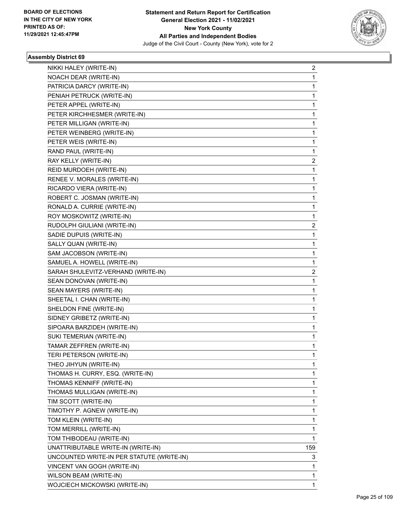

| NIKKI HALEY (WRITE-IN)                    | 2   |
|-------------------------------------------|-----|
| NOACH DEAR (WRITE-IN)                     | 1   |
| PATRICIA DARCY (WRITE-IN)                 | 1   |
| PENIAH PETRUCK (WRITE-IN)                 | 1   |
| PETER APPEL (WRITE-IN)                    | 1   |
| PETER KIRCHHESMER (WRITE-IN)              | 1   |
| PETER MILLIGAN (WRITE-IN)                 | 1   |
| PETER WEINBERG (WRITE-IN)                 | 1   |
| PETER WEIS (WRITE-IN)                     | 1   |
| RAND PAUL (WRITE-IN)                      | 1   |
| RAY KELLY (WRITE-IN)                      | 2   |
| REID MURDOEH (WRITE-IN)                   | 1   |
| RENEE V. MORALES (WRITE-IN)               | 1   |
| RICARDO VIERA (WRITE-IN)                  | 1   |
| ROBERT C. JOSMAN (WRITE-IN)               | 1   |
| RONALD A. CURRIE (WRITE-IN)               | 1   |
| ROY MOSKOWITZ (WRITE-IN)                  | 1   |
| RUDOLPH GIULIANI (WRITE-IN)               | 2   |
| SADIE DUPUIS (WRITE-IN)                   | 1   |
| SALLY QUAN (WRITE-IN)                     | 1   |
| SAM JACOBSON (WRITE-IN)                   | 1   |
| SAMUEL A. HOWELL (WRITE-IN)               | 1   |
| SARAH SHULEVITZ-VERHAND (WRITE-IN)        | 2   |
| SEAN DONOVAN (WRITE-IN)                   | 1   |
| SEAN MAYERS (WRITE-IN)                    | 1   |
| SHEETAL I. CHAN (WRITE-IN)                | 1   |
| SHELDON FINE (WRITE-IN)                   | 1   |
| SIDNEY GRIBETZ (WRITE-IN)                 | 1   |
| SIPOARA BARZIDEH (WRITE-IN)               | 1   |
| SUKI TEMERIAN (WRITE-IN)                  | 1   |
| TAMAR ZEFFREN (WRITE-IN)                  | 1   |
| TERI PETERSON (WRITE-IN)                  | 1   |
| THEO JIHYUN (WRITE-IN)                    | 1   |
| THOMAS H. CURRY, ESQ. (WRITE-IN)          | 1   |
| THOMAS KENNIFF (WRITE-IN)                 | 1   |
| THOMAS MULLIGAN (WRITE-IN)                | 1   |
| TIM SCOTT (WRITE-IN)                      | 1   |
| TIMOTHY P. AGNEW (WRITE-IN)               | 1   |
| TOM KLEIN (WRITE-IN)                      | 1   |
| TOM MERRILL (WRITE-IN)                    | 1   |
| TOM THIBODEAU (WRITE-IN)                  | 1   |
| UNATTRIBUTABLE WRITE-IN (WRITE-IN)        | 159 |
| UNCOUNTED WRITE-IN PER STATUTE (WRITE-IN) | 3   |
| VINCENT VAN GOGH (WRITE-IN)               | 1   |
| WILSON BEAM (WRITE-IN)                    | 1   |
| WOJCIECH MICKOWSKI (WRITE-IN)             | 1   |
|                                           |     |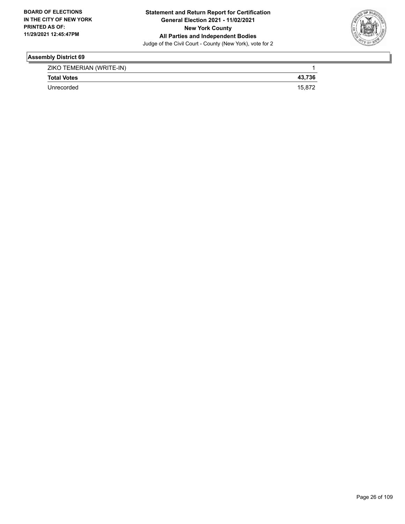

| ZIKO TEMERIAN (WRITE-IN) |        |
|--------------------------|--------|
| <b>Total Votes</b>       | 43,736 |
| Unrecorded               | 15.87  |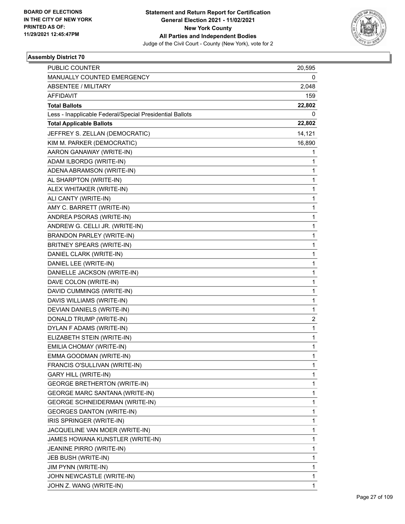

| PUBLIC COUNTER                                           | 20,595       |
|----------------------------------------------------------|--------------|
| MANUALLY COUNTED EMERGENCY                               | 0            |
| <b>ABSENTEE / MILITARY</b>                               | 2,048        |
| AFFIDAVIT                                                | 159          |
| <b>Total Ballots</b>                                     | 22,802       |
| Less - Inapplicable Federal/Special Presidential Ballots | 0            |
| <b>Total Applicable Ballots</b>                          | 22,802       |
| JEFFREY S. ZELLAN (DEMOCRATIC)                           | 14,121       |
| KIM M. PARKER (DEMOCRATIC)                               | 16,890       |
| AARON GANAWAY (WRITE-IN)                                 | 1            |
| ADAM ILBORDG (WRITE-IN)                                  | 1            |
| ADENA ABRAMSON (WRITE-IN)                                | 1            |
| AL SHARPTON (WRITE-IN)                                   | 1            |
| ALEX WHITAKER (WRITE-IN)                                 | 1            |
| ALI CANTY (WRITE-IN)                                     | 1            |
| AMY C. BARRETT (WRITE-IN)                                | 1            |
| ANDREA PSORAS (WRITE-IN)                                 | 1            |
| ANDREW G. CELLI JR. (WRITE-IN)                           | 1            |
| BRANDON PARLEY (WRITE-IN)                                | 1            |
| BRITNEY SPEARS (WRITE-IN)                                | 1            |
| DANIEL CLARK (WRITE-IN)                                  | 1            |
| DANIEL LEE (WRITE-IN)                                    | 1            |
| DANIELLE JACKSON (WRITE-IN)                              | 1            |
| DAVE COLON (WRITE-IN)                                    | 1            |
| DAVID CUMMINGS (WRITE-IN)                                | 1            |
| DAVIS WILLIAMS (WRITE-IN)                                | 1            |
| DEVIAN DANIELS (WRITE-IN)                                | 1            |
| DONALD TRUMP (WRITE-IN)                                  | 2            |
| DYLAN F ADAMS (WRITE-IN)                                 | 1            |
| ELIZABETH STEIN (WRITE-IN)                               | $\mathbf{1}$ |
| EMILIA CHOMAY (WRITE-IN)                                 | 1            |
| EMMA GOODMAN (WRITE-IN)                                  | 1            |
| FRANCIS O'SULLIVAN (WRITE-IN)                            | 1            |
| <b>GARY HILL (WRITE-IN)</b>                              | 1            |
| <b>GEORGE BRETHERTON (WRITE-IN)</b>                      | 1            |
| <b>GEORGE MARC SANTANA (WRITE-IN)</b>                    | 1            |
| <b>GEORGE SCHNEIDERMAN (WRITE-IN)</b>                    | 1            |
| <b>GEORGES DANTON (WRITE-IN)</b>                         | 1            |
| IRIS SPRINGER (WRITE-IN)                                 | 1            |
| JACQUELINE VAN MOER (WRITE-IN)                           | 1            |
| JAMES HOWANA KUNSTLER (WRITE-IN)                         | 1            |
| JEANINE PIRRO (WRITE-IN)                                 | 1            |
| JEB BUSH (WRITE-IN)                                      | 1            |
| JIM PYNN (WRITE-IN)                                      | 1            |
| JOHN NEWCASTLE (WRITE-IN)                                | 1            |
| JOHN Z. WANG (WRITE-IN)                                  | 1            |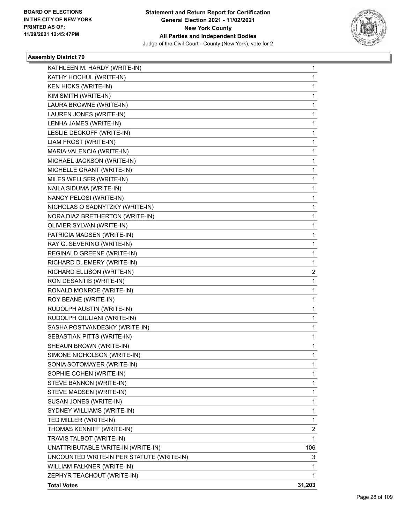

| KATHLEEN M. HARDY (WRITE-IN)              | 1      |
|-------------------------------------------|--------|
| KATHY HOCHUL (WRITE-IN)                   | 1      |
| <b>KEN HICKS (WRITE-IN)</b>               | 1      |
| KIM SMITH (WRITE-IN)                      | 1      |
| LAURA BROWNE (WRITE-IN)                   | 1      |
| LAUREN JONES (WRITE-IN)                   | 1      |
| LENHA JAMES (WRITE-IN)                    | 1      |
| LESLIE DECKOFF (WRITE-IN)                 | 1      |
| LIAM FROST (WRITE-IN)                     | 1      |
| MARIA VALENCIA (WRITE-IN)                 | 1      |
| MICHAEL JACKSON (WRITE-IN)                | 1      |
| MICHELLE GRANT (WRITE-IN)                 | 1      |
| MILES WELLSER (WRITE-IN)                  | 1      |
| NAILA SIDUMA (WRITE-IN)                   | 1      |
| NANCY PELOSI (WRITE-IN)                   | 1      |
| NICHOLAS O SADNYTZKY (WRITE-IN)           | 1      |
| NORA DIAZ BRETHERTON (WRITE-IN)           | 1      |
| OLIVIER SYLVAN (WRITE-IN)                 | 1      |
| PATRICIA MADSEN (WRITE-IN)                | 1      |
| RAY G. SEVERINO (WRITE-IN)                | 1      |
| REGINALD GREENE (WRITE-IN)                | 1      |
| RICHARD D. EMERY (WRITE-IN)               | 1      |
| RICHARD ELLISON (WRITE-IN)                | 2      |
| RON DESANTIS (WRITE-IN)                   | 1      |
| RONALD MONROE (WRITE-IN)                  | 1      |
| ROY BEANE (WRITE-IN)                      | 1      |
| RUDOLPH AUSTIN (WRITE-IN)                 | 1      |
| RUDOLPH GIULIANI (WRITE-IN)               | 1      |
| SASHA POSTVANDESKY (WRITE-IN)             | 1      |
| SEBASTIAN PITTS (WRITE-IN)                | 1      |
| SHEAUN BROWN (WRITE-IN)                   | 1      |
| SIMONE NICHOLSON (WRITE-IN)               | 1      |
| SONIA SOTOMAYER (WRITE-IN)                | 1      |
| SOPHIE COHEN (WRITE-IN)                   | 1      |
| STEVE BANNON (WRITE-IN)                   | 1      |
| STEVE MADSEN (WRITE-IN)                   | 1      |
| SUSAN JONES (WRITE-IN)                    | 1      |
| SYDNEY WILLIAMS (WRITE-IN)                | 1      |
| TED MILLER (WRITE-IN)                     | 1      |
| THOMAS KENNIFF (WRITE-IN)                 | 2      |
| TRAVIS TALBOT (WRITE-IN)                  | 1      |
| UNATTRIBUTABLE WRITE-IN (WRITE-IN)        | 106    |
| UNCOUNTED WRITE-IN PER STATUTE (WRITE-IN) | 3      |
| WILLIAM FALKNER (WRITE-IN)                | 1      |
| ZEPHYR TEACHOUT (WRITE-IN)                | 1      |
| <b>Total Votes</b>                        | 31,203 |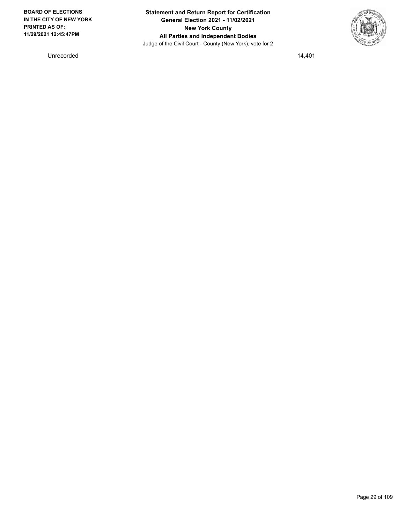**Statement and Return Report for Certification General Election 2021 - 11/02/2021 New York County All Parties and Independent Bodies** Judge of the Civil Court - County (New York), vote for 2



Unrecorded 14,401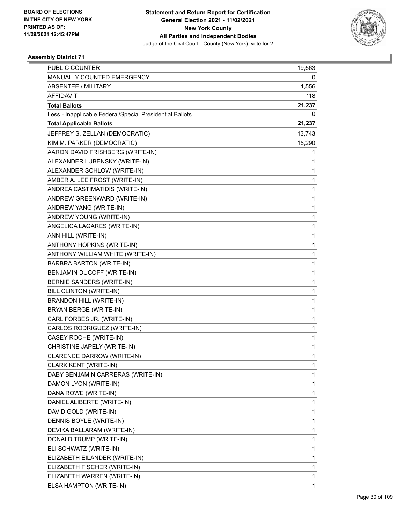

| <b>PUBLIC COUNTER</b>                                    | 19,563 |
|----------------------------------------------------------|--------|
| MANUALLY COUNTED EMERGENCY                               | 0      |
| ABSENTEE / MILITARY                                      | 1,556  |
| <b>AFFIDAVIT</b>                                         | 118    |
| <b>Total Ballots</b>                                     | 21,237 |
| Less - Inapplicable Federal/Special Presidential Ballots | 0      |
| <b>Total Applicable Ballots</b>                          | 21,237 |
| JEFFREY S. ZELLAN (DEMOCRATIC)                           | 13,743 |
| KIM M. PARKER (DEMOCRATIC)                               | 15,290 |
| AARON DAVID FRISHBERG (WRITE-IN)                         | 1      |
| ALEXANDER LUBENSKY (WRITE-IN)                            | 1      |
| ALEXANDER SCHLOW (WRITE-IN)                              | 1      |
| AMBER A. LEE FROST (WRITE-IN)                            | 1      |
| ANDREA CASTIMATIDIS (WRITE-IN)                           | 1      |
| ANDREW GREENWARD (WRITE-IN)                              | 1      |
| ANDREW YANG (WRITE-IN)                                   | 1      |
| ANDREW YOUNG (WRITE-IN)                                  | 1      |
| ANGELICA LAGARES (WRITE-IN)                              | 1      |
| ANN HILL (WRITE-IN)                                      | 1      |
| ANTHONY HOPKINS (WRITE-IN)                               | 1      |
| ANTHONY WILLIAM WHITE (WRITE-IN)                         | 1      |
| <b>BARBRA BARTON (WRITE-IN)</b>                          | 1      |
| BENJAMIN DUCOFF (WRITE-IN)                               | 1      |
| BERNIE SANDERS (WRITE-IN)                                | 1      |
| BILL CLINTON (WRITE-IN)                                  | 1      |
| <b>BRANDON HILL (WRITE-IN)</b>                           | 1      |
| BRYAN BERGE (WRITE-IN)                                   | 1      |
| CARL FORBES JR. (WRITE-IN)                               | 1      |
| CARLOS RODRIGUEZ (WRITE-IN)                              | 1      |
| CASEY ROCHE (WRITE-IN)                                   | 1      |
| CHRISTINE JAPELY (WRITE-IN)                              | 1      |
| CLARENCE DARROW (WRITE-IN)                               | 1      |
| CLARK KENT (WRITE-IN)                                    | 1      |
| DABY BENJAMIN CARRERAS (WRITE-IN)                        | 1      |
| DAMON LYON (WRITE-IN)                                    | 1      |
| DANA ROWE (WRITE-IN)                                     | 1      |
| DANIEL ALIBERTE (WRITE-IN)                               | 1      |
| DAVID GOLD (WRITE-IN)                                    | 1      |
| DENNIS BOYLE (WRITE-IN)                                  | 1      |
| DEVIKA BALLARAM (WRITE-IN)                               | 1      |
| DONALD TRUMP (WRITE-IN)                                  | 1      |
| ELI SCHWATZ (WRITE-IN)                                   | 1      |
| ELIZABETH EILANDER (WRITE-IN)                            | 1      |
| ELIZABETH FISCHER (WRITE-IN)                             | 1      |
| ELIZABETH WARREN (WRITE-IN)                              | 1      |
| ELSA HAMPTON (WRITE-IN)                                  | 1      |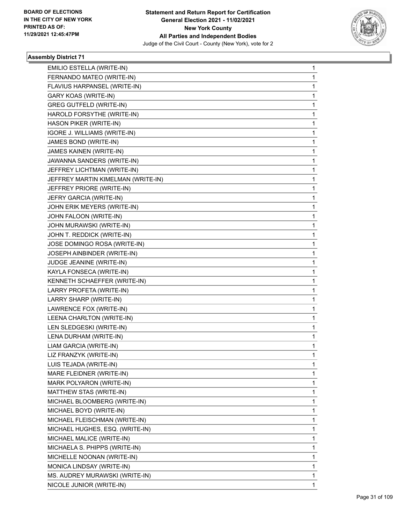

| EMILIO ESTELLA (WRITE-IN)          | 1            |
|------------------------------------|--------------|
| FERNANDO MATEO (WRITE-IN)          | 1            |
| FLAVIUS HARPANSEL (WRITE-IN)       | $\mathbf 1$  |
| GARY KOAS (WRITE-IN)               | 1            |
| <b>GREG GUTFELD (WRITE-IN)</b>     | 1            |
| HAROLD FORSYTHE (WRITE-IN)         | 1            |
| HASON PIKER (WRITE-IN)             | 1            |
| IGORE J. WILLIAMS (WRITE-IN)       | 1            |
| JAMES BOND (WRITE-IN)              | $\mathbf{1}$ |
| JAMES KAINEN (WRITE-IN)            | 1            |
| JAWANNA SANDERS (WRITE-IN)         | 1            |
| JEFFREY LICHTMAN (WRITE-IN)        | 1            |
| JEFFREY MARTIN KIMELMAN (WRITE-IN) | 1            |
| JEFFREY PRIORE (WRITE-IN)          | 1            |
| JEFRY GARCIA (WRITE-IN)            | $\mathbf{1}$ |
| JOHN ERIK MEYERS (WRITE-IN)        | 1            |
| JOHN FALOON (WRITE-IN)             | 1            |
| JOHN MURAWSKI (WRITE-IN)           | 1            |
| JOHN T. REDDICK (WRITE-IN)         | 1            |
| JOSE DOMINGO ROSA (WRITE-IN)       | 1            |
| JOSEPH AINBINDER (WRITE-IN)        | $\mathbf{1}$ |
| JUDGE JEANINE (WRITE-IN)           | 1            |
| KAYLA FONSECA (WRITE-IN)           | 1            |
| KENNETH SCHAEFFER (WRITE-IN)       | 1            |
| LARRY PROFETA (WRITE-IN)           | 1            |
| LARRY SHARP (WRITE-IN)             | 1            |
| LAWRENCE FOX (WRITE-IN)            | $\mathbf{1}$ |
| LEENA CHARLTON (WRITE-IN)          | 1            |
| LEN SLEDGESKI (WRITE-IN)           | 1            |
| LENA DURHAM (WRITE-IN)             | 1            |
| LIAM GARCIA (WRITE-IN)             | 1            |
| LIZ FRANZYK (WRITE-IN)             | 1            |
| LUIS TEJADA (WRITE-IN)             | 1            |
| MARE FLEIDNER (WRITE-IN)           | 1            |
| MARK POLYARON (WRITE-IN)           | 1            |
| MATTHEW STAS (WRITE-IN)            | 1            |
| MICHAEL BLOOMBERG (WRITE-IN)       | 1            |
| MICHAEL BOYD (WRITE-IN)            | 1            |
| MICHAEL FLEISCHMAN (WRITE-IN)      | 1            |
| MICHAEL HUGHES, ESQ. (WRITE-IN)    | 1            |
| MICHAEL MALICE (WRITE-IN)          | 1            |
| MICHAELA S. PHIPPS (WRITE-IN)      | 1            |
| MICHELLE NOONAN (WRITE-IN)         | 1            |
| MONICA LINDSAY (WRITE-IN)          | 1            |
| MS. AUDREY MURAWSKI (WRITE-IN)     | 1            |
| NICOLE JUNIOR (WRITE-IN)           | 1            |
|                                    |              |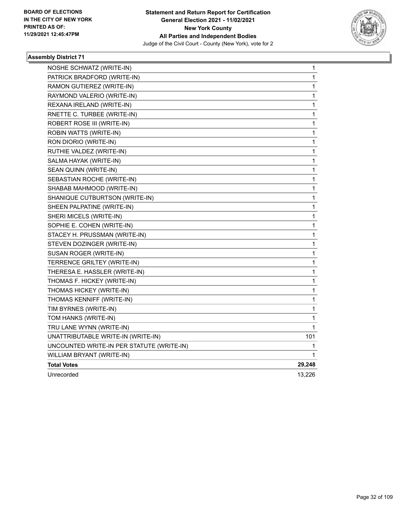

| NOSHE SCHWATZ (WRITE-IN)                  | 1            |
|-------------------------------------------|--------------|
| PATRICK BRADFORD (WRITE-IN)               | 1            |
| RAMON GUTIEREZ (WRITE-IN)                 | 1            |
| RAYMOND VALERIO (WRITE-IN)                | 1            |
| REXANA IRELAND (WRITE-IN)                 | 1            |
| RNETTE C. TURBEE (WRITE-IN)               | $\mathbf 1$  |
| ROBERT ROSE III (WRITE-IN)                | 1            |
| ROBIN WATTS (WRITE-IN)                    | 1            |
| RON DIORIO (WRITE-IN)                     | 1            |
| RUTHIE VALDEZ (WRITE-IN)                  | 1            |
| SALMA HAYAK (WRITE-IN)                    | $\mathbf{1}$ |
| SEAN QUINN (WRITE-IN)                     | 1            |
| SEBASTIAN ROCHE (WRITE-IN)                | 1            |
| SHABAB MAHMOOD (WRITE-IN)                 | 1            |
| SHANIQUE CUTBURTSON (WRITE-IN)            | 1            |
| SHEEN PALPATINE (WRITE-IN)                | $\mathbf{1}$ |
| SHERI MICELS (WRITE-IN)                   | $\mathbf{1}$ |
| SOPHIE E. COHEN (WRITE-IN)                | 1            |
| STACEY H. PRUSSMAN (WRITE-IN)             | 1            |
| STEVEN DOZINGER (WRITE-IN)                | 1            |
| SUSAN ROGER (WRITE-IN)                    | $\mathbf{1}$ |
| TERRENCE GRILTEY (WRITE-IN)               | 1            |
| THERESA E. HASSLER (WRITE-IN)             | 1            |
| THOMAS F. HICKEY (WRITE-IN)               | 1            |
| THOMAS HICKEY (WRITE-IN)                  | 1            |
| THOMAS KENNIFF (WRITE-IN)                 | 1            |
| TIM BYRNES (WRITE-IN)                     | 1            |
| TOM HANKS (WRITE-IN)                      | 1            |
| TRU LANE WYNN (WRITE-IN)                  | 1            |
| UNATTRIBUTABLE WRITE-IN (WRITE-IN)        | 101          |
| UNCOUNTED WRITE-IN PER STATUTE (WRITE-IN) | 1            |
| WILLIAM BRYANT (WRITE-IN)                 | 1            |
| <b>Total Votes</b>                        | 29,248       |
| Unrecorded                                | 13,226       |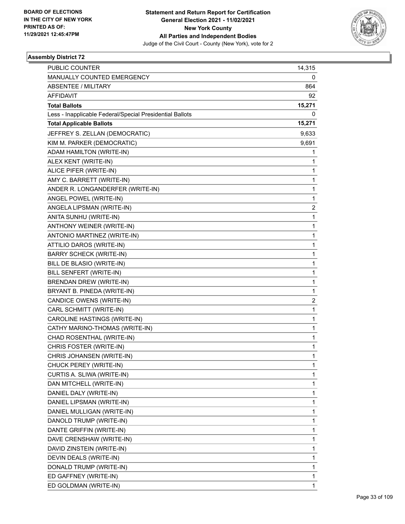

| <b>PUBLIC COUNTER</b>                                    | 14,315         |
|----------------------------------------------------------|----------------|
| MANUALLY COUNTED EMERGENCY                               | 0              |
| <b>ABSENTEE / MILITARY</b>                               | 864            |
| <b>AFFIDAVIT</b>                                         | 92             |
| <b>Total Ballots</b>                                     | 15,271         |
| Less - Inapplicable Federal/Special Presidential Ballots | 0              |
| <b>Total Applicable Ballots</b>                          | 15,271         |
| JEFFREY S. ZELLAN (DEMOCRATIC)                           | 9,633          |
| KIM M. PARKER (DEMOCRATIC)                               | 9,691          |
| ADAM HAMILTON (WRITE-IN)                                 | 1              |
| ALEX KENT (WRITE-IN)                                     | 1              |
| ALICE PIFER (WRITE-IN)                                   | 1              |
| AMY C. BARRETT (WRITE-IN)                                | 1              |
| ANDER R. LONGANDERFER (WRITE-IN)                         | 1              |
| ANGEL POWEL (WRITE-IN)                                   | 1              |
| ANGELA LIPSMAN (WRITE-IN)                                | $\overline{c}$ |
| ANITA SUNHU (WRITE-IN)                                   | 1              |
| ANTHONY WEINER (WRITE-IN)                                | 1              |
| ANTONIO MARTINEZ (WRITE-IN)                              | 1              |
| ATTILIO DAROS (WRITE-IN)                                 | 1              |
| <b>BARRY SCHECK (WRITE-IN)</b>                           | 1              |
| BILL DE BLASIO (WRITE-IN)                                | 1              |
| BILL SENFERT (WRITE-IN)                                  | 1              |
| BRENDAN DREW (WRITE-IN)                                  | 1              |
| BRYANT B. PINEDA (WRITE-IN)                              | 1              |
| CANDICE OWENS (WRITE-IN)                                 | $\overline{c}$ |
| CARL SCHMITT (WRITE-IN)                                  | 1              |
| CAROLINE HASTINGS (WRITE-IN)                             | 1              |
| CATHY MARINO-THOMAS (WRITE-IN)                           | 1              |
| CHAD ROSENTHAL (WRITE-IN)                                | 1              |
| CHRIS FOSTER (WRITE-IN)                                  | 1              |
| CHRIS JOHANSEN (WRITE-IN)                                | 1              |
| CHUCK PEREY (WRITE-IN)                                   | 1              |
| CURTIS A. SLIWA (WRITE-IN)                               | 1              |
| DAN MITCHELL (WRITE-IN)                                  | 1              |
| DANIEL DALY (WRITE-IN)                                   | 1              |
| DANIEL LIPSMAN (WRITE-IN)                                | 1              |
| DANIEL MULLIGAN (WRITE-IN)                               | 1              |
| DANOLD TRUMP (WRITE-IN)                                  | 1              |
| DANTE GRIFFIN (WRITE-IN)                                 | 1              |
| DAVE CRENSHAW (WRITE-IN)                                 | 1              |
| DAVID ZINSTEIN (WRITE-IN)                                | 1              |
| DEVIN DEALS (WRITE-IN)                                   | 1              |
| DONALD TRUMP (WRITE-IN)                                  | 1              |
| ED GAFFNEY (WRITE-IN)                                    | 1              |
| ED GOLDMAN (WRITE-IN)                                    | 1              |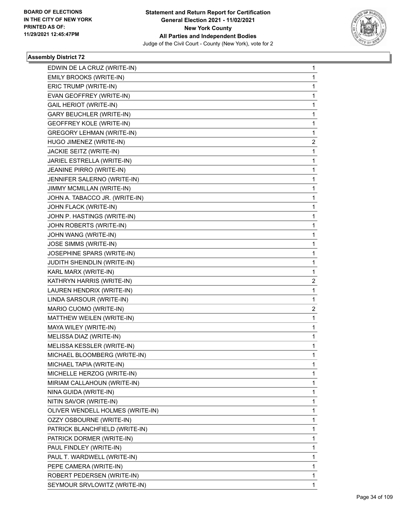

| EDWIN DE LA CRUZ (WRITE-IN)      | $\mathbf{1}$   |
|----------------------------------|----------------|
| EMILY BROOKS (WRITE-IN)          | $\mathbf{1}$   |
| ERIC TRUMP (WRITE-IN)            | $\mathbf 1$    |
| EVAN GEOFFREY (WRITE-IN)         | 1              |
| <b>GAIL HERIOT (WRITE-IN)</b>    | 1              |
| <b>GARY BEUCHLER (WRITE-IN)</b>  | 1              |
| <b>GEOFFREY KOLE (WRITE-IN)</b>  | 1              |
| <b>GREGORY LEHMAN (WRITE-IN)</b> | $\mathbf{1}$   |
| HUGO JIMENEZ (WRITE-IN)          | 2              |
| JACKIE SEITZ (WRITE-IN)          | 1              |
| JARIEL ESTRELLA (WRITE-IN)       | $\mathbf{1}$   |
| JEANINE PIRRO (WRITE-IN)         | $\mathbf{1}$   |
| JENNIFER SALERNO (WRITE-IN)      | 1              |
| JIMMY MCMILLAN (WRITE-IN)        | $\mathbf{1}$   |
| JOHN A. TABACCO JR. (WRITE-IN)   | 1              |
| JOHN FLACK (WRITE-IN)            | 1              |
| JOHN P. HASTINGS (WRITE-IN)      | 1              |
| JOHN ROBERTS (WRITE-IN)          | $\mathbf{1}$   |
| JOHN WANG (WRITE-IN)             | 1              |
| JOSE SIMMS (WRITE-IN)            | $\mathbf{1}$   |
| JOSEPHINE SPARS (WRITE-IN)       | 1              |
| JUDITH SHEINDLIN (WRITE-IN)      | 1              |
| KARL MARX (WRITE-IN)             | $\mathbf{1}$   |
| KATHRYN HARRIS (WRITE-IN)        | $\overline{2}$ |
| LAUREN HENDRIX (WRITE-IN)        | 1              |
| LINDA SARSOUR (WRITE-IN)         | $\mathbf{1}$   |
| MARIO CUOMO (WRITE-IN)           | 2              |
| MATTHEW WEILEN (WRITE-IN)        | 1              |
| MAYA WILEY (WRITE-IN)            | $\mathbf{1}$   |
| MELISSA DIAZ (WRITE-IN)          | $\mathbf{1}$   |
| MELISSA KESSLER (WRITE-IN)       | 1              |
| MICHAEL BLOOMBERG (WRITE-IN)     | $\mathbf{1}$   |
| MICHAEL TAPIA (WRITE-IN)         | 1              |
| MICHELLE HERZOG (WRITE-IN)       | 1              |
| MIRIAM CALLAHOUN (WRITE-IN)      | $\mathbf 1$    |
| NINA GUIDA (WRITE-IN)            | 1              |
| NITIN SAVOR (WRITE-IN)           | 1              |
| OLIVER WENDELL HOLMES (WRITE-IN) | $\mathbf 1$    |
| OZZY OSBOURNE (WRITE-IN)         | 1              |
| PATRICK BLANCHFIELD (WRITE-IN)   | 1              |
| PATRICK DORMER (WRITE-IN)        | $\mathbf 1$    |
| PAUL FINDLEY (WRITE-IN)          | 1              |
| PAUL T. WARDWELL (WRITE-IN)      | 1              |
| PEPE CAMERA (WRITE-IN)           | $\mathbf 1$    |
| ROBERT PEDERSEN (WRITE-IN)       | $\mathbf{1}$   |
| SEYMOUR SRVLOWITZ (WRITE-IN)     | 1              |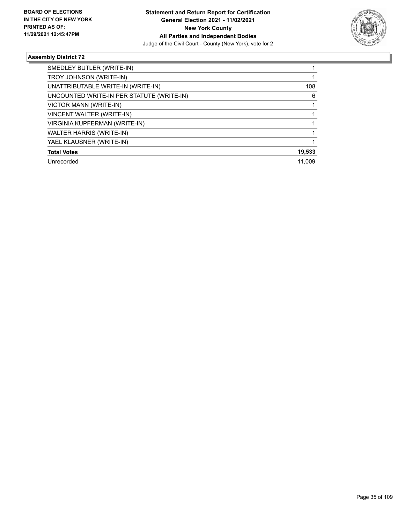

| SMEDLEY BUTLER (WRITE-IN)                 |        |
|-------------------------------------------|--------|
| TROY JOHNSON (WRITE-IN)                   |        |
| UNATTRIBUTABLE WRITE-IN (WRITE-IN)        | 108    |
| UNCOUNTED WRITE-IN PER STATUTE (WRITE-IN) | 6      |
| VICTOR MANN (WRITE-IN)                    |        |
| VINCENT WALTER (WRITE-IN)                 |        |
| VIRGINIA KUPFERMAN (WRITE-IN)             |        |
| <b>WALTER HARRIS (WRITE-IN)</b>           |        |
| YAEL KLAUSNER (WRITE-IN)                  |        |
| <b>Total Votes</b>                        | 19,533 |
| Unrecorded                                | 11.009 |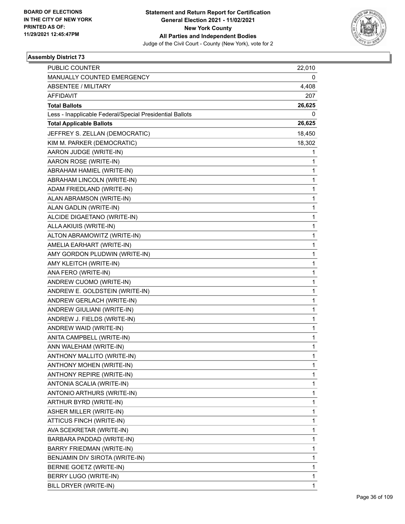

| <b>PUBLIC COUNTER</b>                                    | 22,010 |
|----------------------------------------------------------|--------|
| MANUALLY COUNTED EMERGENCY                               | 0      |
| <b>ABSENTEE / MILITARY</b>                               | 4,408  |
| <b>AFFIDAVIT</b>                                         | 207    |
| <b>Total Ballots</b>                                     | 26,625 |
| Less - Inapplicable Federal/Special Presidential Ballots | 0      |
| <b>Total Applicable Ballots</b>                          | 26,625 |
| JEFFREY S. ZELLAN (DEMOCRATIC)                           | 18,450 |
| KIM M. PARKER (DEMOCRATIC)                               | 18,302 |
| AARON JUDGE (WRITE-IN)                                   | 1      |
| AARON ROSE (WRITE-IN)                                    | 1      |
| ABRAHAM HAMIEL (WRITE-IN)                                | 1      |
| ABRAHAM LINCOLN (WRITE-IN)                               | 1      |
| ADAM FRIEDLAND (WRITE-IN)                                | 1      |
| ALAN ABRAMSON (WRITE-IN)                                 | 1      |
| ALAN GADLIN (WRITE-IN)                                   | 1      |
| ALCIDE DIGAETANO (WRITE-IN)                              | 1      |
| ALLA AKIUIS (WRITE-IN)                                   | 1      |
| ALTON ABRAMOWITZ (WRITE-IN)                              | 1      |
| AMELIA EARHART (WRITE-IN)                                | 1      |
| AMY GORDON PLUDWIN (WRITE-IN)                            | 1      |
| AMY KLEITCH (WRITE-IN)                                   | 1      |
| ANA FERO (WRITE-IN)                                      | 1      |
| ANDREW CUOMO (WRITE-IN)                                  | 1      |
| ANDREW E. GOLDSTEIN (WRITE-IN)                           | 1      |
| ANDREW GERLACH (WRITE-IN)                                | 1      |
| ANDREW GIULIANI (WRITE-IN)                               | 1      |
| ANDREW J. FIELDS (WRITE-IN)                              | 1      |
| ANDREW WAID (WRITE-IN)                                   | 1      |
| ANITA CAMPBELL (WRITE-IN)                                | 1      |
| ANN WALEHAM (WRITE-IN)                                   | 1      |
| ANTHONY MALLITO (WRITE-IN)                               | 1      |
| ANTHONY MOHEN (WRITE-IN)                                 | 1      |
| ANTHONY REPIRE (WRITE-IN)                                | 1      |
| ANTONIA SCALIA (WRITE-IN)                                | 1      |
| ANTONIO ARTHURS (WRITE-IN)                               | 1      |
| ARTHUR BYRD (WRITE-IN)                                   | 1      |
| ASHER MILLER (WRITE-IN)                                  | 1      |
| ATTICUS FINCH (WRITE-IN)                                 | 1      |
| AVA SCEKRETAR (WRITE-IN)                                 | 1      |
| BARBARA PADDAD (WRITE-IN)                                | 1      |
| BARRY FRIEDMAN (WRITE-IN)                                | 1      |
| BENJAMIN DIV SIROTA (WRITE-IN)                           | 1      |
| BERNIE GOETZ (WRITE-IN)                                  | 1      |
| BERRY LUGO (WRITE-IN)                                    | 1      |
| BILL DRYER (WRITE-IN)                                    | 1      |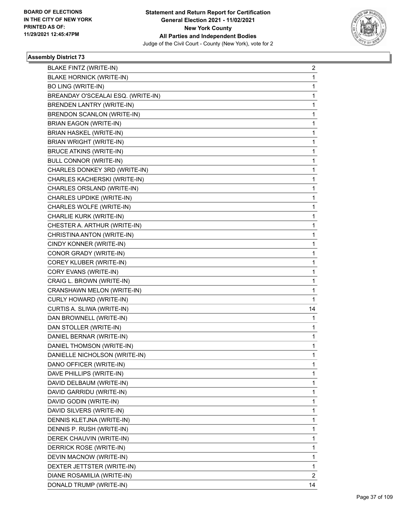

| <b>BLAKE FINTZ (WRITE-IN)</b><br><b>BLAKE HORNICK (WRITE-IN)</b> | $\overline{2}$<br>1 |
|------------------------------------------------------------------|---------------------|
| <b>BO LING (WRITE-IN)</b>                                        | 1                   |
| BREANDAY O'SCEALAI ESQ. (WRITE-IN)                               |                     |
|                                                                  | 1                   |
| <b>BRENDEN LANTRY (WRITE-IN)</b>                                 | 1                   |
| BRENDON SCANLON (WRITE-IN)                                       | 1                   |
| <b>BRIAN EAGON (WRITE-IN)</b><br><b>BRIAN HASKEL (WRITE-IN)</b>  | 1                   |
|                                                                  | 1                   |
| <b>BRIAN WRIGHT (WRITE-IN)</b>                                   | 1                   |
| <b>BRUCE ATKINS (WRITE-IN)</b>                                   | 1                   |
| <b>BULL CONNOR (WRITE-IN)</b>                                    | 1                   |
| CHARLES DONKEY 3RD (WRITE-IN)                                    | 1                   |
| CHARLES KACHERSKI (WRITE-IN)                                     | 1                   |
| CHARLES ORSLAND (WRITE-IN)                                       | 1                   |
| CHARLES UPDIKE (WRITE-IN)                                        | 1                   |
| CHARLES WOLFE (WRITE-IN)                                         | 1                   |
| CHARLIE KURK (WRITE-IN)                                          | 1                   |
| CHESTER A. ARTHUR (WRITE-IN)                                     | 1                   |
| CHRISTINA ANTON (WRITE-IN)                                       | 1                   |
| CINDY KONNER (WRITE-IN)                                          | 1                   |
| CONOR GRADY (WRITE-IN)                                           | 1                   |
| COREY KLUBER (WRITE-IN)                                          | 1                   |
| CORY EVANS (WRITE-IN)                                            | 1                   |
| CRAIG L. BROWN (WRITE-IN)                                        | 1                   |
| CRANSHAWN MELON (WRITE-IN)                                       | 1                   |
| CURLY HOWARD (WRITE-IN)                                          | 1                   |
| CURTIS A. SLIWA (WRITE-IN)                                       | 14                  |
| DAN BROWNELL (WRITE-IN)                                          | 1                   |
| DAN STOLLER (WRITE-IN)                                           | 1                   |
| DANIEL BERNAR (WRITE-IN)                                         | 1                   |
| DANIEL THOMSON (WRITE-IN)                                        | 1                   |
| DANIELLE NICHOLSON (WRITE-IN)                                    | 1                   |
| DANO OFFICER (WRITE-IN)                                          | 1                   |
| DAVE PHILLIPS (WRITE-IN)                                         | 1                   |
| DAVID DELBAUM (WRITE-IN)                                         | 1                   |
| DAVID GARRIDU (WRITE-IN)                                         | 1                   |
| DAVID GODIN (WRITE-IN)                                           | 1                   |
| DAVID SILVERS (WRITE-IN)                                         | 1                   |
| DENNIS KLETJNA (WRITE-IN)                                        | 1                   |
| DENNIS P. RUSH (WRITE-IN)                                        | 1                   |
| DEREK CHAUVIN (WRITE-IN)                                         | 1                   |
| DERRICK ROSE (WRITE-IN)                                          | 1                   |
| DEVIN MACNOW (WRITE-IN)                                          | 1                   |
| DEXTER JETTSTER (WRITE-IN)                                       | 1                   |
| DIANE ROSAMILIA (WRITE-IN)                                       | 2                   |
| DONALD TRUMP (WRITE-IN)                                          | 14                  |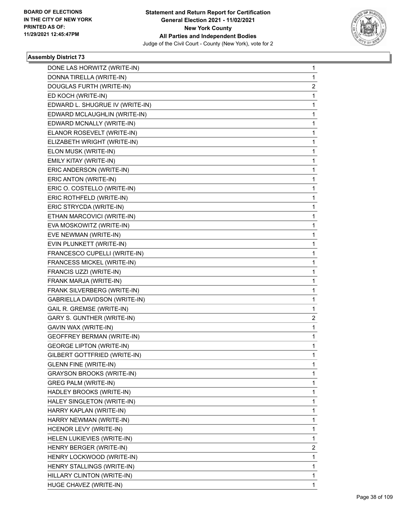

| DONE LAS HORWITZ (WRITE-IN)       | 1            |
|-----------------------------------|--------------|
| DONNA TIRELLA (WRITE-IN)          | $\mathbf{1}$ |
| DOUGLAS FURTH (WRITE-IN)          | 2            |
| ED KOCH (WRITE-IN)                | 1            |
| EDWARD L. SHUGRUE IV (WRITE-IN)   | 1            |
| EDWARD MCLAUGHLIN (WRITE-IN)      | 1            |
| EDWARD MCNALLY (WRITE-IN)         | 1            |
| ELANOR ROSEVELT (WRITE-IN)        | 1            |
| ELIZABETH WRIGHT (WRITE-IN)       | 1            |
| ELON MUSK (WRITE-IN)              | 1            |
| EMILY KITAY (WRITE-IN)            | 1            |
| ERIC ANDERSON (WRITE-IN)          | 1            |
| ERIC ANTON (WRITE-IN)             | 1            |
| ERIC O. COSTELLO (WRITE-IN)       | 1            |
| ERIC ROTHFELD (WRITE-IN)          | 1            |
| ERIC STRYCDA (WRITE-IN)           | 1            |
| ETHAN MARCOVICI (WRITE-IN)        | 1            |
| EVA MOSKOWITZ (WRITE-IN)          | 1            |
| EVE NEWMAN (WRITE-IN)             | 1            |
| EVIN PLUNKETT (WRITE-IN)          | 1            |
| FRANCESCO CUPELLI (WRITE-IN)      | 1            |
| FRANCESS MICKEL (WRITE-IN)        | 1            |
| FRANCIS UZZI (WRITE-IN)           | 1            |
| FRANK MARJA (WRITE-IN)            | 1            |
| FRANK SILVERBERG (WRITE-IN)       | 1            |
| GABRIELLA DAVIDSON (WRITE-IN)     | 1            |
| GAIL R. GREMSE (WRITE-IN)         | 1            |
| GARY S. GUNTHER (WRITE-IN)        | 2            |
| GAVIN WAX (WRITE-IN)              | 1            |
| <b>GEOFFREY BERMAN (WRITE-IN)</b> | 1            |
| <b>GEORGE LIPTON (WRITE-IN)</b>   | 1            |
| GILBERT GOTTFRIED (WRITE-IN)      | $\mathbf{1}$ |
| <b>GLENN FINE (WRITE-IN)</b>      | 1            |
| <b>GRAYSON BROOKS (WRITE-IN)</b>  | 1            |
| <b>GREG PALM (WRITE-IN)</b>       | 1            |
| HADLEY BROOKS (WRITE-IN)          | 1            |
| HALEY SINGLETON (WRITE-IN)        | 1            |
| HARRY KAPLAN (WRITE-IN)           | 1            |
| HARRY NEWMAN (WRITE-IN)           | 1            |
| HCENOR LEVY (WRITE-IN)            | 1            |
| HELEN LUKIEVIES (WRITE-IN)        | 1            |
| HENRY BERGER (WRITE-IN)           | 2            |
| HENRY LOCKWOOD (WRITE-IN)         | 1            |
| HENRY STALLINGS (WRITE-IN)        | 1            |
| HILLARY CLINTON (WRITE-IN)        | 1            |
| HUGE CHAVEZ (WRITE-IN)            | 1            |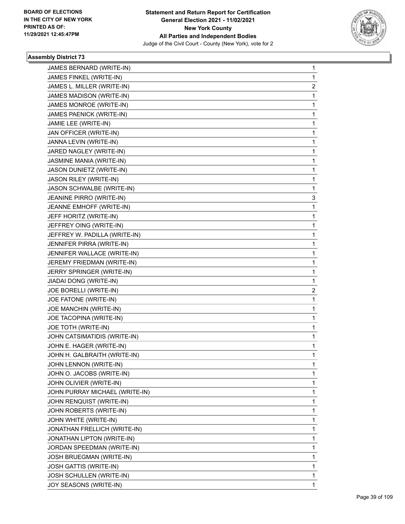

| JAMES BERNARD (WRITE-IN)       | $\mathbf{1}$   |
|--------------------------------|----------------|
| JAMES FINKEL (WRITE-IN)        | $\mathbf{1}$   |
| JAMES L. MILLER (WRITE-IN)     | $\overline{c}$ |
| JAMES MADISON (WRITE-IN)       | $\mathbf 1$    |
| JAMES MONROE (WRITE-IN)        | $\mathbf{1}$   |
| JAMES PAENICK (WRITE-IN)       | $\mathbf{1}$   |
| JAMIE LEE (WRITE-IN)           | 1              |
| JAN OFFICER (WRITE-IN)         | $\mathbf{1}$   |
| JANNA LEVIN (WRITE-IN)         | 1              |
| JARED NAGLEY (WRITE-IN)        | 1              |
| JASMINE MANIA (WRITE-IN)       | $\mathbf{1}$   |
| JASON DUNIETZ (WRITE-IN)       | $\mathbf{1}$   |
| JASON RILEY (WRITE-IN)         | 1              |
| JASON SCHWALBE (WRITE-IN)      | $\mathbf{1}$   |
| JEANINE PIRRO (WRITE-IN)       | 3              |
| JEANNE EMHOFF (WRITE-IN)       | $\mathbf 1$    |
| JEFF HORITZ (WRITE-IN)         | 1              |
| JEFFREY OING (WRITE-IN)        | $\mathbf{1}$   |
| JEFFREY W. PADILLA (WRITE-IN)  | 1              |
| JENNIFER PIRRA (WRITE-IN)      | $\mathbf{1}$   |
| JENNIFER WALLACE (WRITE-IN)    | 1              |
| JEREMY FRIEDMAN (WRITE-IN)     | $\mathbf 1$    |
| JERRY SPRINGER (WRITE-IN)      | $\mathbf{1}$   |
| JIADAI DONG (WRITE-IN)         | $\mathbf{1}$   |
| JOE BORELLI (WRITE-IN)         | 2              |
| JOE FATONE (WRITE-IN)          | $\mathbf{1}$   |
| JOE MANCHIN (WRITE-IN)         | 1              |
| JOE TACOPINA (WRITE-IN)        | $\mathbf 1$    |
| JOE TOTH (WRITE-IN)            | $\mathbf{1}$   |
| JOHN CATSIMATIDIS (WRITE-IN)   | $\mathbf{1}$   |
| JOHN E. HAGER (WRITE-IN)       | $\mathbf 1$    |
| JOHN H. GALBRAITH (WRITE-IN)   | $\mathbf{1}$   |
| JOHN LENNON (WRITE-IN)         | 1              |
| JOHN O. JACOBS (WRITE-IN)      | 1              |
| JOHN OLIVIER (WRITE-IN)        | $\mathbf 1$    |
| JOHN PURRAY MICHAEL (WRITE-IN) | 1              |
| JOHN RENQUIST (WRITE-IN)       | 1              |
| JOHN ROBERTS (WRITE-IN)        | $\mathbf 1$    |
| JOHN WHITE (WRITE-IN)          | 1              |
| JONATHAN FRELLICH (WRITE-IN)   | 1              |
| JONATHAN LIPTON (WRITE-IN)     | $\mathbf 1$    |
| JORDAN SPEEDMAN (WRITE-IN)     | 1              |
| JOSH BRUEGMAN (WRITE-IN)       | 1              |
| JOSH GATTIS (WRITE-IN)         | $\mathbf 1$    |
| JOSH SCHULLEN (WRITE-IN)       | $\mathbf{1}$   |
| JOY SEASONS (WRITE-IN)         | 1              |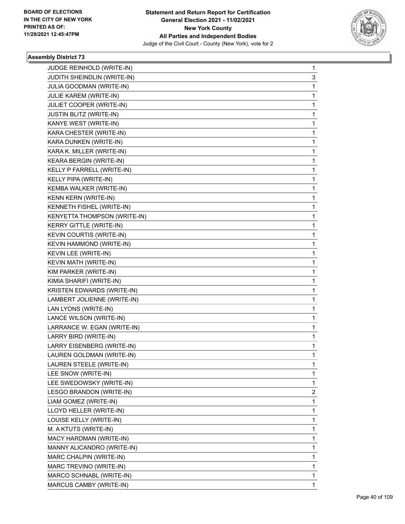

| JUDGE REINHOLD (WRITE-IN)       | $\mathbf{1}$ |
|---------------------------------|--------------|
| JUDITH SHEINDLIN (WRITE-IN)     | 3            |
| JULIA GOODMAN (WRITE-IN)        | 1            |
| JULIE KAREM (WRITE-IN)          | 1            |
| JULIET COOPER (WRITE-IN)        | 1            |
| JUSTIN BLITZ (WRITE-IN)         | 1            |
| KANYE WEST (WRITE-IN)           | $\mathbf{1}$ |
| KARA CHESTER (WRITE-IN)         | 1            |
| KARA DUNKEN (WRITE-IN)          | 1            |
| KARA K. MILLER (WRITE-IN)       | 1            |
| KEARA BERGIN (WRITE-IN)         | 1            |
| KELLY P FARRELL (WRITE-IN)      | 1            |
| KELLY PIPA (WRITE-IN)           | 1            |
| KEMBA WALKER (WRITE-IN)         | 1            |
| KENN KERN (WRITE-IN)            | 1            |
| KENNETH FISHEL (WRITE-IN)       | 1            |
| KENYETTA THOMPSON (WRITE-IN)    | 1            |
| KERRY GITTLE (WRITE-IN)         | 1            |
| <b>KEVIN COURTIS (WRITE-IN)</b> | 1            |
| KEVIN HAMMOND (WRITE-IN)        | $\mathbf{1}$ |
| KEVIN LEE (WRITE-IN)            | 1            |
| KEVIN MATH (WRITE-IN)           | 1            |
| KIM PARKER (WRITE-IN)           | 1            |
| KIMIA SHARIFI (WRITE-IN)        | 1            |
| KRISTEN EDWARDS (WRITE-IN)      | 1            |
| LAMBERT JOLIENNE (WRITE-IN)     | $\mathbf{1}$ |
| LAN LYONS (WRITE-IN)            | 1            |
| LANCE WILSON (WRITE-IN)         | 1            |
| LARRANCE W. EGAN (WRITE-IN)     | 1            |
| LARRY BIRD (WRITE-IN)           | 1            |
| LARRY EISENBERG (WRITE-IN)      | $\mathbf{1}$ |
| LAUREN GOLDMAN (WRITE-IN)       | $\mathbf{1}$ |
| LAUREN STEELE (WRITE-IN)        | 1            |
| LEE SNOW (WRITE-IN)             | 1            |
| LEE SWEDOWSKY (WRITE-IN)        | 1            |
| LESGO BRANDON (WRITE-IN)        | 2            |
| LIAM GOMEZ (WRITE-IN)           | 1            |
| LLOYD HELLER (WRITE-IN)         | 1            |
| LOUISE KELLY (WRITE-IN)         | 1            |
| M. A KTUTS (WRITE-IN)           | 1            |
| MACY HARDMAN (WRITE-IN)         | 1            |
| MANNY ALICANDRO (WRITE-IN)      | 1            |
| MARC CHALPIN (WRITE-IN)         | 1            |
| MARC TREVINO (WRITE-IN)         | 1            |
| MARCO SCHNABL (WRITE-IN)        | $\mathbf{1}$ |
| MARCUS CAMBY (WRITE-IN)         | 1            |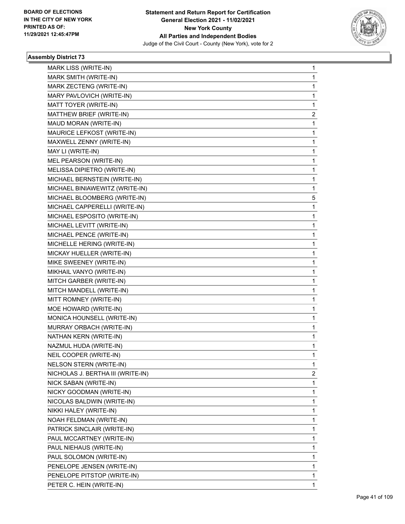

| MARK LISS (WRITE-IN)              | 1            |
|-----------------------------------|--------------|
| MARK SMITH (WRITE-IN)             | 1            |
| MARK ZECTENG (WRITE-IN)           | 1            |
| MARY PAVLOVICH (WRITE-IN)         | 1            |
| MATT TOYER (WRITE-IN)             | 1            |
| MATTHEW BRIEF (WRITE-IN)          | 2            |
| MAUD MORAN (WRITE-IN)             | 1            |
| MAURICE LEFKOST (WRITE-IN)        | 1            |
| MAXWELL ZENNY (WRITE-IN)          | 1            |
| MAY LI (WRITE-IN)                 | 1            |
| MEL PEARSON (WRITE-IN)            | 1            |
| MELISSA DIPIETRO (WRITE-IN)       | 1            |
| MICHAEL BERNSTEIN (WRITE-IN)      | 1            |
| MICHAEL BINIAWEWITZ (WRITE-IN)    | 1            |
| MICHAEL BLOOMBERG (WRITE-IN)      | 5            |
| MICHAEL CAPPERELLI (WRITE-IN)     | 1            |
| MICHAEL ESPOSITO (WRITE-IN)       | 1            |
| MICHAEL LEVITT (WRITE-IN)         | 1            |
| MICHAEL PENCE (WRITE-IN)          | 1            |
| MICHELLE HERING (WRITE-IN)        | 1            |
| MICKAY HUELLER (WRITE-IN)         | 1            |
| MIKE SWEENEY (WRITE-IN)           | 1            |
| MIKHAIL VANYO (WRITE-IN)          | 1            |
| MITCH GARBER (WRITE-IN)           | 1            |
| MITCH MANDELL (WRITE-IN)          | 1            |
| MITT ROMNEY (WRITE-IN)            | 1            |
| MOE HOWARD (WRITE-IN)             | 1            |
| MONICA HOUNSELL (WRITE-IN)        | 1            |
| MURRAY ORBACH (WRITE-IN)          | 1            |
| NATHAN KERN (WRITE-IN)            | 1            |
| NAZMUL HUDA (WRITE-IN)            | 1            |
| NEIL COOPER (WRITE-IN)            | 1            |
| NELSON STERN (WRITE-IN)           | 1            |
| NICHOLAS J. BERTHA III (WRITE-IN) | 2            |
| NICK SABAN (WRITE-IN)             | 1            |
| NICKY GOODMAN (WRITE-IN)          | 1            |
| NICOLAS BALDWIN (WRITE-IN)        | 1            |
| NIKKI HALEY (WRITE-IN)            | 1            |
| NOAH FELDMAN (WRITE-IN)           | 1            |
| PATRICK SINCLAIR (WRITE-IN)       | 1            |
| PAUL MCCARTNEY (WRITE-IN)         | 1            |
| PAUL NIEHAUS (WRITE-IN)           | 1            |
| PAUL SOLOMON (WRITE-IN)           | 1            |
| PENELOPE JENSEN (WRITE-IN)        | 1            |
| PENELOPE PITSTOP (WRITE-IN)       | 1            |
| PETER C. HEIN (WRITE-IN)          | $\mathbf{1}$ |
|                                   |              |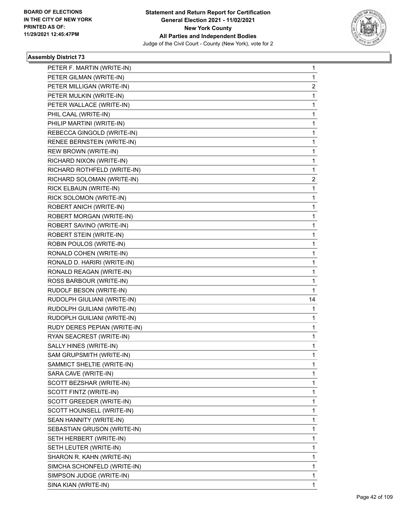

| PETER F. MARTIN (WRITE-IN)   | $\mathbf{1}$   |
|------------------------------|----------------|
| PETER GILMAN (WRITE-IN)      | $\mathbf{1}$   |
| PETER MILLIGAN (WRITE-IN)    | 2              |
| PETER MULKIN (WRITE-IN)      | $\mathbf{1}$   |
| PETER WALLACE (WRITE-IN)     | $\mathbf{1}$   |
| PHIL CAAL (WRITE-IN)         | 1              |
| PHILIP MARTINI (WRITE-IN)    | $\mathbf{1}$   |
| REBECCA GINGOLD (WRITE-IN)   | 1              |
| RENEE BERNSTEIN (WRITE-IN)   | $\mathbf{1}$   |
| REW BROWN (WRITE-IN)         | 1              |
| RICHARD NIXON (WRITE-IN)     | 1              |
| RICHARD ROTHFELD (WRITE-IN)  | 1              |
| RICHARD SOLOMAN (WRITE-IN)   | $\overline{c}$ |
| RICK ELBAUN (WRITE-IN)       | 1              |
| RICK SOLOMON (WRITE-IN)      | 1              |
| ROBERT ANICH (WRITE-IN)      | 1              |
| ROBERT MORGAN (WRITE-IN)     | 1              |
| ROBERT SAVINO (WRITE-IN)     | 1              |
| ROBERT STEIN (WRITE-IN)      | $\mathbf{1}$   |
| ROBIN POULOS (WRITE-IN)      | $\mathbf 1$    |
| RONALD COHEN (WRITE-IN)      | $\mathbf 1$    |
| RONALD D. HARIRI (WRITE-IN)  | 1              |
| RONALD REAGAN (WRITE-IN)     | 1              |
| ROSS BARBOUR (WRITE-IN)      | 1              |
| RUDOLF BESON (WRITE-IN)      | 1              |
| RUDOLPH GIULIANI (WRITE-IN)  | 14             |
| RUDOLPH GUILIANI (WRITE-IN)  | 1              |
| RUDOPLH GUILIANI (WRITE-IN)  | 1              |
| RUDY DERES PEPIAN (WRITE-IN) | 1              |
| RYAN SEACREST (WRITE-IN)     | $\mathbf{1}$   |
| SALLY HINES (WRITE-IN)       | $\mathbf 1$    |
| SAM GRUPSMITH (WRITE-IN)     | $\mathbf{1}$   |
| SAMMICT SHELTIE (WRITE-IN)   | 1              |
| SARA CAVE (WRITE-IN)         | 1              |
| SCOTT BEZSHAR (WRITE-IN)     | 1              |
| SCOTT FINTZ (WRITE-IN)       | 1              |
| SCOTT GREEDER (WRITE-IN)     | 1              |
| SCOTT HOUNSELL (WRITE-IN)    | 1              |
| SEAN HANNITY (WRITE-IN)      | 1              |
| SEBASTIAN GRUSON (WRITE-IN)  | 1              |
| SETH HERBERT (WRITE-IN)      | 1              |
| SETH LEUTER (WRITE-IN)       | 1              |
| SHARON R. KAHN (WRITE-IN)    | 1              |
| SIMCHA SCHONFELD (WRITE-IN)  | 1              |
| SIMPSON JUDGE (WRITE-IN)     | 1              |
| SINA KIAN (WRITE-IN)         | 1              |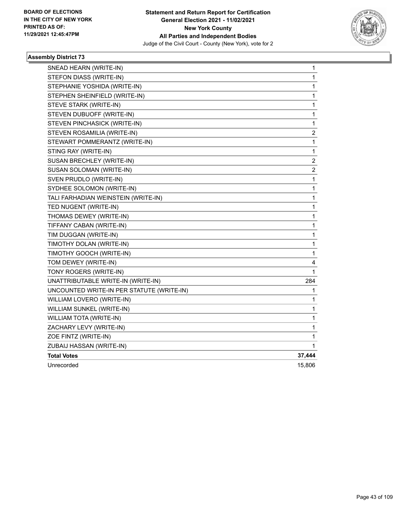

| SNEAD HEARN (WRITE-IN)                    | 1                       |
|-------------------------------------------|-------------------------|
| STEFON DIASS (WRITE-IN)                   | 1                       |
| STEPHANIE YOSHIDA (WRITE-IN)              | 1                       |
| STEPHEN SHEINFIELD (WRITE-IN)             | 1                       |
| STEVE STARK (WRITE-IN)                    | 1                       |
| STEVEN DUBUOFF (WRITE-IN)                 | 1                       |
| STEVEN PINCHASICK (WRITE-IN)              | 1                       |
| STEVEN ROSAMILIA (WRITE-IN)               | 2                       |
| STEWART POMMERANTZ (WRITE-IN)             | 1                       |
| STING RAY (WRITE-IN)                      | $\mathbf 1$             |
| SUSAN BRECHLEY (WRITE-IN)                 | $\overline{\mathbf{c}}$ |
| SUSAN SOLOMAN (WRITE-IN)                  | $\boldsymbol{2}$        |
| SVEN PRUDLO (WRITE-IN)                    | 1                       |
| SYDHEE SOLOMON (WRITE-IN)                 | 1                       |
| TALI FARHADIAN WEINSTEIN (WRITE-IN)       | 1                       |
| TED NUGENT (WRITE-IN)                     | 1                       |
| THOMAS DEWEY (WRITE-IN)                   | 1                       |
| TIFFANY CABAN (WRITE-IN)                  | 1                       |
| TIM DUGGAN (WRITE-IN)                     | 1                       |
| TIMOTHY DOLAN (WRITE-IN)                  | 1                       |
| TIMOTHY GOOCH (WRITE-IN)                  | 1                       |
| TOM DEWEY (WRITE-IN)                      | 4                       |
| TONY ROGERS (WRITE-IN)                    | 1                       |
| UNATTRIBUTABLE WRITE-IN (WRITE-IN)        | 284                     |
| UNCOUNTED WRITE-IN PER STATUTE (WRITE-IN) | 1                       |
| WILLIAM LOVERO (WRITE-IN)                 | 1                       |
| WILLIAM SUNKEL (WRITE-IN)                 | 1                       |
| WILLIAM TOTA (WRITE-IN)                   | 1                       |
| ZACHARY LEVY (WRITE-IN)                   | 1                       |
| ZOE FINTZ (WRITE-IN)                      | 1                       |
| ZUBAIJ HASSAN (WRITE-IN)                  | 1                       |
| <b>Total Votes</b>                        | 37,444                  |
| Unrecorded                                | 15,806                  |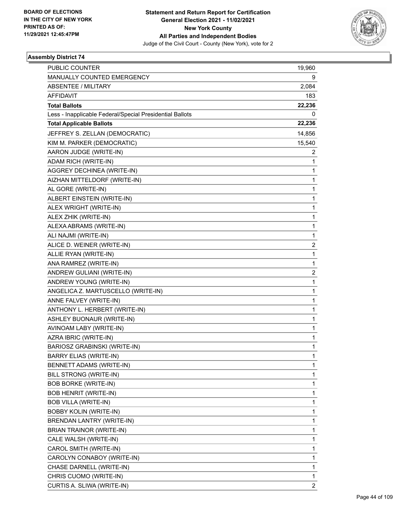

| <b>PUBLIC COUNTER</b>                                    | 19,960         |
|----------------------------------------------------------|----------------|
| MANUALLY COUNTED EMERGENCY                               | 9              |
| <b>ABSENTEE / MILITARY</b>                               | 2,084          |
| <b>AFFIDAVIT</b>                                         | 183            |
| <b>Total Ballots</b>                                     | 22,236         |
| Less - Inapplicable Federal/Special Presidential Ballots | 0              |
| <b>Total Applicable Ballots</b>                          | 22,236         |
| JEFFREY S. ZELLAN (DEMOCRATIC)                           | 14,856         |
| KIM M. PARKER (DEMOCRATIC)                               | 15,540         |
| AARON JUDGE (WRITE-IN)                                   | 2              |
| ADAM RICH (WRITE-IN)                                     | 1              |
| AGGREY DECHINEA (WRITE-IN)                               | 1              |
| AIZHAN MITTELDORF (WRITE-IN)                             | 1              |
| AL GORE (WRITE-IN)                                       | 1              |
| ALBERT EINSTEIN (WRITE-IN)                               | 1              |
| ALEX WRIGHT (WRITE-IN)                                   | 1              |
| ALEX ZHIK (WRITE-IN)                                     | 1              |
| ALEXA ABRAMS (WRITE-IN)                                  | 1              |
| ALI NAJMI (WRITE-IN)                                     | 1              |
| ALICE D. WEINER (WRITE-IN)                               | $\overline{2}$ |
| ALLIE RYAN (WRITE-IN)                                    | 1              |
| ANA RAMREZ (WRITE-IN)                                    | 1              |
| ANDREW GULIANI (WRITE-IN)                                | $\overline{2}$ |
| ANDREW YOUNG (WRITE-IN)                                  | 1              |
| ANGELICA Z. MARTUSCELLO (WRITE-IN)                       | 1              |
| ANNE FALVEY (WRITE-IN)                                   | 1              |
| ANTHONY L. HERBERT (WRITE-IN)                            | 1              |
| ASHLEY BUONAUR (WRITE-IN)                                | 1              |
| AVINOAM LABY (WRITE-IN)                                  | 1              |
| AZRA IBRIC (WRITE-IN)                                    | 1              |
| <b>BARIOSZ GRABINSKI (WRITE-IN)</b>                      | 1              |
| <b>BARRY ELIAS (WRITE-IN)</b>                            | 1              |
| BENNETT ADAMS (WRITE-IN)                                 | 1              |
| <b>BILL STRONG (WRITE-IN)</b>                            | 1              |
| <b>BOB BORKE (WRITE-IN)</b>                              | 1              |
| <b>BOB HENRIT (WRITE-IN)</b>                             | 1              |
| <b>BOB VILLA (WRITE-IN)</b>                              | 1              |
| <b>BOBBY KOLIN (WRITE-IN)</b>                            | 1              |
| <b>BRENDAN LANTRY (WRITE-IN)</b>                         | 1              |
| BRIAN TRAINOR (WRITE-IN)                                 | 1              |
| CALE WALSH (WRITE-IN)                                    | 1              |
| CAROL SMITH (WRITE-IN)                                   | 1              |
| CAROLYN CONABOY (WRITE-IN)                               | 1              |
| CHASE DARNELL (WRITE-IN)                                 | 1              |
| CHRIS CUOMO (WRITE-IN)                                   | 1              |
| CURTIS A. SLIWA (WRITE-IN)                               | $\overline{2}$ |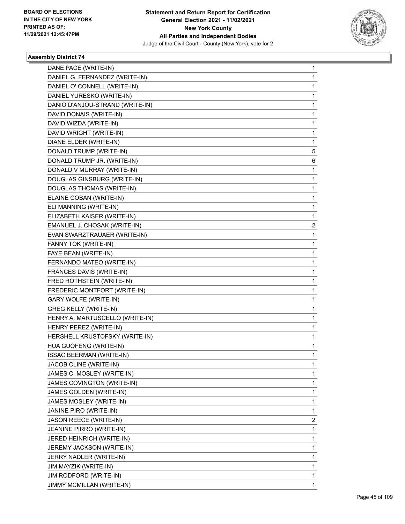

| DANE PACE (WRITE-IN)            | 1 |
|---------------------------------|---|
| DANIEL G. FERNANDEZ (WRITE-IN)  | 1 |
| DANIEL O' CONNELL (WRITE-IN)    | 1 |
| DANIEL YURESKO (WRITE-IN)       | 1 |
| DANIO D'ANJOU-STRAND (WRITE-IN) | 1 |
| DAVID DONAIS (WRITE-IN)         | 1 |
| DAVID WIZDA (WRITE-IN)          | 1 |
| DAVID WRIGHT (WRITE-IN)         | 1 |
| DIANE ELDER (WRITE-IN)          | 1 |
| DONALD TRUMP (WRITE-IN)         | 5 |
| DONALD TRUMP JR. (WRITE-IN)     | 6 |
| DONALD V MURRAY (WRITE-IN)      | 1 |
| DOUGLAS GINSBURG (WRITE-IN)     | 1 |
| DOUGLAS THOMAS (WRITE-IN)       | 1 |
| ELAINE COBAN (WRITE-IN)         | 1 |
| ELI MANNING (WRITE-IN)          | 1 |
| ELIZABETH KAISER (WRITE-IN)     | 1 |
| EMANUEL J. CHOSAK (WRITE-IN)    | 2 |
| EVAN SWARZTRAUAER (WRITE-IN)    | 1 |
| FANNY TOK (WRITE-IN)            | 1 |
| FAYE BEAN (WRITE-IN)            | 1 |
| FERNANDO MATEO (WRITE-IN)       | 1 |
| FRANCES DAVIS (WRITE-IN)        | 1 |
| FRED ROTHSTEIN (WRITE-IN)       | 1 |
| FREDERIC MONTFORT (WRITE-IN)    | 1 |
| <b>GARY WOLFE (WRITE-IN)</b>    | 1 |
| <b>GREG KELLY (WRITE-IN)</b>    | 1 |
| HENRY A. MARTUSCELLO (WRITE-IN) | 1 |
| HENRY PEREZ (WRITE-IN)          | 1 |
| HERSHELL KRUSTOFSKY (WRITE-IN)  | 1 |
| HUA GUOFENG (WRITE-IN)          | 1 |
| <b>ISSAC BEERMAN (WRITE-IN)</b> | 1 |
| JACOB CLINE (WRITE-IN)          | 1 |
| JAMES C. MOSLEY (WRITE-IN)      | 1 |
| JAMES COVINGTON (WRITE-IN)      | 1 |
| JAMES GOLDEN (WRITE-IN)         | 1 |
| JAMES MOSLEY (WRITE-IN)         | 1 |
| JANINE PIRO (WRITE-IN)          | 1 |
| JASON REECE (WRITE-IN)          | 2 |
| JEANINE PIRRO (WRITE-IN)        | 1 |
| JERED HEINRICH (WRITE-IN)       | 1 |
| JEREMY JACKSON (WRITE-IN)       | 1 |
| JERRY NADLER (WRITE-IN)         | 1 |
| JIM MAYZIK (WRITE-IN)           | 1 |
| JIM RODFORD (WRITE-IN)          | 1 |
| JIMMY MCMILLAN (WRITE-IN)       | 1 |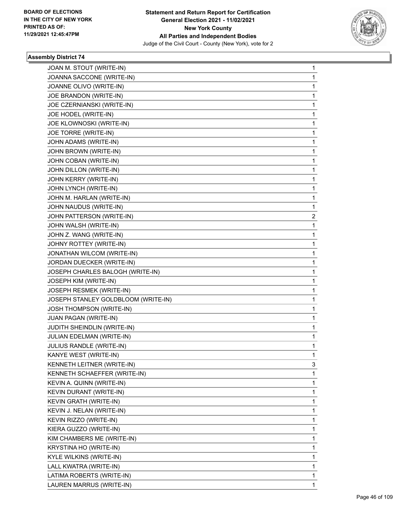

| JOAN M. STOUT (WRITE-IN)            | $\mathbf{1}$ |
|-------------------------------------|--------------|
| JOANNA SACCONE (WRITE-IN)           | 1            |
| JOANNE OLIVO (WRITE-IN)             | 1            |
| JOE BRANDON (WRITE-IN)              | 1            |
| JOE CZERNIANSKI (WRITE-IN)          | 1            |
| JOE HODEL (WRITE-IN)                | 1            |
| JOE KLOWNOSKI (WRITE-IN)            | $\mathbf 1$  |
| JOE TORRE (WRITE-IN)                | 1            |
| JOHN ADAMS (WRITE-IN)               | 1            |
| JOHN BROWN (WRITE-IN)               | 1            |
| JOHN COBAN (WRITE-IN)               | 1            |
| JOHN DILLON (WRITE-IN)              | 1            |
| JOHN KERRY (WRITE-IN)               | $\mathbf 1$  |
| JOHN LYNCH (WRITE-IN)               | 1            |
| JOHN M. HARLAN (WRITE-IN)           | 1            |
| JOHN NAUDUS (WRITE-IN)              | 1            |
| JOHN PATTERSON (WRITE-IN)           | 2            |
| JOHN WALSH (WRITE-IN)               | 1            |
| JOHN Z. WANG (WRITE-IN)             | $\mathbf 1$  |
| JOHNY ROTTEY (WRITE-IN)             | 1            |
| JONATHAN WILCOM (WRITE-IN)          | 1            |
| JORDAN DUECKER (WRITE-IN)           | 1            |
| JOSEPH CHARLES BALOGH (WRITE-IN)    | 1            |
| JOSEPH KIM (WRITE-IN)               | 1            |
| JOSEPH RESMEK (WRITE-IN)            | $\mathbf 1$  |
| JOSEPH STANLEY GOLDBLOOM (WRITE-IN) | 1            |
| <b>JOSH THOMPSON (WRITE-IN)</b>     | 1            |
| JUAN PAGAN (WRITE-IN)               | 1            |
| JUDITH SHEINDLIN (WRITE-IN)         | $\mathbf 1$  |
| JULIAN EDELMAN (WRITE-IN)           | 1            |
| JULIUS RANDLE (WRITE-IN)            | $\mathbf 1$  |
| KANYE WEST (WRITE-IN)               | 1            |
| KENNETH LEITNER (WRITE-IN)          | 3            |
| KENNETH SCHAEFFER (WRITE-IN)        | 1            |
| KEVIN A. QUINN (WRITE-IN)           | 1            |
| KEVIN DURANT (WRITE-IN)             | 1            |
| <b>KEVIN GRATH (WRITE-IN)</b>       | 1            |
| KEVIN J. NELAN (WRITE-IN)           | 1            |
| KEVIN RIZZO (WRITE-IN)              | 1            |
| KIERA GUZZO (WRITE-IN)              | 1            |
| KIM CHAMBERS ME (WRITE-IN)          | 1            |
| KRYSTINA HO (WRITE-IN)              | 1            |
| KYLE WILKINS (WRITE-IN)             | 1            |
| LALL KWATRA (WRITE-IN)              | 1            |
| LATIMA ROBERTS (WRITE-IN)           | 1            |
| LAUREN MARRUS (WRITE-IN)            | $\mathbf{1}$ |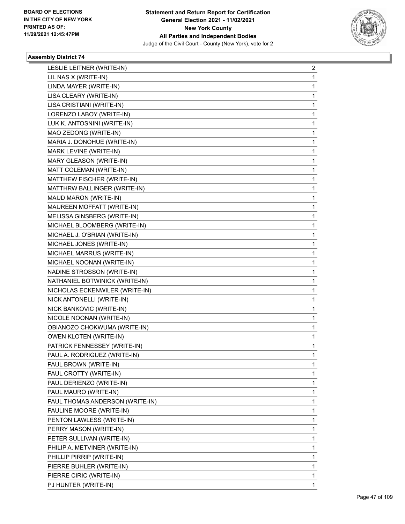

| LESLIE LEITNER (WRITE-IN)       | $\overline{a}$ |
|---------------------------------|----------------|
| LIL NAS X (WRITE-IN)            | $\mathbf{1}$   |
| LINDA MAYER (WRITE-IN)          | $\mathbf 1$    |
| LISA CLEARY (WRITE-IN)          | 1              |
| LISA CRISTIANI (WRITE-IN)       | $\mathbf{1}$   |
| LORENZO LABOY (WRITE-IN)        | 1              |
| LUK K. ANTOSNINI (WRITE-IN)     | 1              |
| MAO ZEDONG (WRITE-IN)           | $\mathbf{1}$   |
| MARIA J. DONOHUE (WRITE-IN)     | $\mathbf 1$    |
| MARK LEVINE (WRITE-IN)          | 1              |
| MARY GLEASON (WRITE-IN)         | $\mathbf{1}$   |
| MATT COLEMAN (WRITE-IN)         | 1              |
| MATTHEW FISCHER (WRITE-IN)      | 1              |
| MATTHRW BALLINGER (WRITE-IN)    | $\mathbf{1}$   |
| MAUD MARON (WRITE-IN)           | $\mathbf 1$    |
| MAUREEN MOFFATT (WRITE-IN)      | 1              |
| MELISSA GINSBERG (WRITE-IN)     | $\mathbf{1}$   |
| MICHAEL BLOOMBERG (WRITE-IN)    | 1              |
| MICHAEL J. O'BRIAN (WRITE-IN)   | 1              |
| MICHAEL JONES (WRITE-IN)        | $\mathbf{1}$   |
| MICHAEL MARRUS (WRITE-IN)       | $\mathbf 1$    |
| MICHAEL NOONAN (WRITE-IN)       | 1              |
| NADINE STROSSON (WRITE-IN)      | $\mathbf{1}$   |
| NATHANIEL BOTWINICK (WRITE-IN)  | 1              |
| NICHOLAS ECKENWILER (WRITE-IN)  | 1              |
| NICK ANTONELLI (WRITE-IN)       | $\mathbf{1}$   |
| NICK BANKOVIC (WRITE-IN)        | 1              |
| NICOLE NOONAN (WRITE-IN)        | 1              |
| OBIANOZO CHOKWUMA (WRITE-IN)    | $\mathbf{1}$   |
| <b>OWEN KLOTEN (WRITE-IN)</b>   | $\mathbf 1$    |
| PATRICK FENNESSEY (WRITE-IN)    | 1              |
| PAUL A. RODRIGUEZ (WRITE-IN)    | $\mathbf{1}$   |
| PAUL BROWN (WRITE-IN)           | 1              |
| PAUL CROTTY (WRITE-IN)          | 1              |
| PAUL DERIENZO (WRITE-IN)        | $\mathbf 1$    |
| PAUL MAURO (WRITE-IN)           | 1              |
| PAUL THOMAS ANDERSON (WRITE-IN) | 1              |
| PAULINE MOORE (WRITE-IN)        | $\mathbf 1$    |
| PENTON LAWLESS (WRITE-IN)       | 1              |
| PERRY MASON (WRITE-IN)          | 1              |
| PETER SULLIVAN (WRITE-IN)       | $\mathbf{1}$   |
| PHILIP A. METVINER (WRITE-IN)   | 1              |
| PHILLIP PIRRIP (WRITE-IN)       | 1              |
| PIERRE BUHLER (WRITE-IN)        | $\mathbf 1$    |
| PIERRE CIRIC (WRITE-IN)         | 1              |
| PJ HUNTER (WRITE-IN)            | 1              |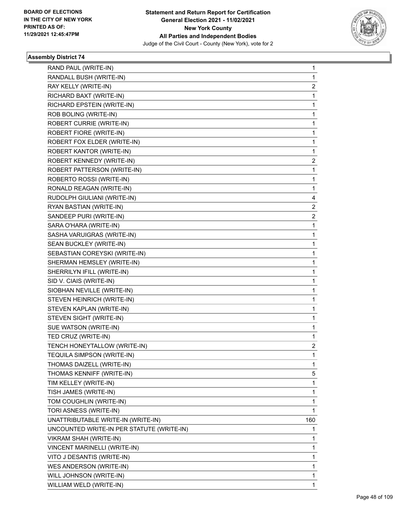

| RAND PAUL (WRITE-IN)                      | $\mathbf{1}$   |
|-------------------------------------------|----------------|
| RANDALL BUSH (WRITE-IN)                   | $\mathbf{1}$   |
| RAY KELLY (WRITE-IN)                      | 2              |
| RICHARD BAXT (WRITE-IN)                   | $\mathbf 1$    |
| RICHARD EPSTEIN (WRITE-IN)                | 1              |
| ROB BOLING (WRITE-IN)                     | 1              |
| ROBERT CURRIE (WRITE-IN)                  | $\mathbf 1$    |
| ROBERT FIORE (WRITE-IN)                   | 1              |
| ROBERT FOX ELDER (WRITE-IN)               | 1              |
| ROBERT KANTOR (WRITE-IN)                  | 1              |
| ROBERT KENNEDY (WRITE-IN)                 | 2              |
| ROBERT PATTERSON (WRITE-IN)               | 1              |
| ROBERTO ROSSI (WRITE-IN)                  | $\mathbf 1$    |
| RONALD REAGAN (WRITE-IN)                  | $\mathbf{1}$   |
| RUDOLPH GIULIANI (WRITE-IN)               | 4              |
| RYAN BASTIAN (WRITE-IN)                   | 2              |
| SANDEEP PURI (WRITE-IN)                   | 2              |
| SARA O'HARA (WRITE-IN)                    | 1              |
| SASHA VARUIGRAS (WRITE-IN)                | $\mathbf 1$    |
| SEAN BUCKLEY (WRITE-IN)                   | $\mathbf{1}$   |
| SEBASTIAN COREYSKI (WRITE-IN)             | 1              |
| SHERMAN HEMSLEY (WRITE-IN)                | $\mathbf 1$    |
| SHERRILYN IFILL (WRITE-IN)                | $\mathbf 1$    |
| SID V. CIAIS (WRITE-IN)                   | 1              |
| SIOBHAN NEVILLE (WRITE-IN)                | $\mathbf 1$    |
| STEVEN HEINRICH (WRITE-IN)                | $\mathbf{1}$   |
| STEVEN KAPLAN (WRITE-IN)                  | 1              |
| STEVEN SIGHT (WRITE-IN)                   | $\mathbf 1$    |
| SUE WATSON (WRITE-IN)                     | $\mathbf{1}$   |
| TED CRUZ (WRITE-IN)                       | 1              |
| TENCH HONEYTALLOW (WRITE-IN)              | $\overline{a}$ |
| TEQUILA SIMPSON (WRITE-IN)                | $\mathbf 1$    |
| THOMAS DAIZELL (WRITE-IN)                 | 1              |
| THOMAS KENNIFF (WRITE-IN)                 | 5              |
| TIM KELLEY (WRITE-IN)                     | 1              |
| TISH JAMES (WRITE-IN)                     | 1              |
| TOM COUGHLIN (WRITE-IN)                   | 1              |
| TORI ASNESS (WRITE-IN)                    | 1              |
| UNATTRIBUTABLE WRITE-IN (WRITE-IN)        | 160            |
| UNCOUNTED WRITE-IN PER STATUTE (WRITE-IN) | 1              |
| VIKRAM SHAH (WRITE-IN)                    | 1              |
| VINCENT MARINELLI (WRITE-IN)              | 1              |
| VITO J DESANTIS (WRITE-IN)                | 1              |
| WES ANDERSON (WRITE-IN)                   | 1              |
| WILL JOHNSON (WRITE-IN)                   | 1              |
| WILLIAM WELD (WRITE-IN)                   | 1              |
|                                           |                |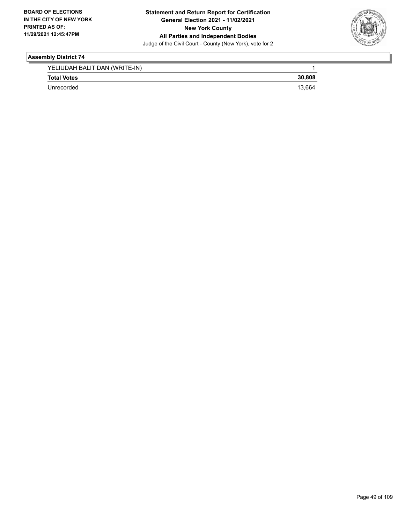

| YELIUDAH BALIT DAN (WRITE-IN) |        |
|-------------------------------|--------|
| <b>Total Votes</b>            | 30.808 |
| Unrecorded                    | 13.664 |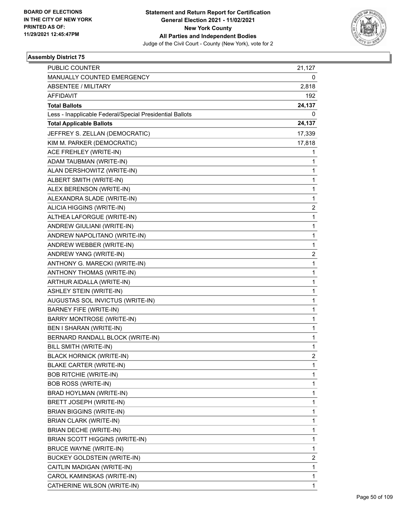

| PUBLIC COUNTER                                           | 21,127         |
|----------------------------------------------------------|----------------|
| MANUALLY COUNTED EMERGENCY                               | 0              |
| <b>ABSENTEE / MILITARY</b>                               | 2,818          |
| AFFIDAVIT                                                | 192            |
| <b>Total Ballots</b>                                     | 24,137         |
| Less - Inapplicable Federal/Special Presidential Ballots | 0              |
| <b>Total Applicable Ballots</b>                          | 24,137         |
| JEFFREY S. ZELLAN (DEMOCRATIC)                           | 17,339         |
| KIM M. PARKER (DEMOCRATIC)                               | 17,818         |
| ACE FREHLEY (WRITE-IN)                                   | 1              |
| ADAM TAUBMAN (WRITE-IN)                                  | 1              |
| ALAN DERSHOWITZ (WRITE-IN)                               | 1              |
| ALBERT SMITH (WRITE-IN)                                  | $\mathbf{1}$   |
| ALEX BERENSON (WRITE-IN)                                 | $\mathbf{1}$   |
| ALEXANDRA SLADE (WRITE-IN)                               | 1              |
| ALICIA HIGGINS (WRITE-IN)                                | 2              |
| ALTHEA LAFORGUE (WRITE-IN)                               | $\mathbf{1}$   |
| ANDREW GIULIANI (WRITE-IN)                               | 1              |
| ANDREW NAPOLITANO (WRITE-IN)                             | $\mathbf{1}$   |
| ANDREW WEBBER (WRITE-IN)                                 | $\mathbf{1}$   |
| ANDREW YANG (WRITE-IN)                                   | 2              |
| ANTHONY G. MARECKI (WRITE-IN)                            | $\mathbf{1}$   |
| ANTHONY THOMAS (WRITE-IN)                                | $\mathbf{1}$   |
| ARTHUR AIDALLA (WRITE-IN)                                | 1              |
| ASHLEY STEIN (WRITE-IN)                                  | $\mathbf{1}$   |
| AUGUSTAS SOL INVICTUS (WRITE-IN)                         | $\mathbf{1}$   |
| <b>BARNEY FIFE (WRITE-IN)</b>                            | 1              |
| <b>BARRY MONTROSE (WRITE-IN)</b>                         | $\mathbf 1$    |
| BEN I SHARAN (WRITE-IN)                                  | $\mathbf{1}$   |
| BERNARD RANDALL BLOCK (WRITE-IN)                         | 1              |
| BILL SMITH (WRITE-IN)                                    | $\mathbf{1}$   |
| <b>BLACK HORNICK (WRITE-IN)</b>                          | $\overline{c}$ |
| BLAKE CARTER (WRITE-IN)                                  | 1              |
| <b>BOB RITCHIE (WRITE-IN)</b>                            | 1              |
| <b>BOB ROSS (WRITE-IN)</b>                               | 1              |
| BRAD HOYLMAN (WRITE-IN)                                  | 1              |
| BRETT JOSEPH (WRITE-IN)                                  | $\mathbf 1$    |
| BRIAN BIGGINS (WRITE-IN)                                 | $\mathbf{1}$   |
| BRIAN CLARK (WRITE-IN)                                   | 1              |
| BRIAN DECHE (WRITE-IN)                                   | $\mathbf{1}$   |
| BRIAN SCOTT HIGGINS (WRITE-IN)                           | $\mathbf 1$    |
| <b>BRUCE WAYNE (WRITE-IN)</b>                            | 1              |
| <b>BUCKEY GOLDSTEIN (WRITE-IN)</b>                       | 2              |
| CAITLIN MADIGAN (WRITE-IN)                               | $\mathbf{1}$   |
| CAROL KAMINSKAS (WRITE-IN)                               | 1              |
| CATHERINE WILSON (WRITE-IN)                              | $\mathbf{1}$   |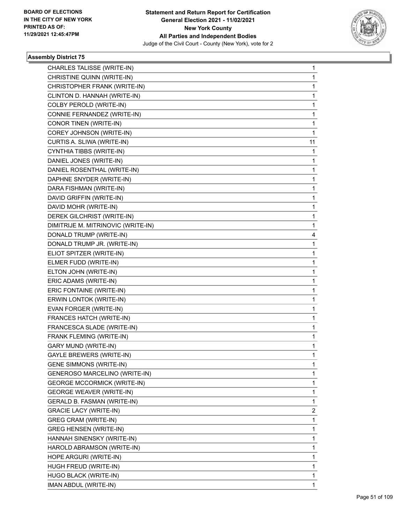

| CHARLES TALISSE (WRITE-IN)         | 1              |
|------------------------------------|----------------|
| CHRISTINE QUINN (WRITE-IN)         | 1              |
| CHRISTOPHER FRANK (WRITE-IN)       | 1              |
| CLINTON D. HANNAH (WRITE-IN)       | 1              |
| COLBY PEROLD (WRITE-IN)            | 1              |
| CONNIE FERNANDEZ (WRITE-IN)        | 1              |
| CONOR TINEN (WRITE-IN)             | 1              |
| COREY JOHNSON (WRITE-IN)           | 1              |
| CURTIS A. SLIWA (WRITE-IN)         | 11             |
| CYNTHIA TIBBS (WRITE-IN)           | 1              |
| DANIEL JONES (WRITE-IN)            | 1              |
| DANIEL ROSENTHAL (WRITE-IN)        | 1              |
| DAPHNE SNYDER (WRITE-IN)           | 1              |
| DARA FISHMAN (WRITE-IN)            | 1              |
| DAVID GRIFFIN (WRITE-IN)           | 1              |
| DAVID MOHR (WRITE-IN)              | 1              |
| DEREK GILCHRIST (WRITE-IN)         | 1              |
| DIMITRIJE M. MITRINOVIC (WRITE-IN) | 1              |
| DONALD TRUMP (WRITE-IN)            | 4              |
| DONALD TRUMP JR. (WRITE-IN)        | 1              |
| ELIOT SPITZER (WRITE-IN)           | 1              |
| ELMER FUDD (WRITE-IN)              | 1              |
| ELTON JOHN (WRITE-IN)              | 1              |
| ERIC ADAMS (WRITE-IN)              | 1              |
| ERIC FONTAINE (WRITE-IN)           | 1              |
| ERWIN LONTOK (WRITE-IN)            | 1              |
| EVAN FORGER (WRITE-IN)             | 1              |
| FRANCES HATCH (WRITE-IN)           | 1              |
| FRANCESCA SLADE (WRITE-IN)         | 1              |
| FRANK FLEMING (WRITE-IN)           | 1              |
| <b>GARY MUND (WRITE-IN)</b>        | 1              |
| <b>GAYLE BREWERS (WRITE-IN)</b>    | 1              |
| <b>GENE SIMMONS (WRITE-IN)</b>     | 1              |
| GENEROSO MARCELINO (WRITE-IN)      | 1              |
| <b>GEORGE MCCORMICK (WRITE-IN)</b> | 1              |
| <b>GEORGE WEAVER (WRITE-IN)</b>    | 1              |
| GERALD B. FASMAN (WRITE-IN)        | 1              |
| <b>GRACIE LACY (WRITE-IN)</b>      | $\overline{c}$ |
| GREG CRAM (WRITE-IN)               | 1              |
| <b>GREG HENSEN (WRITE-IN)</b>      | 1              |
| HANNAH SINENSKY (WRITE-IN)         | 1              |
| HAROLD ABRAMSON (WRITE-IN)         | 1              |
| HOPE ARGURI (WRITE-IN)             | 1              |
| HUGH FREUD (WRITE-IN)              | 1              |
| HUGO BLACK (WRITE-IN)              | 1              |
| IMAN ABDUL (WRITE-IN)              | 1              |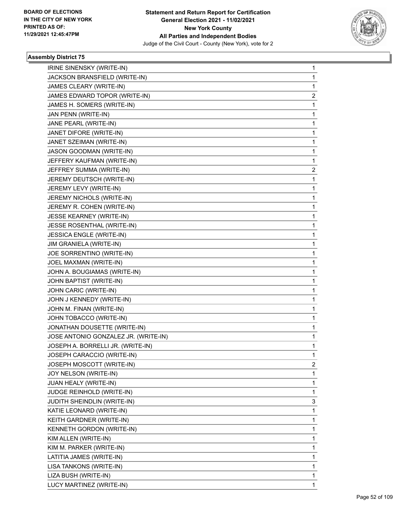

| IRINE SINENSKY (WRITE-IN)            | 1 |
|--------------------------------------|---|
| JACKSON BRANSFIELD (WRITE-IN)        | 1 |
| JAMES CLEARY (WRITE-IN)              | 1 |
| JAMES EDWARD TOPOR (WRITE-IN)        | 2 |
| JAMES H. SOMERS (WRITE-IN)           | 1 |
| JAN PENN (WRITE-IN)                  | 1 |
| JANE PEARL (WRITE-IN)                | 1 |
| JANET DIFORE (WRITE-IN)              | 1 |
| JANET SZEIMAN (WRITE-IN)             | 1 |
| JASON GOODMAN (WRITE-IN)             | 1 |
| JEFFERY KAUFMAN (WRITE-IN)           | 1 |
| JEFFREY SUMMA (WRITE-IN)             | 2 |
| JEREMY DEUTSCH (WRITE-IN)            | 1 |
| JEREMY LEVY (WRITE-IN)               | 1 |
| JEREMY NICHOLS (WRITE-IN)            | 1 |
| JEREMY R. COHEN (WRITE-IN)           | 1 |
| <b>JESSE KEARNEY (WRITE-IN)</b>      | 1 |
| JESSE ROSENTHAL (WRITE-IN)           | 1 |
| JESSICA ENGLE (WRITE-IN)             | 1 |
| JIM GRANIELA (WRITE-IN)              | 1 |
| JOE SORRENTINO (WRITE-IN)            | 1 |
| JOEL MAXMAN (WRITE-IN)               | 1 |
| JOHN A. BOUGIAMAS (WRITE-IN)         | 1 |
| JOHN BAPTIST (WRITE-IN)              | 1 |
| JOHN CARIC (WRITE-IN)                | 1 |
| JOHN J KENNEDY (WRITE-IN)            | 1 |
| JOHN M. FINAN (WRITE-IN)             | 1 |
| JOHN TOBACCO (WRITE-IN)              | 1 |
| JONATHAN DOUSETTE (WRITE-IN)         | 1 |
| JOSE ANTONIO GONZALEZ JR. (WRITE-IN) | 1 |
| JOSEPH A. BORRELLI JR. (WRITE-IN)    | 1 |
| JOSEPH CARACCIO (WRITE-IN)           | 1 |
| JOSEPH MOSCOTT (WRITE-IN)            | 2 |
| JOY NELSON (WRITE-IN)                | 1 |
| JUAN HEALY (WRITE-IN)                | 1 |
| JUDGE REINHOLD (WRITE-IN)            | 1 |
| JUDITH SHEINDLIN (WRITE-IN)          | 3 |
| KATIE LEONARD (WRITE-IN)             | 1 |
| KEITH GARDNER (WRITE-IN)             | 1 |
| KENNETH GORDON (WRITE-IN)            | 1 |
| KIM ALLEN (WRITE-IN)                 | 1 |
| KIM M. PARKER (WRITE-IN)             | 1 |
| LATITIA JAMES (WRITE-IN)             | 1 |
| LISA TANKONS (WRITE-IN)              | 1 |
| LIZA BUSH (WRITE-IN)                 | 1 |
| LUCY MARTINEZ (WRITE-IN)             | 1 |
|                                      |   |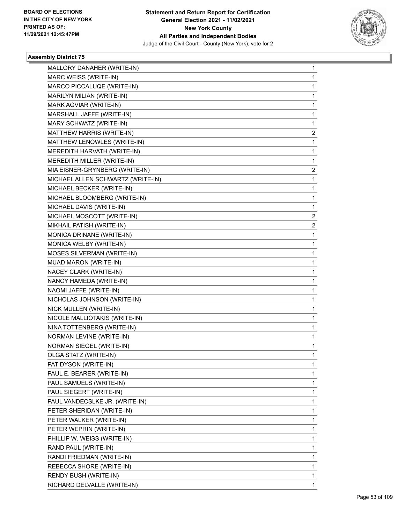

| MALLORY DANAHER (WRITE-IN)        | 1 |
|-----------------------------------|---|
| MARC WEISS (WRITE-IN)             | 1 |
| MARCO PICCALUQE (WRITE-IN)        | 1 |
| MARILYN MILIAN (WRITE-IN)         | 1 |
| MARK AGVIAR (WRITE-IN)            | 1 |
| MARSHALL JAFFE (WRITE-IN)         | 1 |
| MARY SCHWATZ (WRITE-IN)           | 1 |
| MATTHEW HARRIS (WRITE-IN)         | 2 |
| MATTHEW LENOWLES (WRITE-IN)       | 1 |
| MEREDITH HARVATH (WRITE-IN)       | 1 |
| MEREDITH MILLER (WRITE-IN)        | 1 |
| MIA EISNER-GRYNBERG (WRITE-IN)    | 2 |
| MICHAEL ALLEN SCHWARTZ (WRITE-IN) | 1 |
| MICHAEL BECKER (WRITE-IN)         | 1 |
| MICHAEL BLOOMBERG (WRITE-IN)      | 1 |
| MICHAEL DAVIS (WRITE-IN)          | 1 |
| MICHAEL MOSCOTT (WRITE-IN)        | 2 |
| MIKHAIL PATISH (WRITE-IN)         | 2 |
| MONICA DRINANE (WRITE-IN)         | 1 |
| MONICA WELBY (WRITE-IN)           | 1 |
| MOSES SILVERMAN (WRITE-IN)        | 1 |
| MUAD MARON (WRITE-IN)             | 1 |
| NACEY CLARK (WRITE-IN)            | 1 |
| NANCY HAMEDA (WRITE-IN)           | 1 |
| NAOMI JAFFE (WRITE-IN)            | 1 |
| NICHOLAS JOHNSON (WRITE-IN)       | 1 |
| NICK MULLEN (WRITE-IN)            | 1 |
| NICOLE MALLIOTAKIS (WRITE-IN)     | 1 |
| NINA TOTTENBERG (WRITE-IN)        | 1 |
| NORMAN LEVINE (WRITE-IN)          | 1 |
| NORMAN SIEGEL (WRITE-IN)          | 1 |
| OLGA STATZ (WRITE-IN)             | 1 |
| PAT DYSON (WRITE-IN)              | 1 |
| PAUL E. BEARER (WRITE-IN)         | 1 |
| PAUL SAMUELS (WRITE-IN)           | 1 |
| PAUL SIEGERT (WRITE-IN)           | 1 |
| PAUL VANDECSLKE JR. (WRITE-IN)    | 1 |
| PETER SHERIDAN (WRITE-IN)         | 1 |
| PETER WALKER (WRITE-IN)           | 1 |
| PETER WEPRIN (WRITE-IN)           | 1 |
| PHILLIP W. WEISS (WRITE-IN)       | 1 |
| RAND PAUL (WRITE-IN)              | 1 |
| RANDI FRIEDMAN (WRITE-IN)         | 1 |
| REBECCA SHORE (WRITE-IN)          | 1 |
| RENDY BUSH (WRITE-IN)             | 1 |
| RICHARD DELVALLE (WRITE-IN)       | 1 |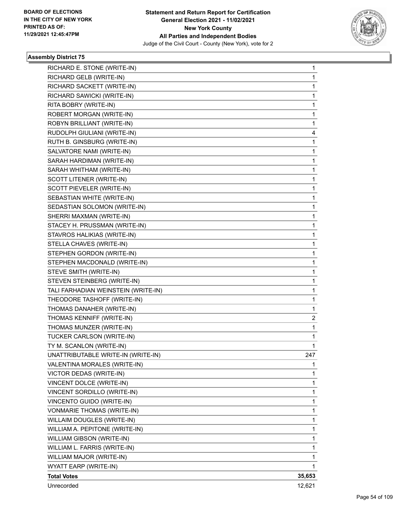

| RICHARD E. STONE (WRITE-IN)         | 1      |
|-------------------------------------|--------|
| RICHARD GELB (WRITE-IN)             | 1      |
| RICHARD SACKETT (WRITE-IN)          | 1      |
| RICHARD SAWICKI (WRITE-IN)          | 1      |
| RITA BOBRY (WRITE-IN)               | 1      |
| ROBERT MORGAN (WRITE-IN)            | 1      |
| ROBYN BRILLIANT (WRITE-IN)          | 1      |
| RUDOLPH GIULIANI (WRITE-IN)         | 4      |
| RUTH B. GINSBURG (WRITE-IN)         | 1      |
| SALVATORE NAMI (WRITE-IN)           | 1      |
| SARAH HARDIMAN (WRITE-IN)           | 1      |
| SARAH WHITHAM (WRITE-IN)            | 1      |
| SCOTT LITENER (WRITE-IN)            | 1      |
| SCOTT PIEVELER (WRITE-IN)           | 1      |
| SEBASTIAN WHITE (WRITE-IN)          | 1      |
| SEDASTIAN SOLOMON (WRITE-IN)        | 1      |
| SHERRI MAXMAN (WRITE-IN)            | 1      |
| STACEY H. PRUSSMAN (WRITE-IN)       | 1      |
| STAVROS HALIKIAS (WRITE-IN)         | 1      |
| STELLA CHAVES (WRITE-IN)            | 1      |
| STEPHEN GORDON (WRITE-IN)           | 1      |
| STEPHEN MACDONALD (WRITE-IN)        | 1      |
| STEVE SMITH (WRITE-IN)              | 1      |
| STEVEN STEINBERG (WRITE-IN)         | 1      |
| TALI FARHADIAN WEINSTEIN (WRITE-IN) | 1      |
| THEODORE TASHOFF (WRITE-IN)         | 1      |
| THOMAS DANAHER (WRITE-IN)           | 1      |
| THOMAS KENNIFF (WRITE-IN)           | 2      |
| THOMAS MUNZER (WRITE-IN)            | 1      |
| TUCKER CARLSON (WRITE-IN)           | 1      |
| TY M. SCANLON (WRITE-IN)            | 1      |
| UNATTRIBUTABLE WRITE-IN (WRITE-IN)  | 247    |
| VALENTINA MORALES (WRITE-IN)        | 1      |
| <b>VICTOR DEDAS (WRITE-IN)</b>      | 1      |
| VINCENT DOLCE (WRITE-IN)            | 1      |
| VINCENT SORDILLO (WRITE-IN)         | 1      |
| VINCENTO GUIDO (WRITE-IN)           | 1      |
| <b>VONMARIE THOMAS (WRITE-IN)</b>   | 1      |
| WILLAIM DOUGLES (WRITE-IN)          | 1      |
| WILLIAM A. PEPITONE (WRITE-IN)      | 1      |
| WILLIAM GIBSON (WRITE-IN)           | 1      |
| WILLIAM L. FARRIS (WRITE-IN)        | 1      |
| WILLIAM MAJOR (WRITE-IN)            | 1      |
| WYATT EARP (WRITE-IN)               | 1      |
| <b>Total Votes</b>                  | 35,653 |
| Unrecorded                          | 12,621 |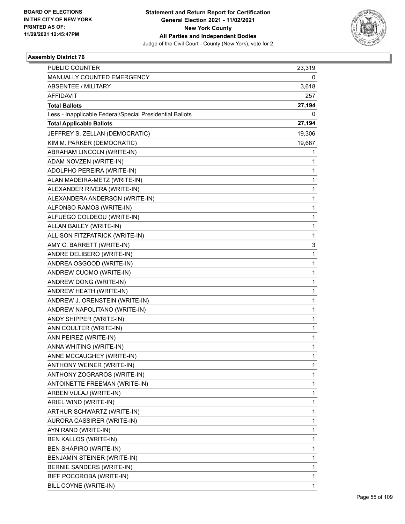

| <b>PUBLIC COUNTER</b>                                    | 23,319       |
|----------------------------------------------------------|--------------|
| MANUALLY COUNTED EMERGENCY                               | 0            |
| <b>ABSENTEE / MILITARY</b>                               | 3,618        |
| <b>AFFIDAVIT</b>                                         | 257          |
| <b>Total Ballots</b>                                     | 27,194       |
| Less - Inapplicable Federal/Special Presidential Ballots | 0            |
| <b>Total Applicable Ballots</b>                          | 27,194       |
| JEFFREY S. ZELLAN (DEMOCRATIC)                           | 19,306       |
| KIM M. PARKER (DEMOCRATIC)                               | 19,687       |
| ABRAHAM LINCOLN (WRITE-IN)                               | 1            |
| ADAM NOVZEN (WRITE-IN)                                   | 1            |
| ADOLPHO PEREIRA (WRITE-IN)                               | 1            |
| ALAN MADEIRA-METZ (WRITE-IN)                             | 1            |
| ALEXANDER RIVERA (WRITE-IN)                              | $\mathbf{1}$ |
| ALEXANDERA ANDERSON (WRITE-IN)                           | $\mathbf{1}$ |
| ALFONSO RAMOS (WRITE-IN)                                 | 1            |
| ALFUEGO COLDEOU (WRITE-IN)                               | 1            |
| ALLAN BAILEY (WRITE-IN)                                  | 1            |
| ALLISON FITZPATRICK (WRITE-IN)                           | 1            |
| AMY C. BARRETT (WRITE-IN)                                | 3            |
| ANDRE DELIBERO (WRITE-IN)                                | $\mathbf{1}$ |
| ANDREA OSGOOD (WRITE-IN)                                 | 1            |
| ANDREW CUOMO (WRITE-IN)                                  | $\mathbf{1}$ |
| ANDREW DONG (WRITE-IN)                                   | $\mathbf{1}$ |
| ANDREW HEATH (WRITE-IN)                                  | 1            |
| ANDREW J. ORENSTEIN (WRITE-IN)                           | $\mathbf{1}$ |
| ANDREW NAPOLITANO (WRITE-IN)                             | $\mathbf{1}$ |
| ANDY SHIPPER (WRITE-IN)                                  | 1            |
| ANN COULTER (WRITE-IN)                                   | 1            |
| ANN PEIREZ (WRITE-IN)                                    | 1            |
| ANNA WHITING (WRITE-IN)                                  | 1            |
| ANNE MCCAUGHEY (WRITE-IN)                                | 1            |
| ANTHONY WEINER (WRITE-IN)                                | 1            |
| ANTHONY ZOGRAROS (WRITE-IN)                              | 1            |
| ANTOINETTE FREEMAN (WRITE-IN)                            | $\mathbf{1}$ |
| ARBEN VULAJ (WRITE-IN)                                   | 1            |
| ARIEL WIND (WRITE-IN)                                    | 1            |
| ARTHUR SCHWARTZ (WRITE-IN)                               | 1            |
| AURORA CASSIRER (WRITE-IN)                               | 1            |
| AYN RAND (WRITE-IN)                                      | 1            |
| BEN KALLOS (WRITE-IN)                                    | $\mathbf{1}$ |
| BEN SHAPIRO (WRITE-IN)                                   | 1            |
| BENJAMIN STEINER (WRITE-IN)                              | 1            |
| BERNIE SANDERS (WRITE-IN)                                | 1            |
| BIFF POCOROBA (WRITE-IN)                                 | 1            |
| BILL COYNE (WRITE-IN)                                    | 1            |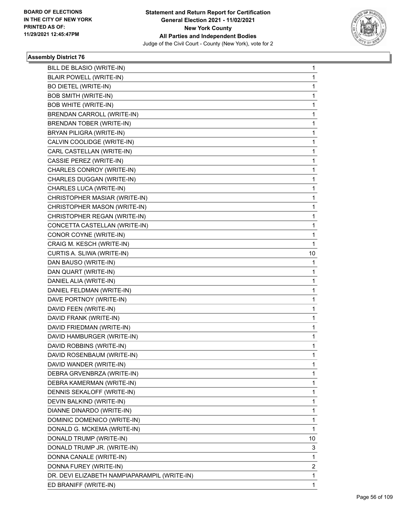

| BILL DE BLASIO (WRITE-IN)                    | 1            |
|----------------------------------------------|--------------|
| BLAIR POWELL (WRITE-IN)                      | $\mathbf{1}$ |
| <b>BO DIETEL (WRITE-IN)</b>                  | 1            |
| <b>BOB SMITH (WRITE-IN)</b>                  | 1            |
| <b>BOB WHITE (WRITE-IN)</b>                  | 1            |
| BRENDAN CARROLL (WRITE-IN)                   | 1            |
| <b>BRENDAN TOBER (WRITE-IN)</b>              | 1            |
| BRYAN PILIGRA (WRITE-IN)                     | $\mathbf 1$  |
| CALVIN COOLIDGE (WRITE-IN)                   | 1            |
| CARL CASTELLAN (WRITE-IN)                    | 1            |
| CASSIE PEREZ (WRITE-IN)                      | 1            |
| CHARLES CONROY (WRITE-IN)                    | 1            |
| CHARLES DUGGAN (WRITE-IN)                    | 1            |
| CHARLES LUCA (WRITE-IN)                      | $\mathbf 1$  |
| CHRISTOPHER MASIAR (WRITE-IN)                | 1            |
| CHRISTOPHER MASON (WRITE-IN)                 | 1            |
| CHRISTOPHER REGAN (WRITE-IN)                 | 1            |
| CONCETTA CASTELLAN (WRITE-IN)                | 1            |
| CONOR COYNE (WRITE-IN)                       | 1            |
| CRAIG M. KESCH (WRITE-IN)                    | $\mathbf{1}$ |
| CURTIS A. SLIWA (WRITE-IN)                   | 10           |
| DAN BAUSO (WRITE-IN)                         | 1            |
| DAN QUART (WRITE-IN)                         | 1            |
| DANIEL ALIA (WRITE-IN)                       | 1            |
| DANIEL FELDMAN (WRITE-IN)                    | 1            |
| DAVE PORTNOY (WRITE-IN)                      | 1            |
| DAVID FEEN (WRITE-IN)                        | 1            |
| DAVID FRANK (WRITE-IN)                       | 1            |
| DAVID FRIEDMAN (WRITE-IN)                    | 1            |
| DAVID HAMBURGER (WRITE-IN)                   | 1            |
| DAVID ROBBINS (WRITE-IN)                     | 1            |
| DAVID ROSENBAUM (WRITE-IN)                   | $\mathbf{1}$ |
| DAVID WANDER (WRITE-IN)                      | 1            |
| DEBRA GRVENBRZA (WRITE-IN)                   | 1            |
| DEBRA KAMERMAN (WRITE-IN)                    | 1            |
| DENNIS SEKALOFF (WRITE-IN)                   | 1            |
| DEVIN BALKIND (WRITE-IN)                     | 1            |
| DIANNE DINARDO (WRITE-IN)                    | 1            |
| DOMINIC DOMENICO (WRITE-IN)                  | 1            |
| DONALD G. MCKEMA (WRITE-IN)                  | 1            |
| DONALD TRUMP (WRITE-IN)                      | 10           |
| DONALD TRUMP JR. (WRITE-IN)                  | 3            |
| DONNA CANALE (WRITE-IN)                      | 1            |
| DONNA FUREY (WRITE-IN)                       | 2            |
| DR. DEVI ELIZABETH NAMPIAPARAMPIL (WRITE-IN) | 1            |
| ED BRANIFF (WRITE-IN)                        | 1            |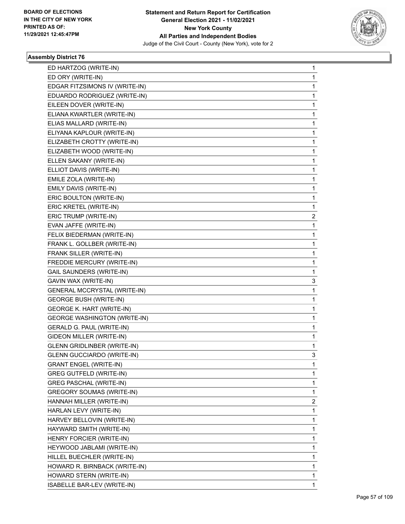

| ED HARTZOG (WRITE-IN)               | 1 |
|-------------------------------------|---|
| ED ORY (WRITE-IN)                   | 1 |
| EDGAR FITZSIMONS IV (WRITE-IN)      | 1 |
| EDUARDO RODRIGUEZ (WRITE-IN)        | 1 |
| EILEEN DOVER (WRITE-IN)             | 1 |
| ELIANA KWARTLER (WRITE-IN)          | 1 |
| ELIAS MALLARD (WRITE-IN)            | 1 |
| ELIYANA KAPLOUR (WRITE-IN)          | 1 |
| ELIZABETH CROTTY (WRITE-IN)         | 1 |
| ELIZABETH WOOD (WRITE-IN)           | 1 |
| ELLEN SAKANY (WRITE-IN)             | 1 |
| ELLIOT DAVIS (WRITE-IN)             | 1 |
| EMILE ZOLA (WRITE-IN)               | 1 |
| EMILY DAVIS (WRITE-IN)              | 1 |
| ERIC BOULTON (WRITE-IN)             | 1 |
| ERIC KRETEL (WRITE-IN)              | 1 |
| ERIC TRUMP (WRITE-IN)               | 2 |
| EVAN JAFFE (WRITE-IN)               | 1 |
| FELIX BIEDERMAN (WRITE-IN)          | 1 |
| FRANK L. GOLLBER (WRITE-IN)         | 1 |
| FRANK SILLER (WRITE-IN)             | 1 |
| FREDDIE MERCURY (WRITE-IN)          | 1 |
| <b>GAIL SAUNDERS (WRITE-IN)</b>     | 1 |
| GAVIN WAX (WRITE-IN)                | 3 |
| <b>GENERAL MCCRYSTAL (WRITE-IN)</b> | 1 |
| <b>GEORGE BUSH (WRITE-IN)</b>       | 1 |
| <b>GEORGE K. HART (WRITE-IN)</b>    | 1 |
| <b>GEORGE WASHINGTON (WRITE-IN)</b> | 1 |
| GERALD G. PAUL (WRITE-IN)           | 1 |
| GIDEON MILLER (WRITE-IN)            | 1 |
| <b>GLENN GRIDLINBER (WRITE-IN)</b>  | 1 |
| <b>GLENN GUCCIARDO (WRITE-IN)</b>   | 3 |
| <b>GRANT ENGEL (WRITE-IN)</b>       | 1 |
| <b>GREG GUTFELD (WRITE-IN)</b>      | 1 |
| <b>GREG PASCHAL (WRITE-IN)</b>      | 1 |
| <b>GREGORY SOUMAS (WRITE-IN)</b>    | 1 |
| HANNAH MILLER (WRITE-IN)            | 2 |
| HARLAN LEVY (WRITE-IN)              | 1 |
| HARVEY BELLOVIN (WRITE-IN)          | 1 |
| HAYWARD SMITH (WRITE-IN)            | 1 |
| HENRY FORCIER (WRITE-IN)            | 1 |
| HEYWOOD JABLAMI (WRITE-IN)          | 1 |
| HILLEL BUECHLER (WRITE-IN)          | 1 |
| HOWARD R. BIRNBACK (WRITE-IN)       | 1 |
| HOWARD STERN (WRITE-IN)             | 1 |
| ISABELLE BAR-LEV (WRITE-IN)         | 1 |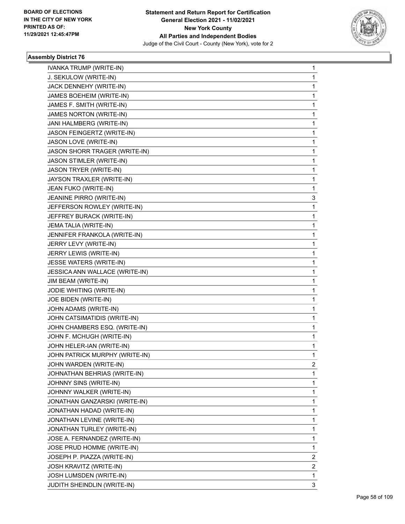

| IVANKA TRUMP (WRITE-IN)        | 1            |
|--------------------------------|--------------|
| J. SEKULOW (WRITE-IN)          | $\mathbf{1}$ |
| JACK DENNEHY (WRITE-IN)        | 1            |
| JAMES BOEHEIM (WRITE-IN)       | 1            |
| JAMES F. SMITH (WRITE-IN)      | 1            |
| JAMES NORTON (WRITE-IN)        | 1            |
| JANI HALMBERG (WRITE-IN)       | 1            |
| JASON FEINGERTZ (WRITE-IN)     | 1            |
| JASON LOVE (WRITE-IN)          | 1            |
| JASON SHORR TRAGER (WRITE-IN)  | 1            |
| JASON STIMLER (WRITE-IN)       | 1            |
| JASON TRYER (WRITE-IN)         | 1            |
| JAYSON TRAXLER (WRITE-IN)      | 1            |
| JEAN FUKO (WRITE-IN)           | 1            |
| JEANINE PIRRO (WRITE-IN)       | 3            |
| JEFFERSON ROWLEY (WRITE-IN)    | 1            |
| JEFFREY BURACK (WRITE-IN)      | 1            |
| JEMA TALIA (WRITE-IN)          | 1            |
| JENNIFER FRANKOLA (WRITE-IN)   | 1            |
| JERRY LEVY (WRITE-IN)          | 1            |
| JERRY LEWIS (WRITE-IN)         | 1            |
| JESSE WATERS (WRITE-IN)        | 1            |
| JESSICA ANN WALLACE (WRITE-IN) | 1            |
| JIM BEAM (WRITE-IN)            | 1            |
| JODIE WHITING (WRITE-IN)       | 1            |
| JOE BIDEN (WRITE-IN)           | 1            |
| JOHN ADAMS (WRITE-IN)          | 1            |
| JOHN CATSIMATIDIS (WRITE-IN)   | 1            |
| JOHN CHAMBERS ESQ. (WRITE-IN)  | 1            |
| JOHN F. MCHUGH (WRITE-IN)      | 1            |
| JOHN HELER-IAN (WRITE-IN)      | 1            |
| JOHN PATRICK MURPHY (WRITE-IN) | $\mathbf{1}$ |
| JOHN WARDEN (WRITE-IN)         | 2            |
| JOHNATHAN BEHRIAS (WRITE-IN)   | 1            |
| JOHNNY SINS (WRITE-IN)         | 1            |
| JOHNNY WALKER (WRITE-IN)       | 1            |
| JONATHAN GANZARSKI (WRITE-IN)  | 1            |
| JONATHAN HADAD (WRITE-IN)      | 1            |
| JONATHAN LEVINE (WRITE-IN)     | 1            |
| JONATHAN TURLEY (WRITE-IN)     | 1            |
| JOSE A. FERNANDEZ (WRITE-IN)   | 1            |
| JOSE PRUD HOMME (WRITE-IN)     | 1            |
| JOSEPH P. PIAZZA (WRITE-IN)    | 2            |
| JOSH KRAVITZ (WRITE-IN)        | 2            |
| JOSH LUMSDEN (WRITE-IN)        | 1            |
| JUDITH SHEINDLIN (WRITE-IN)    | 3            |
|                                |              |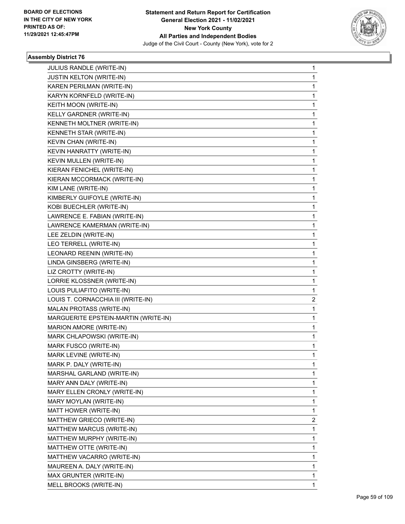

| JULIUS RANDLE (WRITE-IN)             | 1 |
|--------------------------------------|---|
| JUSTIN KELTON (WRITE-IN)             | 1 |
| KAREN PERILMAN (WRITE-IN)            | 1 |
| KARYN KORNFELD (WRITE-IN)            | 1 |
| KEITH MOON (WRITE-IN)                | 1 |
| KELLY GARDNER (WRITE-IN)             | 1 |
| KENNETH MOLTNER (WRITE-IN)           | 1 |
| KENNETH STAR (WRITE-IN)              | 1 |
| KEVIN CHAN (WRITE-IN)                | 1 |
| KEVIN HANRATTY (WRITE-IN)            | 1 |
| KEVIN MULLEN (WRITE-IN)              | 1 |
| KIERAN FENICHEL (WRITE-IN)           | 1 |
| KIERAN MCCORMACK (WRITE-IN)          | 1 |
| KIM LANE (WRITE-IN)                  | 1 |
| KIMBERLY GUIFOYLE (WRITE-IN)         | 1 |
| KOBI BUECHLER (WRITE-IN)             | 1 |
| LAWRENCE E. FABIAN (WRITE-IN)        | 1 |
| LAWRENCE KAMERMAN (WRITE-IN)         | 1 |
| LEE ZELDIN (WRITE-IN)                | 1 |
| LEO TERRELL (WRITE-IN)               | 1 |
| LEONARD REENIN (WRITE-IN)            | 1 |
| LINDA GINSBERG (WRITE-IN)            | 1 |
| LIZ CROTTY (WRITE-IN)                | 1 |
| LORRIE KLOSSNER (WRITE-IN)           | 1 |
| LOUIS PULIAFITO (WRITE-IN)           | 1 |
| LOUIS T. CORNACCHIA III (WRITE-IN)   | 2 |
| MALAN PROTASS (WRITE-IN)             | 1 |
| MARGUERITE EPSTEIN-MARTIN (WRITE-IN) | 1 |
| MARION AMORE (WRITE-IN)              | 1 |
| MARK CHLAPOWSKI (WRITE-IN)           | 1 |
| MARK FUSCO (WRITE-IN)                | 1 |
| MARK LEVINE (WRITE-IN)               | 1 |
| MARK P. DALY (WRITE-IN)              | 1 |
| MARSHAL GARLAND (WRITE-IN)           | 1 |
| MARY ANN DALY (WRITE-IN)             | 1 |
| MARY ELLEN CRONLY (WRITE-IN)         | 1 |
| MARY MOYLAN (WRITE-IN)               | 1 |
| MATT HOWER (WRITE-IN)                | 1 |
| MATTHEW GRIECO (WRITE-IN)            | 2 |
| MATTHEW MARCUS (WRITE-IN)            | 1 |
| MATTHEW MURPHY (WRITE-IN)            | 1 |
| MATTHEW OTTE (WRITE-IN)              | 1 |
| MATTHEW VACARRO (WRITE-IN)           | 1 |
| MAUREEN A. DALY (WRITE-IN)           | 1 |
| MAX GRUNTER (WRITE-IN)               | 1 |
| MELL BROOKS (WRITE-IN)               | 1 |
|                                      |   |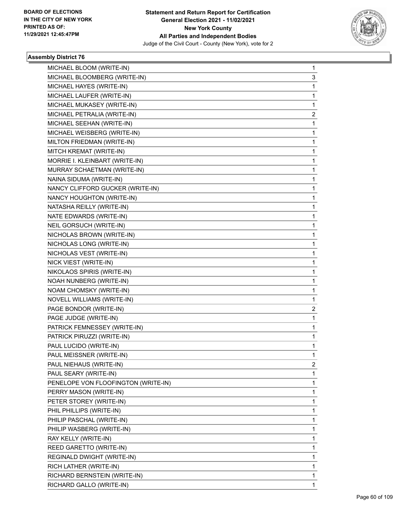

| MICHAEL BLOOM (WRITE-IN)            | 1                       |
|-------------------------------------|-------------------------|
| MICHAEL BLOOMBERG (WRITE-IN)        | 3                       |
| MICHAEL HAYES (WRITE-IN)            | $\mathbf{1}$            |
| MICHAEL LAUFER (WRITE-IN)           | 1                       |
| MICHAEL MUKASEY (WRITE-IN)          | 1                       |
| MICHAEL PETRALIA (WRITE-IN)         | $\overline{\mathbf{c}}$ |
| MICHAEL SEEHAN (WRITE-IN)           | 1                       |
| MICHAEL WEISBERG (WRITE-IN)         | 1                       |
| MILTON FRIEDMAN (WRITE-IN)          | 1                       |
| MITCH KREMAT (WRITE-IN)             | 1                       |
| MORRIE I. KLEINBART (WRITE-IN)      | 1                       |
| MURRAY SCHAETMAN (WRITE-IN)         | 1                       |
| NAINA SIDUMA (WRITE-IN)             | 1                       |
| NANCY CLIFFORD GUCKER (WRITE-IN)    | 1                       |
| NANCY HOUGHTON (WRITE-IN)           | 1                       |
| NATASHA REILLY (WRITE-IN)           | 1                       |
| NATE EDWARDS (WRITE-IN)             | 1                       |
| NEIL GORSUCH (WRITE-IN)             | 1                       |
| NICHOLAS BROWN (WRITE-IN)           | 1                       |
| NICHOLAS LONG (WRITE-IN)            | 1                       |
| NICHOLAS VEST (WRITE-IN)            | 1                       |
| NICK VIEST (WRITE-IN)               | 1                       |
| NIKOLAOS SPIRIS (WRITE-IN)          | 1                       |
| NOAH NUNBERG (WRITE-IN)             | 1                       |
| NOAM CHOMSKY (WRITE-IN)             | 1                       |
| NOVELL WILLIAMS (WRITE-IN)          | 1                       |
| PAGE BONDOR (WRITE-IN)              | $\overline{c}$          |
| PAGE JUDGE (WRITE-IN)               | 1                       |
| PATRICK FEMNESSEY (WRITE-IN)        | 1                       |
| PATRICK PIRUZZI (WRITE-IN)          | 1                       |
| PAUL LUCIDO (WRITE-IN)              | 1                       |
| PAUL MEISSNER (WRITE-IN)            | 1                       |
| PAUL NIEHAUS (WRITE-IN)             | $\overline{c}$          |
| PAUL SEARY (WRITE-IN)               | 1                       |
| PENELOPE VON FLOOFINGTON (WRITE-IN) | 1                       |
| PERRY MASON (WRITE-IN)              | 1                       |
| PETER STOREY (WRITE-IN)             | 1                       |
| PHIL PHILLIPS (WRITE-IN)            | 1                       |
| PHILIP PASCHAL (WRITE-IN)           | 1                       |
| PHILIP WASBERG (WRITE-IN)           | 1                       |
| RAY KELLY (WRITE-IN)                | 1                       |
| REED GARETTO (WRITE-IN)             | 1                       |
| REGINALD DWIGHT (WRITE-IN)          | 1                       |
| RICH LATHER (WRITE-IN)              | 1                       |
| RICHARD BERNSTEIN (WRITE-IN)        | 1                       |
| RICHARD GALLO (WRITE-IN)            | 1                       |
|                                     |                         |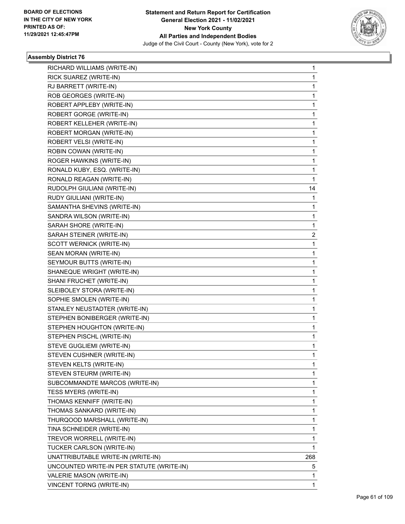

| RICHARD WILLIAMS (WRITE-IN)               | 1   |
|-------------------------------------------|-----|
| RICK SUAREZ (WRITE-IN)                    | 1   |
| RJ BARRETT (WRITE-IN)                     | 1   |
| ROB GEORGES (WRITE-IN)                    | 1   |
| ROBERT APPLEBY (WRITE-IN)                 | 1   |
| ROBERT GORGE (WRITE-IN)                   | 1   |
| ROBERT KELLEHER (WRITE-IN)                | 1   |
| ROBERT MORGAN (WRITE-IN)                  | 1   |
| ROBERT VELSI (WRITE-IN)                   | 1   |
| ROBIN COWAN (WRITE-IN)                    | 1   |
| ROGER HAWKINS (WRITE-IN)                  | 1   |
| RONALD KUBY, ESQ. (WRITE-IN)              | 1   |
| RONALD REAGAN (WRITE-IN)                  | 1   |
| RUDOLPH GIULIANI (WRITE-IN)               | 14  |
| RUDY GIULIANI (WRITE-IN)                  | 1   |
| SAMANTHA SHEVINS (WRITE-IN)               | 1   |
| SANDRA WILSON (WRITE-IN)                  | 1   |
| SARAH SHORE (WRITE-IN)                    | 1   |
| SARAH STEINER (WRITE-IN)                  | 2   |
| SCOTT WERNICK (WRITE-IN)                  | 1   |
| SEAN MORAN (WRITE-IN)                     | 1   |
| SEYMOUR BUTTS (WRITE-IN)                  | 1   |
| SHANEQUE WRIGHT (WRITE-IN)                | 1   |
| SHANI FRUCHET (WRITE-IN)                  | 1   |
| SLEIBOLEY STORA (WRITE-IN)                | 1   |
| SOPHIE SMOLEN (WRITE-IN)                  | 1   |
| STANLEY NEUSTADTER (WRITE-IN)             | 1   |
| STEPHEN BONIBERGER (WRITE-IN)             | 1   |
| STEPHEN HOUGHTON (WRITE-IN)               | 1   |
| STEPHEN PISCHL (WRITE-IN)                 | 1   |
| STEVE GUGLIEMI (WRITE-IN)                 | 1   |
| STEVEN CUSHNER (WRITE-IN)                 | 1   |
| STEVEN KELTS (WRITE-IN)                   | 1   |
| STEVEN STEURM (WRITE-IN)                  | 1   |
| SUBCOMMANDTE MARCOS (WRITE-IN)            | 1   |
| TESS MYERS (WRITE-IN)                     | 1   |
| THOMAS KENNIFF (WRITE-IN)                 | 1   |
| THOMAS SANKARD (WRITE-IN)                 | 1   |
| THURQOOD MARSHALL (WRITE-IN)              | 1   |
| TINA SCHNEIDER (WRITE-IN)                 | 1   |
| TREVOR WORRELL (WRITE-IN)                 | 1   |
| TUCKER CARLSON (WRITE-IN)                 | 1   |
| UNATTRIBUTABLE WRITE-IN (WRITE-IN)        | 268 |
| UNCOUNTED WRITE-IN PER STATUTE (WRITE-IN) | 5   |
| VALERIE MASON (WRITE-IN)                  | 1   |
| VINCENT TORNG (WRITE-IN)                  | 1   |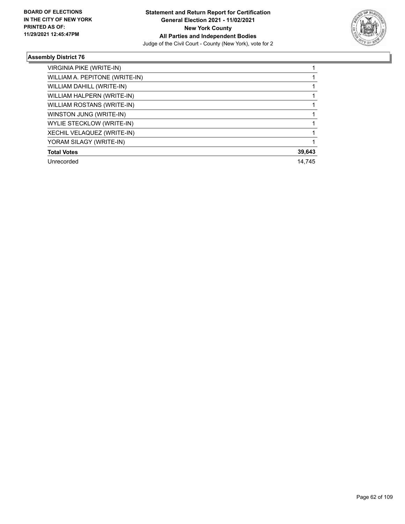

| <b>VIRGINIA PIKE (WRITE-IN)</b> |        |
|---------------------------------|--------|
| WILLIAM A. PEPITONE (WRITE-IN)  |        |
| WILLIAM DAHILL (WRITE-IN)       |        |
| WILLIAM HALPERN (WRITE-IN)      |        |
| WILLIAM ROSTANS (WRITE-IN)      |        |
| WINSTON JUNG (WRITE-IN)         |        |
| WYLIE STECKLOW (WRITE-IN)       |        |
| XECHIL VELAQUEZ (WRITE-IN)      |        |
| YORAM SILAGY (WRITE-IN)         |        |
| <b>Total Votes</b>              | 39,643 |
| Unrecorded                      | 14.745 |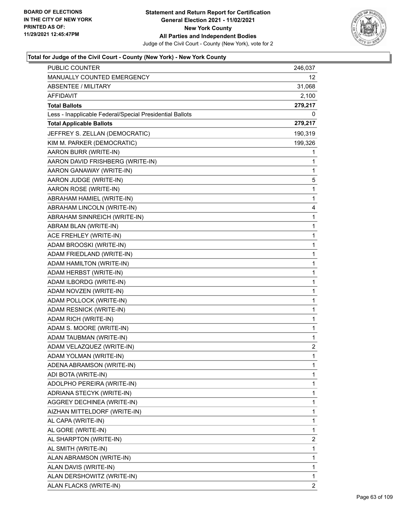

| PUBLIC COUNTER                                           | 246,037      |
|----------------------------------------------------------|--------------|
| MANUALLY COUNTED EMERGENCY                               | 12           |
| <b>ABSENTEE / MILITARY</b>                               | 31,068       |
| <b>AFFIDAVIT</b>                                         | 2,100        |
| <b>Total Ballots</b>                                     | 279,217      |
| Less - Inapplicable Federal/Special Presidential Ballots | 0            |
| <b>Total Applicable Ballots</b>                          | 279,217      |
| JEFFREY S. ZELLAN (DEMOCRATIC)                           | 190,319      |
| KIM M. PARKER (DEMOCRATIC)                               | 199,326      |
| AARON BURR (WRITE-IN)                                    | 1            |
| AARON DAVID FRISHBERG (WRITE-IN)                         | 1            |
| AARON GANAWAY (WRITE-IN)                                 | 1            |
| AARON JUDGE (WRITE-IN)                                   | 5            |
| AARON ROSE (WRITE-IN)                                    | 1            |
| ABRAHAM HAMIEL (WRITE-IN)                                | 1            |
| ABRAHAM LINCOLN (WRITE-IN)                               | 4            |
| ABRAHAM SINNREICH (WRITE-IN)                             | 1            |
| ABRAM BLAN (WRITE-IN)                                    | 1            |
| ACE FREHLEY (WRITE-IN)                                   | $\mathbf{1}$ |
| ADAM BROOSKI (WRITE-IN)                                  | 1            |
| ADAM FRIEDLAND (WRITE-IN)                                | 1            |
| ADAM HAMILTON (WRITE-IN)                                 | 1            |
| ADAM HERBST (WRITE-IN)                                   | 1            |
| ADAM ILBORDG (WRITE-IN)                                  | 1            |
| ADAM NOVZEN (WRITE-IN)                                   | $\mathbf{1}$ |
| ADAM POLLOCK (WRITE-IN)                                  | 1            |
| ADAM RESNICK (WRITE-IN)                                  | 1            |
| ADAM RICH (WRITE-IN)                                     | 1            |
| ADAM S. MOORE (WRITE-IN)                                 | 1            |
| ADAM TAUBMAN (WRITE-IN)                                  | 1            |
| ADAM VELAZQUEZ (WRITE-IN)                                | 2            |
| ADAM YOLMAN (WRITE-IN)                                   | 1            |
| ADENA ABRAMSON (WRITE-IN)                                | 1            |
| ADI BOTA (WRITE-IN)                                      | 1            |
| ADOLPHO PEREIRA (WRITE-IN)                               | 1            |
| ADRIANA STECYK (WRITE-IN)                                | 1            |
| AGGREY DECHINEA (WRITE-IN)                               | 1            |
| AIZHAN MITTELDORF (WRITE-IN)                             | 1            |
| AL CAPA (WRITE-IN)                                       | 1            |
| AL GORE (WRITE-IN)                                       | 1            |
| AL SHARPTON (WRITE-IN)                                   | 2            |
| AL SMITH (WRITE-IN)                                      | 1            |
| ALAN ABRAMSON (WRITE-IN)                                 | 1            |
| ALAN DAVIS (WRITE-IN)                                    | 1            |
| ALAN DERSHOWITZ (WRITE-IN)                               | 1            |
| ALAN FLACKS (WRITE-IN)                                   | 2            |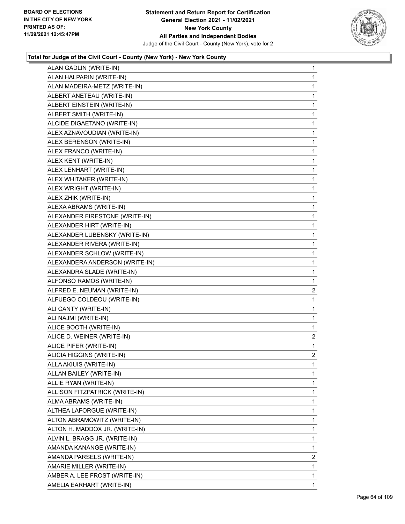

| ALAN GADLIN (WRITE-IN)         | $\mathbf{1}$   |
|--------------------------------|----------------|
| ALAN HALPARIN (WRITE-IN)       | 1              |
| ALAN MADEIRA-METZ (WRITE-IN)   | 1              |
| ALBERT ANETEAU (WRITE-IN)      | 1              |
| ALBERT EINSTEIN (WRITE-IN)     | 1              |
| ALBERT SMITH (WRITE-IN)        | 1              |
| ALCIDE DIGAETANO (WRITE-IN)    | $\mathbf{1}$   |
| ALEX AZNAVOUDIAN (WRITE-IN)    | 1              |
| ALEX BERENSON (WRITE-IN)       | 1              |
| ALEX FRANCO (WRITE-IN)         | 1              |
| ALEX KENT (WRITE-IN)           | 1              |
| ALEX LENHART (WRITE-IN)        | 1              |
| ALEX WHITAKER (WRITE-IN)       | $\mathbf{1}$   |
| ALEX WRIGHT (WRITE-IN)         | 1              |
| ALEX ZHIK (WRITE-IN)           | 1              |
| ALEXA ABRAMS (WRITE-IN)        | 1              |
| ALEXANDER FIRESTONE (WRITE-IN) | 1              |
| ALEXANDER HIRT (WRITE-IN)      | 1              |
| ALEXANDER LUBENSKY (WRITE-IN)  | $\mathbf{1}$   |
| ALEXANDER RIVERA (WRITE-IN)    | 1              |
| ALEXANDER SCHLOW (WRITE-IN)    | 1              |
| ALEXANDERA ANDERSON (WRITE-IN) | 1              |
| ALEXANDRA SLADE (WRITE-IN)     | 1              |
| ALFONSO RAMOS (WRITE-IN)       | 1              |
| ALFRED E. NEUMAN (WRITE-IN)    | $\overline{a}$ |
| ALFUEGO COLDEOU (WRITE-IN)     | 1              |
| ALI CANTY (WRITE-IN)           | 1              |
| ALI NAJMI (WRITE-IN)           | 1              |
| ALICE BOOTH (WRITE-IN)         | 1              |
| ALICE D. WEINER (WRITE-IN)     | 2              |
| ALICE PIFER (WRITE-IN)         | 1              |
| ALICIA HIGGINS (WRITE-IN)      | $\overline{2}$ |
| ALLA AKIUIS (WRITE-IN)         | 1              |
| ALLAN BAILEY (WRITE-IN)        | 1              |
| ALLIE RYAN (WRITE-IN)          | 1              |
| ALLISON FITZPATRICK (WRITE-IN) | 1              |
| ALMA ABRAMS (WRITE-IN)         | 1              |
| ALTHEA LAFORGUE (WRITE-IN)     | 1              |
| ALTON ABRAMOWITZ (WRITE-IN)    | 1              |
| ALTON H. MADDOX JR. (WRITE-IN) | 1              |
| ALVIN L. BRAGG JR. (WRITE-IN)  | 1              |
| AMANDA KANANGE (WRITE-IN)      | 1              |
| AMANDA PARSELS (WRITE-IN)      | $\overline{2}$ |
| AMARIE MILLER (WRITE-IN)       | 1              |
| AMBER A. LEE FROST (WRITE-IN)  | 1              |
| AMELIA EARHART (WRITE-IN)      | 1.             |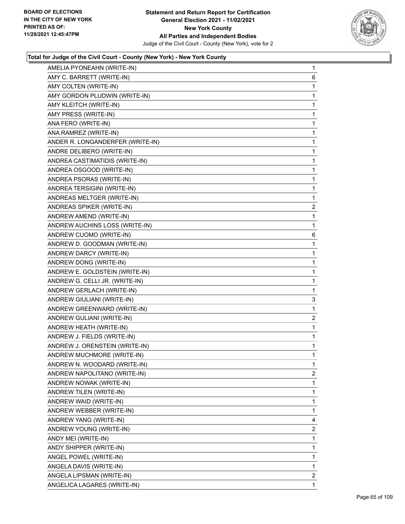

| AMELIA PYONEAHN (WRITE-IN)       | $\mathbf{1}$   |
|----------------------------------|----------------|
| AMY C. BARRETT (WRITE-IN)        | 6              |
| AMY COLTEN (WRITE-IN)            | 1              |
| AMY GORDON PLUDWIN (WRITE-IN)    | $\mathbf{1}$   |
| AMY KLEITCH (WRITE-IN)           | 1              |
| AMY PRESS (WRITE-IN)             | 1              |
| ANA FERO (WRITE-IN)              | 1              |
| ANA RAMREZ (WRITE-IN)            | $\mathbf{1}$   |
| ANDER R. LONGANDERFER (WRITE-IN) | 1              |
| ANDRE DELIBERO (WRITE-IN)        | $\mathbf{1}$   |
| ANDREA CASTIMATIDIS (WRITE-IN)   | 1              |
| ANDREA OSGOOD (WRITE-IN)         | 1              |
| ANDREA PSORAS (WRITE-IN)         | 1              |
| ANDREA TERSIGINI (WRITE-IN)      | $\mathbf{1}$   |
| ANDREAS MELTGER (WRITE-IN)       | 1              |
| ANDREAS SPIKER (WRITE-IN)        | $\overline{c}$ |
| ANDREW AMEND (WRITE-IN)          | 1              |
| ANDREW AUCHINS LOSS (WRITE-IN)   | $\mathbf{1}$   |
| ANDREW CUOMO (WRITE-IN)          | 6              |
| ANDREW D. GOODMAN (WRITE-IN)     | $\mathbf{1}$   |
| ANDREW DARCY (WRITE-IN)          | 1              |
| ANDREW DONG (WRITE-IN)           | $\mathbf{1}$   |
| ANDREW E. GOLDSTEIN (WRITE-IN)   | 1              |
| ANDREW G. CELLI JR. (WRITE-IN)   | 1              |
| ANDREW GERLACH (WRITE-IN)        | 1              |
| ANDREW GIULIANI (WRITE-IN)       | 3              |
| ANDREW GREENWARD (WRITE-IN)      | 1              |
| ANDREW GULIANI (WRITE-IN)        | $\overline{c}$ |
| ANDREW HEATH (WRITE-IN)          | 1              |
| ANDREW J. FIELDS (WRITE-IN)      | $\mathbf{1}$   |
| ANDREW J. ORENSTEIN (WRITE-IN)   | 1              |
| ANDREW MUCHMORE (WRITE-IN)       | 1              |
| ANDREW N. WOODARD (WRITE-IN)     | 1              |
| ANDREW NAPOLITANO (WRITE-IN)     | $\overline{2}$ |
| ANDREW NOWAK (WRITE-IN)          | 1              |
| ANDREW TILEN (WRITE-IN)          | 1              |
| ANDREW WAID (WRITE-IN)           | 1              |
| ANDREW WEBBER (WRITE-IN)         | 1              |
| ANDREW YANG (WRITE-IN)           | 4              |
| ANDREW YOUNG (WRITE-IN)          | 2              |
| ANDY MEI (WRITE-IN)              | 1              |
| ANDY SHIPPER (WRITE-IN)          | 1              |
| ANGEL POWEL (WRITE-IN)           | 1              |
| ANGELA DAVIS (WRITE-IN)          | 1              |
| ANGELA LIPSMAN (WRITE-IN)        | 2              |
| ANGELICA LAGARES (WRITE-IN)      | 1              |
|                                  |                |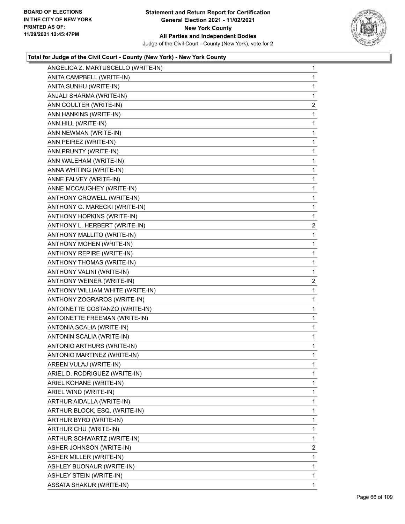

| ANGELICA Z. MARTUSCELLO (WRITE-IN) | $\mathbf{1}$   |
|------------------------------------|----------------|
| ANITA CAMPBELL (WRITE-IN)          | 1              |
| ANITA SUNHU (WRITE-IN)             | 1              |
| ANJALI SHARMA (WRITE-IN)           | 1              |
| ANN COULTER (WRITE-IN)             | 2              |
| ANN HANKINS (WRITE-IN)             | 1              |
| ANN HILL (WRITE-IN)                | 1              |
| ANN NEWMAN (WRITE-IN)              | 1              |
| ANN PEIREZ (WRITE-IN)              | 1              |
| ANN PRUNTY (WRITE-IN)              | $\mathbf 1$    |
| ANN WALEHAM (WRITE-IN)             | 1              |
| ANNA WHITING (WRITE-IN)            | 1              |
| ANNE FALVEY (WRITE-IN)             | 1              |
| ANNE MCCAUGHEY (WRITE-IN)          | 1              |
| ANTHONY CROWELL (WRITE-IN)         | 1              |
| ANTHONY G. MARECKI (WRITE-IN)      | $\mathbf 1$    |
| ANTHONY HOPKINS (WRITE-IN)         | 1              |
| ANTHONY L. HERBERT (WRITE-IN)      | 2              |
| ANTHONY MALLITO (WRITE-IN)         | 1              |
| ANTHONY MOHEN (WRITE-IN)           | 1              |
| ANTHONY REPIRE (WRITE-IN)          | 1              |
| ANTHONY THOMAS (WRITE-IN)          | $\mathbf 1$    |
| ANTHONY VALINI (WRITE-IN)          | 1              |
| ANTHONY WEINER (WRITE-IN)          | 2              |
| ANTHONY WILLIAM WHITE (WRITE-IN)   | 1              |
| ANTHONY ZOGRAROS (WRITE-IN)        | 1              |
| ANTOINETTE COSTANZO (WRITE-IN)     | 1              |
| ANTOINETTE FREEMAN (WRITE-IN)      | $\mathbf 1$    |
| ANTONIA SCALIA (WRITE-IN)          | 1              |
| ANTONIN SCALIA (WRITE-IN)          | 1              |
| ANTONIO ARTHURS (WRITE-IN)         | 1              |
| ANTONIO MARTINEZ (WRITE-IN)        | 1              |
| ARBEN VULAJ (WRITE-IN)             | 1              |
| ARIEL D. RODRIGUEZ (WRITE-IN)      | 1              |
| ARIEL KOHANE (WRITE-IN)            | 1              |
| ARIEL WIND (WRITE-IN)              | 1              |
| ARTHUR AIDALLA (WRITE-IN)          | 1              |
| ARTHUR BLOCK, ESQ. (WRITE-IN)      | 1              |
| ARTHUR BYRD (WRITE-IN)             | 1              |
| ARTHUR CHU (WRITE-IN)              | 1              |
| ARTHUR SCHWARTZ (WRITE-IN)         | 1              |
| ASHER JOHNSON (WRITE-IN)           | $\overline{2}$ |
| ASHER MILLER (WRITE-IN)            | 1              |
| ASHLEY BUONAUR (WRITE-IN)          | 1              |
| ASHLEY STEIN (WRITE-IN)            | 1              |
| ASSATA SHAKUR (WRITE-IN)           | 1              |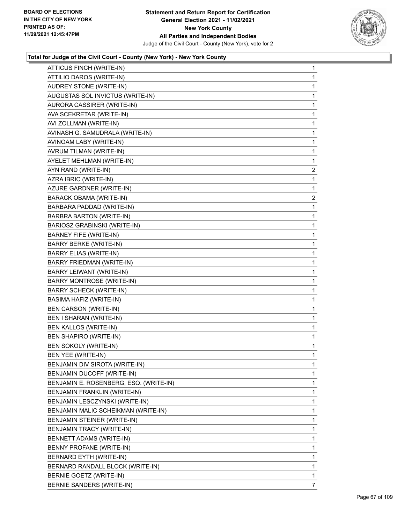

| ATTICUS FINCH (WRITE-IN)               | 1              |
|----------------------------------------|----------------|
| ATTILIO DAROS (WRITE-IN)               | 1              |
| AUDREY STONE (WRITE-IN)                | 1              |
| AUGUSTAS SOL INVICTUS (WRITE-IN)       | 1              |
| AURORA CASSIRER (WRITE-IN)             | 1              |
| AVA SCEKRETAR (WRITE-IN)               | 1              |
| AVI ZOLLMAN (WRITE-IN)                 | 1              |
| AVINASH G. SAMUDRALA (WRITE-IN)        | 1              |
| AVINOAM LABY (WRITE-IN)                | 1              |
| AVRUM TILMAN (WRITE-IN)                | 1              |
| AYELET MEHLMAN (WRITE-IN)              | 1              |
| AYN RAND (WRITE-IN)                    | 2              |
| AZRA IBRIC (WRITE-IN)                  | 1              |
| AZURE GARDNER (WRITE-IN)               | 1              |
| BARACK OBAMA (WRITE-IN)                | $\overline{2}$ |
| BARBARA PADDAD (WRITE-IN)              | 1              |
| <b>BARBRA BARTON (WRITE-IN)</b>        | 1              |
| BARIOSZ GRABINSKI (WRITE-IN)           | 1              |
| <b>BARNEY FIFE (WRITE-IN)</b>          | 1              |
| <b>BARRY BERKE (WRITE-IN)</b>          | 1              |
| <b>BARRY ELIAS (WRITE-IN)</b>          | 1              |
| BARRY FRIEDMAN (WRITE-IN)              | 1              |
| BARRY LEIWANT (WRITE-IN)               | 1              |
| <b>BARRY MONTROSE (WRITE-IN)</b>       | 1              |
| <b>BARRY SCHECK (WRITE-IN)</b>         | 1              |
| BASIMA HAFIZ (WRITE-IN)                | 1              |
| <b>BEN CARSON (WRITE-IN)</b>           | 1              |
| BEN I SHARAN (WRITE-IN)                | 1              |
| BEN KALLOS (WRITE-IN)                  | 1              |
| BEN SHAPIRO (WRITE-IN)                 | 1              |
| BEN SOKOLY (WRITE-IN)                  | 1              |
| BEN YEE (WRITE-IN)                     | 1              |
| BENJAMIN DIV SIROTA (WRITE-IN)         | 1              |
| BENJAMIN DUCOFF (WRITE-IN)             | 1              |
| BENJAMIN E. ROSENBERG, ESQ. (WRITE-IN) | 1              |
| BENJAMIN FRANKLIN (WRITE-IN)           | 1              |
| BENJAMIN LESCZYNSKI (WRITE-IN)         | 1              |
| BENJAMIN MALIC SCHEIKMAN (WRITE-IN)    | 1              |
| BENJAMIN STEINER (WRITE-IN)            | 1              |
| <b>BENJAMIN TRACY (WRITE-IN)</b>       | 1              |
| BENNETT ADAMS (WRITE-IN)               | 1              |
| BENNY PROFANE (WRITE-IN)               | 1              |
| BERNARD EYTH (WRITE-IN)                | 1              |
| BERNARD RANDALL BLOCK (WRITE-IN)       | 1              |
| BERNIE GOETZ (WRITE-IN)                | 1              |
| BERNIE SANDERS (WRITE-IN)              | 7              |
|                                        |                |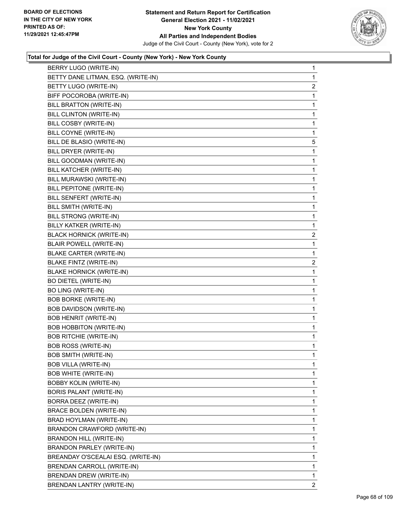

| BERRY LUGO (WRITE-IN)              | 1              |
|------------------------------------|----------------|
| BETTY DANE LITMAN, ESQ. (WRITE-IN) | 1              |
| BETTY LUGO (WRITE-IN)              | $\overline{c}$ |
| BIFF POCOROBA (WRITE-IN)           | 1              |
| <b>BILL BRATTON (WRITE-IN)</b>     | 1              |
| BILL CLINTON (WRITE-IN)            | 1              |
| BILL COSBY (WRITE-IN)              | 1              |
| BILL COYNE (WRITE-IN)              | 1              |
| BILL DE BLASIO (WRITE-IN)          | 5              |
| BILL DRYER (WRITE-IN)              | 1              |
| BILL GOODMAN (WRITE-IN)            | 1              |
| BILL KATCHER (WRITE-IN)            | 1              |
| BILL MURAWSKI (WRITE-IN)           | 1              |
| BILL PEPITONE (WRITE-IN)           | 1              |
| BILL SENFERT (WRITE-IN)            | 1              |
| BILL SMITH (WRITE-IN)              | 1              |
| BILL STRONG (WRITE-IN)             | 1              |
| BILLY KATKER (WRITE-IN)            | 1              |
| <b>BLACK HORNICK (WRITE-IN)</b>    | $\overline{2}$ |
| <b>BLAIR POWELL (WRITE-IN)</b>     | 1              |
| BLAKE CARTER (WRITE-IN)            | 1              |
| <b>BLAKE FINTZ (WRITE-IN)</b>      | $\overline{c}$ |
| <b>BLAKE HORNICK (WRITE-IN)</b>    | 1              |
| <b>BO DIETEL (WRITE-IN)</b>        | 1              |
| <b>BO LING (WRITE-IN)</b>          | 1              |
| <b>BOB BORKE (WRITE-IN)</b>        | 1              |
| BOB DAVIDSON (WRITE-IN)            | 1              |
| <b>BOB HENRIT (WRITE-IN)</b>       | 1              |
| <b>BOB HOBBITON (WRITE-IN)</b>     | 1              |
| <b>BOB RITCHIE (WRITE-IN)</b>      | 1              |
| <b>BOB ROSS (WRITE-IN)</b>         | 1              |
| <b>BOB SMITH (WRITE-IN)</b>        | 1              |
| <b>BOB VILLA (WRITE-IN)</b>        | 1              |
| <b>BOB WHITE (WRITE-IN)</b>        | 1              |
| <b>BOBBY KOLIN (WRITE-IN)</b>      | 1              |
| BORIS PALANT (WRITE-IN)            | 1              |
| BORRA DEEZ (WRITE-IN)              | 1              |
| <b>BRACE BOLDEN (WRITE-IN)</b>     | 1              |
| BRAD HOYLMAN (WRITE-IN)            | 1              |
| BRANDON CRAWFORD (WRITE-IN)        | 1              |
| BRANDON HILL (WRITE-IN)            | 1              |
| BRANDON PARLEY (WRITE-IN)          | 1              |
| BREANDAY O'SCEALAI ESQ. (WRITE-IN) | 1              |
| BRENDAN CARROLL (WRITE-IN)         | 1              |
| BRENDAN DREW (WRITE-IN)            | 1              |
| BRENDAN LANTRY (WRITE-IN)          | 2              |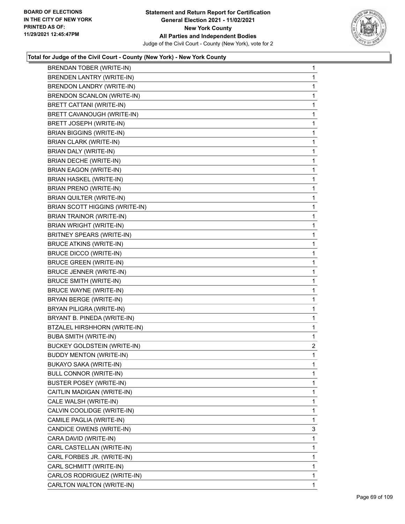

| <b>BRENDAN TOBER (WRITE-IN)</b>    | 1              |
|------------------------------------|----------------|
| <b>BRENDEN LANTRY (WRITE-IN)</b>   | 1              |
| BRENDON LANDRY (WRITE-IN)          | 1              |
| BRENDON SCANLON (WRITE-IN)         | $\mathbf 1$    |
| BRETT CATTANI (WRITE-IN)           | 1              |
| BRETT CAVANOUGH (WRITE-IN)         | 1              |
| BRETT JOSEPH (WRITE-IN)            | 1              |
| <b>BRIAN BIGGINS (WRITE-IN)</b>    | 1              |
| <b>BRIAN CLARK (WRITE-IN)</b>      | 1              |
| BRIAN DALY (WRITE-IN)              | $\mathbf 1$    |
| BRIAN DECHE (WRITE-IN)             | 1              |
| <b>BRIAN EAGON (WRITE-IN)</b>      | 1              |
| <b>BRIAN HASKEL (WRITE-IN)</b>     | 1              |
| <b>BRIAN PRENO (WRITE-IN)</b>      | 1              |
| BRIAN QUILTER (WRITE-IN)           | 1              |
| BRIAN SCOTT HIGGINS (WRITE-IN)     | $\mathbf 1$    |
| <b>BRIAN TRAINOR (WRITE-IN)</b>    | 1              |
| <b>BRIAN WRIGHT (WRITE-IN)</b>     | 1              |
| <b>BRITNEY SPEARS (WRITE-IN)</b>   | $\mathbf{1}$   |
| <b>BRUCE ATKINS (WRITE-IN)</b>     | 1              |
| <b>BRUCE DICCO (WRITE-IN)</b>      | 1              |
| <b>BRUCE GREEN (WRITE-IN)</b>      | $\mathbf 1$    |
| <b>BRUCE JENNER (WRITE-IN)</b>     | 1              |
| <b>BRUCE SMITH (WRITE-IN)</b>      | 1              |
| <b>BRUCE WAYNE (WRITE-IN)</b>      | 1              |
| BRYAN BERGE (WRITE-IN)             | 1              |
| BRYAN PILIGRA (WRITE-IN)           | 1              |
| BRYANT B. PINEDA (WRITE-IN)        | $\mathbf 1$    |
| BTZALEL HIRSHHORN (WRITE-IN)       | 1              |
| <b>BUBA SMITH (WRITE-IN)</b>       | 1              |
| <b>BUCKEY GOLDSTEIN (WRITE-IN)</b> | $\overline{2}$ |
| <b>BUDDY MENTON (WRITE-IN)</b>     | 1              |
| BUKAYO SAKA (WRITE-IN)             | 1              |
| <b>BULL CONNOR (WRITE-IN)</b>      | 1              |
| <b>BUSTER POSEY (WRITE-IN)</b>     | 1              |
| CAITLIN MADIGAN (WRITE-IN)         | 1              |
| CALE WALSH (WRITE-IN)              | 1              |
| CALVIN COOLIDGE (WRITE-IN)         | 1              |
| CAMILE PAGLIA (WRITE-IN)           | 1              |
| CANDICE OWENS (WRITE-IN)           | 3              |
| CARA DAVID (WRITE-IN)              | 1              |
| CARL CASTELLAN (WRITE-IN)          | 1              |
| CARL FORBES JR. (WRITE-IN)         | 1              |
| CARL SCHMITT (WRITE-IN)            | 1              |
| CARLOS RODRIGUEZ (WRITE-IN)        | 1              |
| CARLTON WALTON (WRITE-IN)          | 1              |
|                                    |                |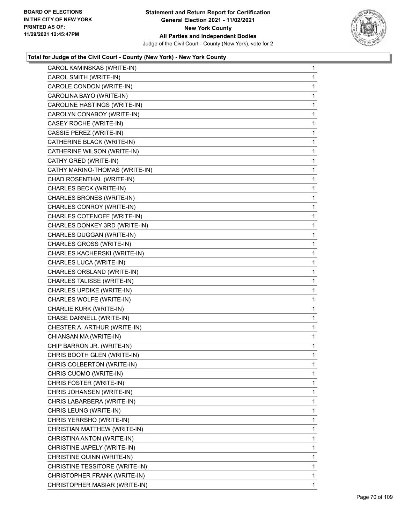

| CAROL KAMINSKAS (WRITE-IN)     | $\mathbf{1}$ |
|--------------------------------|--------------|
| CAROL SMITH (WRITE-IN)         | 1            |
| CAROLE CONDON (WRITE-IN)       | 1            |
| CAROLINA BAYO (WRITE-IN)       | 1            |
| CAROLINE HASTINGS (WRITE-IN)   | 1            |
| CAROLYN CONABOY (WRITE-IN)     | 1            |
| CASEY ROCHE (WRITE-IN)         | 1            |
| CASSIE PEREZ (WRITE-IN)        | 1            |
| CATHERINE BLACK (WRITE-IN)     | 1            |
| CATHERINE WILSON (WRITE-IN)    | 1            |
| CATHY GRED (WRITE-IN)          | 1            |
| CATHY MARINO-THOMAS (WRITE-IN) | 1            |
| CHAD ROSENTHAL (WRITE-IN)      | 1            |
| CHARLES BECK (WRITE-IN)        | 1            |
| CHARLES BRONES (WRITE-IN)      | 1            |
| CHARLES CONROY (WRITE-IN)      | 1            |
| CHARLES COTENOFF (WRITE-IN)    | 1            |
| CHARLES DONKEY 3RD (WRITE-IN)  | 1            |
| CHARLES DUGGAN (WRITE-IN)      | 1            |
| CHARLES GROSS (WRITE-IN)       | 1            |
| CHARLES KACHERSKI (WRITE-IN)   | 1            |
| CHARLES LUCA (WRITE-IN)        | 1            |
| CHARLES ORSLAND (WRITE-IN)     | 1            |
| CHARLES TALISSE (WRITE-IN)     | 1            |
| CHARLES UPDIKE (WRITE-IN)      | 1            |
| CHARLES WOLFE (WRITE-IN)       | 1            |
| CHARLIE KURK (WRITE-IN)        | 1            |
| CHASE DARNELL (WRITE-IN)       | 1            |
| CHESTER A. ARTHUR (WRITE-IN)   | $\mathbf{1}$ |
| CHIANSAN MA (WRITE-IN)         | 1            |
| CHIP BARRON JR. (WRITE-IN)     | 1            |
| CHRIS BOOTH GLEN (WRITE-IN)    | 1            |
| CHRIS COLBERTON (WRITE-IN)     | 1            |
| CHRIS CUOMO (WRITE-IN)         | 1            |
| CHRIS FOSTER (WRITE-IN)        | 1            |
| CHRIS JOHANSEN (WRITE-IN)      | 1            |
| CHRIS LABARBERA (WRITE-IN)     | 1            |
| CHRIS LEUNG (WRITE-IN)         | 1            |
| CHRIS YERRSHO (WRITE-IN)       | 1            |
| CHRISTIAN MATTHEW (WRITE-IN)   | 1            |
| CHRISTINA ANTON (WRITE-IN)     | 1            |
| CHRISTINE JAPELY (WRITE-IN)    | 1            |
| CHRISTINE QUINN (WRITE-IN)     | 1            |
| CHRISTINE TESSITORE (WRITE-IN) | 1            |
| CHRISTOPHER FRANK (WRITE-IN)   | 1            |
| CHRISTOPHER MASIAR (WRITE-IN)  | 1            |
|                                |              |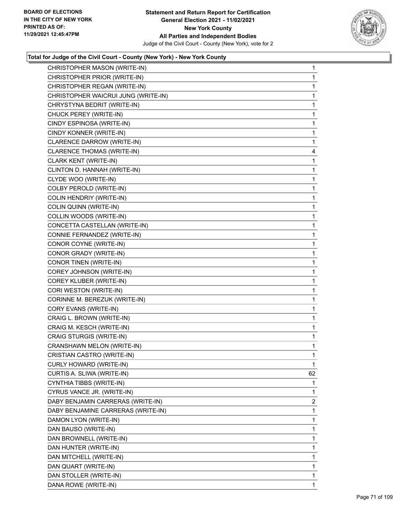

| CHRISTOPHER MASON (WRITE-IN)        | $\mathbf{1}$ |
|-------------------------------------|--------------|
| CHRISTOPHER PRIOR (WRITE-IN)        | $\mathbf{1}$ |
| CHRISTOPHER REGAN (WRITE-IN)        | 1            |
| CHRISTOPHER WAICRUI JUNG (WRITE-IN) | $\mathbf{1}$ |
| CHRYSTYNA BEDRIT (WRITE-IN)         | 1            |
| CHUCK PEREY (WRITE-IN)              | 1            |
| CINDY ESPINOSA (WRITE-IN)           | $\mathbf{1}$ |
| CINDY KONNER (WRITE-IN)             | $\mathbf{1}$ |
| CLARENCE DARROW (WRITE-IN)          | 1            |
| CLARENCE THOMAS (WRITE-IN)          | 4            |
| CLARK KENT (WRITE-IN)               | $\mathbf{1}$ |
| CLINTON D. HANNAH (WRITE-IN)        | 1            |
| CLYDE WOO (WRITE-IN)                | $\mathbf{1}$ |
| COLBY PEROLD (WRITE-IN)             | $\mathbf{1}$ |
| COLIN HENDRIY (WRITE-IN)            | 1            |
| COLIN QUINN (WRITE-IN)              | $\mathbf{1}$ |
| COLLIN WOODS (WRITE-IN)             | $\mathbf{1}$ |
| CONCETTA CASTELLAN (WRITE-IN)       | 1            |
| CONNIE FERNANDEZ (WRITE-IN)         | $\mathbf{1}$ |
| CONOR COYNE (WRITE-IN)              | $\mathbf{1}$ |
| CONOR GRADY (WRITE-IN)              | 1            |
| CONOR TINEN (WRITE-IN)              | $\mathbf{1}$ |
| COREY JOHNSON (WRITE-IN)            | $\mathbf{1}$ |
| COREY KLUBER (WRITE-IN)             | 1            |
| CORI WESTON (WRITE-IN)              | $\mathbf{1}$ |
| CORINNE M. BEREZUK (WRITE-IN)       | $\mathbf{1}$ |
| CORY EVANS (WRITE-IN)               | 1            |
| CRAIG L. BROWN (WRITE-IN)           | $\mathbf{1}$ |
| CRAIG M. KESCH (WRITE-IN)           | $\mathbf{1}$ |
| CRAIG STURGIS (WRITE-IN)            | 1            |
| CRANSHAWN MELON (WRITE-IN)          | $\mathbf{1}$ |
| CRISTIAN CASTRO (WRITE-IN)          | 1            |
| <b>CURLY HOWARD (WRITE-IN)</b>      | 1            |
| CURTIS A. SLIWA (WRITE-IN)          | 62           |
| CYNTHIA TIBBS (WRITE-IN)            | 1            |
| CYRUS VANCE JR. (WRITE-IN)          | 1            |
| DABY BENJAMIN CARRERAS (WRITE-IN)   | 2            |
| DABY BENJAMINE CARRERAS (WRITE-IN)  | 1            |
| DAMON LYON (WRITE-IN)               | 1            |
| DAN BAUSO (WRITE-IN)                | 1            |
| DAN BROWNELL (WRITE-IN)             | 1            |
| DAN HUNTER (WRITE-IN)               | 1            |
| DAN MITCHELL (WRITE-IN)             | 1            |
| DAN QUART (WRITE-IN)                | 1            |
| DAN STOLLER (WRITE-IN)              | 1            |
| DANA ROWE (WRITE-IN)                | 1            |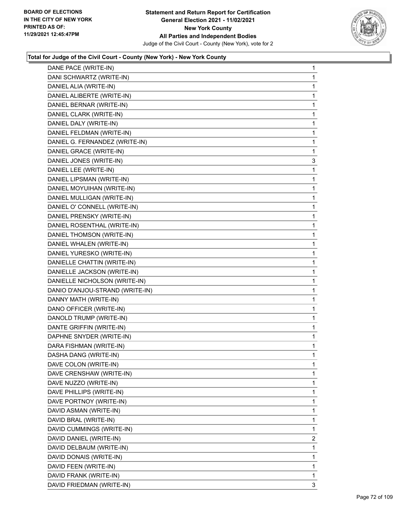

| DANE PACE (WRITE-IN)            | $\mathbf{1}$ |
|---------------------------------|--------------|
| DANI SCHWARTZ (WRITE-IN)        | 1            |
| DANIEL ALIA (WRITE-IN)          | 1            |
| DANIEL ALIBERTE (WRITE-IN)      | 1            |
| DANIEL BERNAR (WRITE-IN)        | 1            |
| DANIEL CLARK (WRITE-IN)         | 1            |
| DANIEL DALY (WRITE-IN)          | 1            |
| DANIEL FELDMAN (WRITE-IN)       | 1            |
| DANIEL G. FERNANDEZ (WRITE-IN)  | 1            |
| DANIEL GRACE (WRITE-IN)         | 1            |
| DANIEL JONES (WRITE-IN)         | 3            |
| DANIEL LEE (WRITE-IN)           | 1            |
| DANIEL LIPSMAN (WRITE-IN)       | 1            |
| DANIEL MOYUIHAN (WRITE-IN)      | 1            |
| DANIEL MULLIGAN (WRITE-IN)      | 1            |
| DANIEL O' CONNELL (WRITE-IN)    | 1            |
| DANIEL PRENSKY (WRITE-IN)       | 1            |
| DANIEL ROSENTHAL (WRITE-IN)     | 1            |
| DANIEL THOMSON (WRITE-IN)       | 1            |
| DANIEL WHALEN (WRITE-IN)        | 1            |
| DANIEL YURESKO (WRITE-IN)       | 1            |
| DANIELLE CHATTIN (WRITE-IN)     | 1            |
| DANIELLE JACKSON (WRITE-IN)     | 1            |
| DANIELLE NICHOLSON (WRITE-IN)   | 1            |
| DANIO D'ANJOU-STRAND (WRITE-IN) | 1            |
| DANNY MATH (WRITE-IN)           | 1            |
| DANO OFFICER (WRITE-IN)         | 1            |
| DANOLD TRUMP (WRITE-IN)         | 1            |
| DANTE GRIFFIN (WRITE-IN)        | 1            |
| DAPHNE SNYDER (WRITE-IN)        | 1            |
| DARA FISHMAN (WRITE-IN)         | 1            |
| DASHA DANG (WRITE-IN)           | 1            |
| DAVE COLON (WRITE-IN)           | 1            |
| DAVE CRENSHAW (WRITE-IN)        | 1            |
| DAVE NUZZO (WRITE-IN)           | 1            |
| DAVE PHILLIPS (WRITE-IN)        | 1            |
| DAVE PORTNOY (WRITE-IN)         | 1            |
| DAVID ASMAN (WRITE-IN)          | 1            |
| DAVID BRAL (WRITE-IN)           | 1            |
| DAVID CUMMINGS (WRITE-IN)       | 1            |
| DAVID DANIEL (WRITE-IN)         | 2            |
| DAVID DELBAUM (WRITE-IN)        | 1            |
| DAVID DONAIS (WRITE-IN)         | 1            |
| DAVID FEEN (WRITE-IN)           | 1            |
| DAVID FRANK (WRITE-IN)          | 1            |
| DAVID FRIEDMAN (WRITE-IN)       | 3            |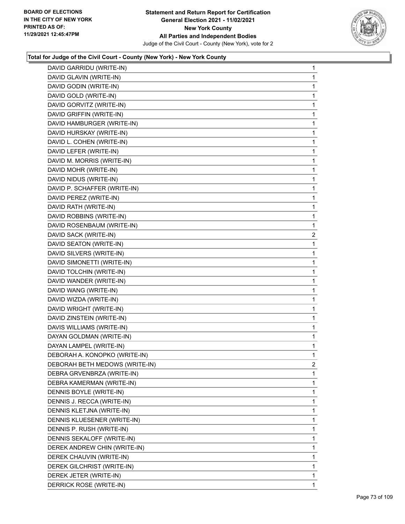

| DAVID GARRIDU (WRITE-IN)       | 1              |
|--------------------------------|----------------|
| DAVID GLAVIN (WRITE-IN)        | 1              |
| DAVID GODIN (WRITE-IN)         | 1              |
| DAVID GOLD (WRITE-IN)          | 1              |
| DAVID GORVITZ (WRITE-IN)       | 1              |
| DAVID GRIFFIN (WRITE-IN)       | 1              |
| DAVID HAMBURGER (WRITE-IN)     | 1              |
| DAVID HURSKAY (WRITE-IN)       | 1              |
| DAVID L. COHEN (WRITE-IN)      | 1              |
| DAVID LEFER (WRITE-IN)         | 1              |
| DAVID M. MORRIS (WRITE-IN)     | 1              |
| DAVID MOHR (WRITE-IN)          | 1              |
| DAVID NIDUS (WRITE-IN)         | 1              |
| DAVID P. SCHAFFER (WRITE-IN)   | 1              |
| DAVID PEREZ (WRITE-IN)         | 1              |
| DAVID RATH (WRITE-IN)          | 1              |
| DAVID ROBBINS (WRITE-IN)       | 1              |
| DAVID ROSENBAUM (WRITE-IN)     | 1              |
| DAVID SACK (WRITE-IN)          | $\overline{2}$ |
| DAVID SEATON (WRITE-IN)        | 1              |
| DAVID SILVERS (WRITE-IN)       | 1              |
| DAVID SIMONETTI (WRITE-IN)     | 1              |
| DAVID TOLCHIN (WRITE-IN)       | 1              |
| DAVID WANDER (WRITE-IN)        | 1              |
| DAVID WANG (WRITE-IN)          | 1              |
| DAVID WIZDA (WRITE-IN)         | 1              |
| DAVID WRIGHT (WRITE-IN)        | 1              |
| DAVID ZINSTEIN (WRITE-IN)      | 1              |
| DAVIS WILLIAMS (WRITE-IN)      | 1              |
| DAYAN GOLDMAN (WRITE-IN)       | 1              |
| DAYAN LAMPEL (WRITE-IN)        | 1              |
| DEBORAH A. KONOPKO (WRITE-IN)  | 1              |
| DEBORAH BETH MEDOWS (WRITE-IN) | 2              |
| DEBRA GRVENBRZA (WRITE-IN)     | 1              |
| DEBRA KAMERMAN (WRITE-IN)      | 1              |
| DENNIS BOYLE (WRITE-IN)        | 1              |
| DENNIS J. RECCA (WRITE-IN)     | 1              |
| DENNIS KLETJNA (WRITE-IN)      | 1              |
| DENNIS KLUESENER (WRITE-IN)    | 1              |
| DENNIS P. RUSH (WRITE-IN)      | 1              |
| DENNIS SEKALOFF (WRITE-IN)     | 1              |
| DEREK ANDREW CHIN (WRITE-IN)   | 1              |
| DEREK CHAUVIN (WRITE-IN)       | 1              |
| DEREK GILCHRIST (WRITE-IN)     | 1              |
| DEREK JETER (WRITE-IN)         | 1              |
| DERRICK ROSE (WRITE-IN)        | 1              |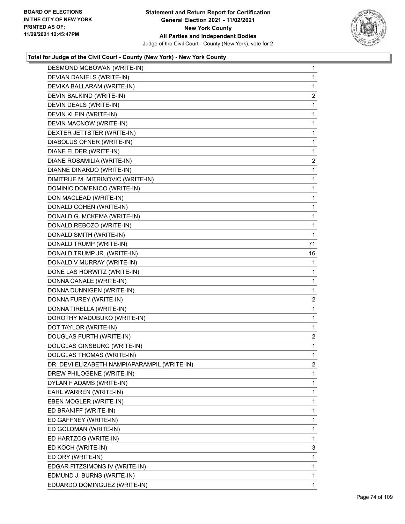

| DESMOND MCBOWAN (WRITE-IN)                   | $\mathbf 1$    |
|----------------------------------------------|----------------|
| DEVIAN DANIELS (WRITE-IN)                    | 1              |
| DEVIKA BALLARAM (WRITE-IN)                   | 1              |
| DEVIN BALKIND (WRITE-IN)                     | $\overline{a}$ |
| DEVIN DEALS (WRITE-IN)                       | 1              |
| DEVIN KLEIN (WRITE-IN)                       | 1              |
| DEVIN MACNOW (WRITE-IN)                      | 1              |
| DEXTER JETTSTER (WRITE-IN)                   | 1              |
| DIABOLUS OFNER (WRITE-IN)                    | 1              |
| DIANE ELDER (WRITE-IN)                       | 1              |
| DIANE ROSAMILIA (WRITE-IN)                   | $\overline{2}$ |
| DIANNE DINARDO (WRITE-IN)                    | 1              |
| DIMITRIJE M. MITRINOVIC (WRITE-IN)           | 1              |
| DOMINIC DOMENICO (WRITE-IN)                  | 1              |
| DON MACLEAD (WRITE-IN)                       | 1              |
| DONALD COHEN (WRITE-IN)                      | 1              |
| DONALD G. MCKEMA (WRITE-IN)                  | 1              |
| DONALD REBOZO (WRITE-IN)                     | 1              |
| DONALD SMITH (WRITE-IN)                      | 1              |
| DONALD TRUMP (WRITE-IN)                      | 71             |
| DONALD TRUMP JR. (WRITE-IN)                  | 16             |
| DONALD V MURRAY (WRITE-IN)                   | 1              |
| DONE LAS HORWITZ (WRITE-IN)                  | 1              |
| DONNA CANALE (WRITE-IN)                      | 1              |
| DONNA DUNNIGEN (WRITE-IN)                    | 1              |
| DONNA FUREY (WRITE-IN)                       | $\overline{2}$ |
| DONNA TIRELLA (WRITE-IN)                     | 1              |
| DOROTHY MADUBUKO (WRITE-IN)                  | 1              |
| DOT TAYLOR (WRITE-IN)                        | 1              |
| DOUGLAS FURTH (WRITE-IN)                     | $\overline{a}$ |
| DOUGLAS GINSBURG (WRITE-IN)                  | 1              |
| DOUGLAS THOMAS (WRITE-IN)                    | 1              |
| DR. DEVI ELIZABETH NAMPIAPARAMPIL (WRITE-IN) | 2              |
| DREW PHILOGENE (WRITE-IN)                    | 1              |
| DYLAN F ADAMS (WRITE-IN)                     | 1              |
| EARL WARREN (WRITE-IN)                       | 1              |
| EBEN MOGLER (WRITE-IN)                       | 1              |
| ED BRANIFF (WRITE-IN)                        | 1              |
| ED GAFFNEY (WRITE-IN)                        | 1              |
| ED GOLDMAN (WRITE-IN)                        | 1              |
| ED HARTZOG (WRITE-IN)                        | 1              |
| ED KOCH (WRITE-IN)                           | 3              |
| ED ORY (WRITE-IN)                            | 1              |
| EDGAR FITZSIMONS IV (WRITE-IN)               | 1              |
| EDMUND J. BURNS (WRITE-IN)                   | 1              |
| EDUARDO DOMINGUEZ (WRITE-IN)                 | 1.             |
|                                              |                |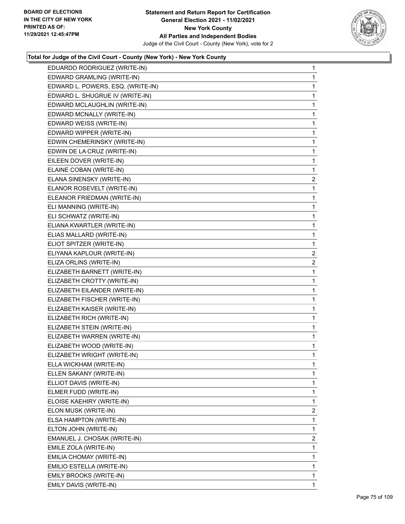

| EDUARDO RODRIGUEZ (WRITE-IN)      | 1              |
|-----------------------------------|----------------|
| EDWARD GRAMLING (WRITE-IN)        | 1              |
| EDWARD L. POWERS, ESQ. (WRITE-IN) | 1              |
| EDWARD L. SHUGRUE IV (WRITE-IN)   | 1              |
| EDWARD MCLAUGHLIN (WRITE-IN)      | 1              |
| EDWARD MCNALLY (WRITE-IN)         | 1              |
| EDWARD WEISS (WRITE-IN)           | 1              |
| EDWARD WIPPER (WRITE-IN)          | 1              |
| EDWIN CHEMERINSKY (WRITE-IN)      | 1              |
| EDWIN DE LA CRUZ (WRITE-IN)       | 1              |
| EILEEN DOVER (WRITE-IN)           | 1              |
| ELAINE COBAN (WRITE-IN)           | $\mathbf{1}$   |
| ELANA SINENSKY (WRITE-IN)         | $\overline{2}$ |
| ELANOR ROSEVELT (WRITE-IN)        | 1              |
| ELEANOR FRIEDMAN (WRITE-IN)       | 1              |
| ELI MANNING (WRITE-IN)            | 1              |
| ELI SCHWATZ (WRITE-IN)            | 1              |
| ELIANA KWARTLER (WRITE-IN)        | 1              |
| ELIAS MALLARD (WRITE-IN)          | 1              |
| ELIOT SPITZER (WRITE-IN)          | 1              |
| ELIYANA KAPLOUR (WRITE-IN)        | $\overline{2}$ |
| ELIZA ORLINS (WRITE-IN)           | $\overline{2}$ |
| ELIZABETH BARNETT (WRITE-IN)      | 1              |
| ELIZABETH CROTTY (WRITE-IN)       | 1              |
| ELIZABETH EILANDER (WRITE-IN)     | 1              |
| ELIZABETH FISCHER (WRITE-IN)      | 1              |
| ELIZABETH KAISER (WRITE-IN)       | 1              |
| ELIZABETH RICH (WRITE-IN)         | 1              |
| ELIZABETH STEIN (WRITE-IN)        | 1              |
| ELIZABETH WARREN (WRITE-IN)       | $\mathbf{1}$   |
| ELIZABETH WOOD (WRITE-IN)         | $\mathbf 1$    |
| ELIZABETH WRIGHT (WRITE-IN)       | 1              |
| ELLA WICKHAM (WRITE-IN)           | 1              |
| ELLEN SAKANY (WRITE-IN)           | 1              |
| ELLIOT DAVIS (WRITE-IN)           | 1              |
| ELMER FUDD (WRITE-IN)             | 1              |
| ELOISE KAEHIRY (WRITE-IN)         | 1              |
| ELON MUSK (WRITE-IN)              | $\overline{c}$ |
| ELSA HAMPTON (WRITE-IN)           | 1              |
| ELTON JOHN (WRITE-IN)             | 1              |
| EMANUEL J. CHOSAK (WRITE-IN)      | $\overline{c}$ |
| EMILE ZOLA (WRITE-IN)             | 1              |
| EMILIA CHOMAY (WRITE-IN)          | 1              |
| EMILIO ESTELLA (WRITE-IN)         | 1              |
| EMILY BROOKS (WRITE-IN)           | 1              |
| EMILY DAVIS (WRITE-IN)            | 1              |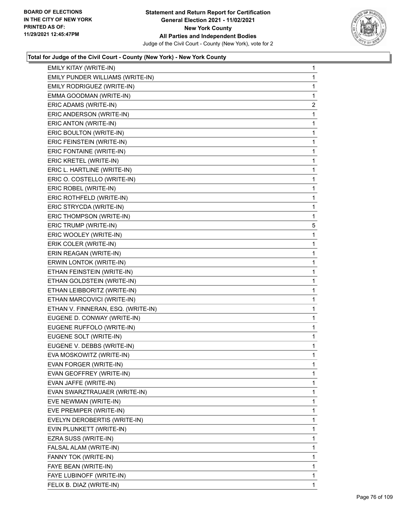

| EMILY KITAY (WRITE-IN)             | 1            |
|------------------------------------|--------------|
| EMILY PUNDER WILLIAMS (WRITE-IN)   | 1            |
| EMILY RODRIGUEZ (WRITE-IN)         | 1            |
| EMMA GOODMAN (WRITE-IN)            | 1            |
| ERIC ADAMS (WRITE-IN)              | 2            |
| ERIC ANDERSON (WRITE-IN)           | 1            |
| ERIC ANTON (WRITE-IN)              | 1            |
| ERIC BOULTON (WRITE-IN)            | 1            |
| ERIC FEINSTEIN (WRITE-IN)          | 1            |
| ERIC FONTAINE (WRITE-IN)           | $\mathbf{1}$ |
| ERIC KRETEL (WRITE-IN)             | 1            |
| ERIC L. HARTLINE (WRITE-IN)        | 1            |
| ERIC O. COSTELLO (WRITE-IN)        | 1            |
| ERIC ROBEL (WRITE-IN)              | 1            |
| ERIC ROTHFELD (WRITE-IN)           | 1            |
| ERIC STRYCDA (WRITE-IN)            | $\mathbf{1}$ |
| ERIC THOMPSON (WRITE-IN)           | 1            |
| ERIC TRUMP (WRITE-IN)              | 5            |
| ERIC WOOLEY (WRITE-IN)             | 1            |
| ERIK COLER (WRITE-IN)              | 1            |
| ERIN REAGAN (WRITE-IN)             | 1            |
| ERWIN LONTOK (WRITE-IN)            | $\mathbf{1}$ |
| ETHAN FEINSTEIN (WRITE-IN)         | 1            |
| ETHAN GOLDSTEIN (WRITE-IN)         | 1            |
| ETHAN LEIBBORITZ (WRITE-IN)        | 1            |
| ETHAN MARCOVICI (WRITE-IN)         | 1            |
| ETHAN V. FINNERAN, ESQ. (WRITE-IN) | 1            |
| EUGENE D. CONWAY (WRITE-IN)        | 1            |
| EUGENE RUFFOLO (WRITE-IN)          | 1            |
| EUGENE SOLT (WRITE-IN)             | 1            |
| EUGENE V. DEBBS (WRITE-IN)         | 1            |
| EVA MOSKOWITZ (WRITE-IN)           | 1            |
| EVAN FORGER (WRITE-IN)             | 1            |
| EVAN GEOFFREY (WRITE-IN)           | 1            |
| EVAN JAFFE (WRITE-IN)              | 1            |
| EVAN SWARZTRAUAER (WRITE-IN)       | 1            |
| EVE NEWMAN (WRITE-IN)              | 1            |
| EVE PREMIPER (WRITE-IN)            | 1            |
| EVELYN DEROBERTIS (WRITE-IN)       | 1            |
| EVIN PLUNKETT (WRITE-IN)           | 1            |
| EZRA SUSS (WRITE-IN)               | 1            |
| FALSAL ALAM (WRITE-IN)             | 1            |
| FANNY TOK (WRITE-IN)               | 1            |
| FAYE BEAN (WRITE-IN)               | 1            |
| FAYE LUBINOFF (WRITE-IN)           | 1            |
| FELIX B. DIAZ (WRITE-IN)           | 1            |
|                                    |              |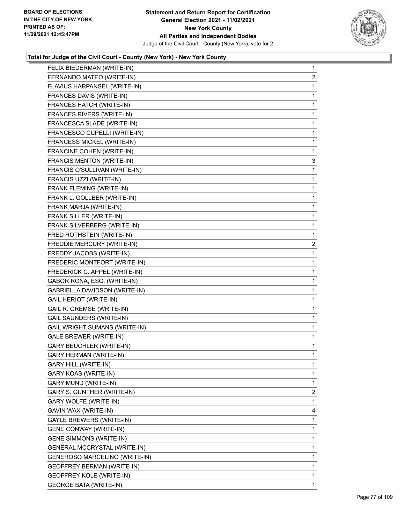

| FELIX BIEDERMAN (WRITE-IN)      | 1              |
|---------------------------------|----------------|
| FERNANDO MATEO (WRITE-IN)       | $\overline{c}$ |
| FLAVIUS HARPANSEL (WRITE-IN)    | 1              |
| FRANCES DAVIS (WRITE-IN)        | 1              |
| FRANCES HATCH (WRITE-IN)        | $\mathbf{1}$   |
| FRANCES RIVERS (WRITE-IN)       | 1              |
| FRANCESCA SLADE (WRITE-IN)      | 1              |
| FRANCESCO CUPELLI (WRITE-IN)    | $\mathbf{1}$   |
| FRANCESS MICKEL (WRITE-IN)      | 1              |
| FRANCINE COHEN (WRITE-IN)       | 1              |
| FRANCIS MENTON (WRITE-IN)       | 3              |
| FRANCIS O'SULLIVAN (WRITE-IN)   | 1              |
| FRANCIS UZZI (WRITE-IN)         | 1              |
| FRANK FLEMING (WRITE-IN)        | $\mathbf{1}$   |
| FRANK L. GOLLBER (WRITE-IN)     | $\mathbf{1}$   |
| FRANK MARJA (WRITE-IN)          | 1              |
| FRANK SILLER (WRITE-IN)         | $\mathbf{1}$   |
| FRANK SILVERBERG (WRITE-IN)     | 1              |
| FRED ROTHSTEIN (WRITE-IN)       | 1              |
| FREDDIE MERCURY (WRITE-IN)      | 2              |
| FREDDY JACOBS (WRITE-IN)        | 1              |
| FREDERIC MONTFORT (WRITE-IN)    | 1              |
| FREDERICK C. APPEL (WRITE-IN)   | $\mathbf{1}$   |
| GABOR RONA, ESQ. (WRITE-IN)     | 1              |
| GABRIELLA DAVIDSON (WRITE-IN)   | 1              |
| <b>GAIL HERIOT (WRITE-IN)</b>   | $\mathbf{1}$   |
| GAIL R. GREMSE (WRITE-IN)       | 1              |
| <b>GAIL SAUNDERS (WRITE-IN)</b> | 1              |
| GAIL WRIGHT SUMANS (WRITE-IN)   | $\mathbf{1}$   |
| <b>GALE BREWER (WRITE-IN)</b>   | 1              |
| <b>GARY BEUCHLER (WRITE-IN)</b> | 1              |
| <b>GARY HERMAN (WRITE-IN)</b>   | 1              |
| <b>GARY HILL (WRITE-IN)</b>     | 1              |
| GARY KOAS (WRITE-IN)            | 1.             |
| GARY MUND (WRITE-IN)            | 1              |
| GARY S. GUNTHER (WRITE-IN)      | $\overline{2}$ |
| GARY WOLFE (WRITE-IN)           | 1              |
| GAVIN WAX (WRITE-IN)            | 4              |
| GAYLE BREWERS (WRITE-IN)        | 1              |
| <b>GENE CONWAY (WRITE-IN)</b>   | 1              |
| <b>GENE SIMMONS (WRITE-IN)</b>  | 1              |
| GENERAL MCCRYSTAL (WRITE-IN)    | 1              |
| GENEROSO MARCELINO (WRITE-IN)   | 1              |
| GEOFFREY BERMAN (WRITE-IN)      | 1              |
| <b>GEOFFREY KOLE (WRITE-IN)</b> | 1              |
| <b>GEORGE BATA (WRITE-IN)</b>   | 1.             |
|                                 |                |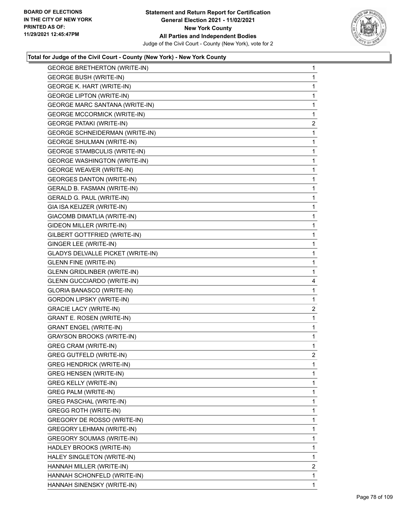

| <b>GEORGE BUSH (WRITE-IN)</b><br><b>GEORGE K. HART (WRITE-IN)</b><br>1<br><b>GEORGE LIPTON (WRITE-IN)</b><br>$\mathbf{1}$<br><b>GEORGE MARC SANTANA (WRITE-IN)</b><br>1<br><b>GEORGE MCCORMICK (WRITE-IN)</b><br><b>GEORGE PATAKI (WRITE-IN)</b><br><b>GEORGE SCHNEIDERMAN (WRITE-IN)</b><br><b>GEORGE SHULMAN (WRITE-IN)</b><br>1<br><b>GEORGE STAMBCULIS (WRITE-IN)</b><br>$\mathbf{1}$<br><b>GEORGE WASHINGTON (WRITE-IN)</b><br>1<br><b>GEORGE WEAVER (WRITE-IN)</b><br>1<br><b>GEORGES DANTON (WRITE-IN)</b><br>$\mathbf{1}$<br>GERALD B. FASMAN (WRITE-IN)<br>1<br><b>GERALD G. PAUL (WRITE-IN)</b><br>1<br>GIA ISA KEIJZER (WRITE-IN)<br>$\mathbf{1}$<br>GIACOMB DIMATLIA (WRITE-IN)<br>1<br>GIDEON MILLER (WRITE-IN)<br>1<br>GILBERT GOTTFRIED (WRITE-IN)<br>$\mathbf{1}$<br>GINGER LEE (WRITE-IN)<br>1<br><b>GLADYS DELVALLE PICKET (WRITE-IN)</b><br>1<br><b>GLENN FINE (WRITE-IN)</b><br>$\mathbf{1}$<br><b>GLENN GRIDLINBER (WRITE-IN)</b><br>1<br><b>GLENN GUCCIARDO (WRITE-IN)</b><br>GLORIA BANASCO (WRITE-IN)<br><b>GORDON LIPSKY (WRITE-IN)</b><br>1<br><b>GRACIE LACY (WRITE-IN)</b><br><b>GRANT E. ROSEN (WRITE-IN)</b><br>$\mathbf{1}$<br><b>GRANT ENGEL (WRITE-IN)</b><br>1<br><b>GRAYSON BROOKS (WRITE-IN)</b><br><b>GREG CRAM (WRITE-IN)</b><br><b>GREG GUTFELD (WRITE-IN)</b><br>$\mathbf{1}$<br><b>GREG HENDRICK (WRITE-IN)</b><br><b>GREG HENSEN (WRITE-IN)</b><br><b>GREG KELLY (WRITE-IN)</b><br>1<br>1<br>GREG PALM (WRITE-IN)<br><b>GREG PASCHAL (WRITE-IN)</b><br>1<br><b>GREGG ROTH (WRITE-IN)</b><br>1<br>1<br>GREGORY DE ROSSO (WRITE-IN)<br>GREGORY LEHMAN (WRITE-IN)<br>1<br><b>GREGORY SOUMAS (WRITE-IN)</b><br>1<br>1<br>HADLEY BROOKS (WRITE-IN)<br>HALEY SINGLETON (WRITE-IN)<br>1<br>HANNAH MILLER (WRITE-IN)<br>HANNAH SCHONFELD (WRITE-IN)<br>HANNAH SINENSKY (WRITE-IN)<br>1 | <b>GEORGE BRETHERTON (WRITE-IN)</b> | $\mathbf{1}$   |
|--------------------------------------------------------------------------------------------------------------------------------------------------------------------------------------------------------------------------------------------------------------------------------------------------------------------------------------------------------------------------------------------------------------------------------------------------------------------------------------------------------------------------------------------------------------------------------------------------------------------------------------------------------------------------------------------------------------------------------------------------------------------------------------------------------------------------------------------------------------------------------------------------------------------------------------------------------------------------------------------------------------------------------------------------------------------------------------------------------------------------------------------------------------------------------------------------------------------------------------------------------------------------------------------------------------------------------------------------------------------------------------------------------------------------------------------------------------------------------------------------------------------------------------------------------------------------------------------------------------------------------------------------------------------------------------------------------------------------------------------------------------------------------------------------------------------------|-------------------------------------|----------------|
|                                                                                                                                                                                                                                                                                                                                                                                                                                                                                                                                                                                                                                                                                                                                                                                                                                                                                                                                                                                                                                                                                                                                                                                                                                                                                                                                                                                                                                                                                                                                                                                                                                                                                                                                                                                                                          |                                     | 1              |
|                                                                                                                                                                                                                                                                                                                                                                                                                                                                                                                                                                                                                                                                                                                                                                                                                                                                                                                                                                                                                                                                                                                                                                                                                                                                                                                                                                                                                                                                                                                                                                                                                                                                                                                                                                                                                          |                                     |                |
|                                                                                                                                                                                                                                                                                                                                                                                                                                                                                                                                                                                                                                                                                                                                                                                                                                                                                                                                                                                                                                                                                                                                                                                                                                                                                                                                                                                                                                                                                                                                                                                                                                                                                                                                                                                                                          |                                     |                |
|                                                                                                                                                                                                                                                                                                                                                                                                                                                                                                                                                                                                                                                                                                                                                                                                                                                                                                                                                                                                                                                                                                                                                                                                                                                                                                                                                                                                                                                                                                                                                                                                                                                                                                                                                                                                                          |                                     |                |
|                                                                                                                                                                                                                                                                                                                                                                                                                                                                                                                                                                                                                                                                                                                                                                                                                                                                                                                                                                                                                                                                                                                                                                                                                                                                                                                                                                                                                                                                                                                                                                                                                                                                                                                                                                                                                          |                                     | $\mathbf{1}$   |
|                                                                                                                                                                                                                                                                                                                                                                                                                                                                                                                                                                                                                                                                                                                                                                                                                                                                                                                                                                                                                                                                                                                                                                                                                                                                                                                                                                                                                                                                                                                                                                                                                                                                                                                                                                                                                          |                                     | $\overline{c}$ |
|                                                                                                                                                                                                                                                                                                                                                                                                                                                                                                                                                                                                                                                                                                                                                                                                                                                                                                                                                                                                                                                                                                                                                                                                                                                                                                                                                                                                                                                                                                                                                                                                                                                                                                                                                                                                                          |                                     | 1              |
|                                                                                                                                                                                                                                                                                                                                                                                                                                                                                                                                                                                                                                                                                                                                                                                                                                                                                                                                                                                                                                                                                                                                                                                                                                                                                                                                                                                                                                                                                                                                                                                                                                                                                                                                                                                                                          |                                     |                |
|                                                                                                                                                                                                                                                                                                                                                                                                                                                                                                                                                                                                                                                                                                                                                                                                                                                                                                                                                                                                                                                                                                                                                                                                                                                                                                                                                                                                                                                                                                                                                                                                                                                                                                                                                                                                                          |                                     |                |
|                                                                                                                                                                                                                                                                                                                                                                                                                                                                                                                                                                                                                                                                                                                                                                                                                                                                                                                                                                                                                                                                                                                                                                                                                                                                                                                                                                                                                                                                                                                                                                                                                                                                                                                                                                                                                          |                                     |                |
|                                                                                                                                                                                                                                                                                                                                                                                                                                                                                                                                                                                                                                                                                                                                                                                                                                                                                                                                                                                                                                                                                                                                                                                                                                                                                                                                                                                                                                                                                                                                                                                                                                                                                                                                                                                                                          |                                     |                |
|                                                                                                                                                                                                                                                                                                                                                                                                                                                                                                                                                                                                                                                                                                                                                                                                                                                                                                                                                                                                                                                                                                                                                                                                                                                                                                                                                                                                                                                                                                                                                                                                                                                                                                                                                                                                                          |                                     |                |
|                                                                                                                                                                                                                                                                                                                                                                                                                                                                                                                                                                                                                                                                                                                                                                                                                                                                                                                                                                                                                                                                                                                                                                                                                                                                                                                                                                                                                                                                                                                                                                                                                                                                                                                                                                                                                          |                                     |                |
|                                                                                                                                                                                                                                                                                                                                                                                                                                                                                                                                                                                                                                                                                                                                                                                                                                                                                                                                                                                                                                                                                                                                                                                                                                                                                                                                                                                                                                                                                                                                                                                                                                                                                                                                                                                                                          |                                     |                |
|                                                                                                                                                                                                                                                                                                                                                                                                                                                                                                                                                                                                                                                                                                                                                                                                                                                                                                                                                                                                                                                                                                                                                                                                                                                                                                                                                                                                                                                                                                                                                                                                                                                                                                                                                                                                                          |                                     |                |
|                                                                                                                                                                                                                                                                                                                                                                                                                                                                                                                                                                                                                                                                                                                                                                                                                                                                                                                                                                                                                                                                                                                                                                                                                                                                                                                                                                                                                                                                                                                                                                                                                                                                                                                                                                                                                          |                                     |                |
|                                                                                                                                                                                                                                                                                                                                                                                                                                                                                                                                                                                                                                                                                                                                                                                                                                                                                                                                                                                                                                                                                                                                                                                                                                                                                                                                                                                                                                                                                                                                                                                                                                                                                                                                                                                                                          |                                     |                |
|                                                                                                                                                                                                                                                                                                                                                                                                                                                                                                                                                                                                                                                                                                                                                                                                                                                                                                                                                                                                                                                                                                                                                                                                                                                                                                                                                                                                                                                                                                                                                                                                                                                                                                                                                                                                                          |                                     |                |
|                                                                                                                                                                                                                                                                                                                                                                                                                                                                                                                                                                                                                                                                                                                                                                                                                                                                                                                                                                                                                                                                                                                                                                                                                                                                                                                                                                                                                                                                                                                                                                                                                                                                                                                                                                                                                          |                                     |                |
|                                                                                                                                                                                                                                                                                                                                                                                                                                                                                                                                                                                                                                                                                                                                                                                                                                                                                                                                                                                                                                                                                                                                                                                                                                                                                                                                                                                                                                                                                                                                                                                                                                                                                                                                                                                                                          |                                     |                |
|                                                                                                                                                                                                                                                                                                                                                                                                                                                                                                                                                                                                                                                                                                                                                                                                                                                                                                                                                                                                                                                                                                                                                                                                                                                                                                                                                                                                                                                                                                                                                                                                                                                                                                                                                                                                                          |                                     |                |
|                                                                                                                                                                                                                                                                                                                                                                                                                                                                                                                                                                                                                                                                                                                                                                                                                                                                                                                                                                                                                                                                                                                                                                                                                                                                                                                                                                                                                                                                                                                                                                                                                                                                                                                                                                                                                          |                                     |                |
|                                                                                                                                                                                                                                                                                                                                                                                                                                                                                                                                                                                                                                                                                                                                                                                                                                                                                                                                                                                                                                                                                                                                                                                                                                                                                                                                                                                                                                                                                                                                                                                                                                                                                                                                                                                                                          |                                     | 4              |
|                                                                                                                                                                                                                                                                                                                                                                                                                                                                                                                                                                                                                                                                                                                                                                                                                                                                                                                                                                                                                                                                                                                                                                                                                                                                                                                                                                                                                                                                                                                                                                                                                                                                                                                                                                                                                          |                                     | $\mathbf{1}$   |
|                                                                                                                                                                                                                                                                                                                                                                                                                                                                                                                                                                                                                                                                                                                                                                                                                                                                                                                                                                                                                                                                                                                                                                                                                                                                                                                                                                                                                                                                                                                                                                                                                                                                                                                                                                                                                          |                                     |                |
|                                                                                                                                                                                                                                                                                                                                                                                                                                                                                                                                                                                                                                                                                                                                                                                                                                                                                                                                                                                                                                                                                                                                                                                                                                                                                                                                                                                                                                                                                                                                                                                                                                                                                                                                                                                                                          |                                     | $\overline{2}$ |
|                                                                                                                                                                                                                                                                                                                                                                                                                                                                                                                                                                                                                                                                                                                                                                                                                                                                                                                                                                                                                                                                                                                                                                                                                                                                                                                                                                                                                                                                                                                                                                                                                                                                                                                                                                                                                          |                                     |                |
|                                                                                                                                                                                                                                                                                                                                                                                                                                                                                                                                                                                                                                                                                                                                                                                                                                                                                                                                                                                                                                                                                                                                                                                                                                                                                                                                                                                                                                                                                                                                                                                                                                                                                                                                                                                                                          |                                     |                |
|                                                                                                                                                                                                                                                                                                                                                                                                                                                                                                                                                                                                                                                                                                                                                                                                                                                                                                                                                                                                                                                                                                                                                                                                                                                                                                                                                                                                                                                                                                                                                                                                                                                                                                                                                                                                                          |                                     | $\mathbf{1}$   |
|                                                                                                                                                                                                                                                                                                                                                                                                                                                                                                                                                                                                                                                                                                                                                                                                                                                                                                                                                                                                                                                                                                                                                                                                                                                                                                                                                                                                                                                                                                                                                                                                                                                                                                                                                                                                                          |                                     | 1              |
|                                                                                                                                                                                                                                                                                                                                                                                                                                                                                                                                                                                                                                                                                                                                                                                                                                                                                                                                                                                                                                                                                                                                                                                                                                                                                                                                                                                                                                                                                                                                                                                                                                                                                                                                                                                                                          |                                     | $\overline{2}$ |
|                                                                                                                                                                                                                                                                                                                                                                                                                                                                                                                                                                                                                                                                                                                                                                                                                                                                                                                                                                                                                                                                                                                                                                                                                                                                                                                                                                                                                                                                                                                                                                                                                                                                                                                                                                                                                          |                                     |                |
|                                                                                                                                                                                                                                                                                                                                                                                                                                                                                                                                                                                                                                                                                                                                                                                                                                                                                                                                                                                                                                                                                                                                                                                                                                                                                                                                                                                                                                                                                                                                                                                                                                                                                                                                                                                                                          |                                     | 1              |
|                                                                                                                                                                                                                                                                                                                                                                                                                                                                                                                                                                                                                                                                                                                                                                                                                                                                                                                                                                                                                                                                                                                                                                                                                                                                                                                                                                                                                                                                                                                                                                                                                                                                                                                                                                                                                          |                                     |                |
|                                                                                                                                                                                                                                                                                                                                                                                                                                                                                                                                                                                                                                                                                                                                                                                                                                                                                                                                                                                                                                                                                                                                                                                                                                                                                                                                                                                                                                                                                                                                                                                                                                                                                                                                                                                                                          |                                     |                |
|                                                                                                                                                                                                                                                                                                                                                                                                                                                                                                                                                                                                                                                                                                                                                                                                                                                                                                                                                                                                                                                                                                                                                                                                                                                                                                                                                                                                                                                                                                                                                                                                                                                                                                                                                                                                                          |                                     |                |
|                                                                                                                                                                                                                                                                                                                                                                                                                                                                                                                                                                                                                                                                                                                                                                                                                                                                                                                                                                                                                                                                                                                                                                                                                                                                                                                                                                                                                                                                                                                                                                                                                                                                                                                                                                                                                          |                                     |                |
|                                                                                                                                                                                                                                                                                                                                                                                                                                                                                                                                                                                                                                                                                                                                                                                                                                                                                                                                                                                                                                                                                                                                                                                                                                                                                                                                                                                                                                                                                                                                                                                                                                                                                                                                                                                                                          |                                     |                |
|                                                                                                                                                                                                                                                                                                                                                                                                                                                                                                                                                                                                                                                                                                                                                                                                                                                                                                                                                                                                                                                                                                                                                                                                                                                                                                                                                                                                                                                                                                                                                                                                                                                                                                                                                                                                                          |                                     |                |
|                                                                                                                                                                                                                                                                                                                                                                                                                                                                                                                                                                                                                                                                                                                                                                                                                                                                                                                                                                                                                                                                                                                                                                                                                                                                                                                                                                                                                                                                                                                                                                                                                                                                                                                                                                                                                          |                                     |                |
|                                                                                                                                                                                                                                                                                                                                                                                                                                                                                                                                                                                                                                                                                                                                                                                                                                                                                                                                                                                                                                                                                                                                                                                                                                                                                                                                                                                                                                                                                                                                                                                                                                                                                                                                                                                                                          |                                     |                |
|                                                                                                                                                                                                                                                                                                                                                                                                                                                                                                                                                                                                                                                                                                                                                                                                                                                                                                                                                                                                                                                                                                                                                                                                                                                                                                                                                                                                                                                                                                                                                                                                                                                                                                                                                                                                                          |                                     |                |
|                                                                                                                                                                                                                                                                                                                                                                                                                                                                                                                                                                                                                                                                                                                                                                                                                                                                                                                                                                                                                                                                                                                                                                                                                                                                                                                                                                                                                                                                                                                                                                                                                                                                                                                                                                                                                          |                                     |                |
|                                                                                                                                                                                                                                                                                                                                                                                                                                                                                                                                                                                                                                                                                                                                                                                                                                                                                                                                                                                                                                                                                                                                                                                                                                                                                                                                                                                                                                                                                                                                                                                                                                                                                                                                                                                                                          |                                     | $\overline{2}$ |
|                                                                                                                                                                                                                                                                                                                                                                                                                                                                                                                                                                                                                                                                                                                                                                                                                                                                                                                                                                                                                                                                                                                                                                                                                                                                                                                                                                                                                                                                                                                                                                                                                                                                                                                                                                                                                          |                                     | 1              |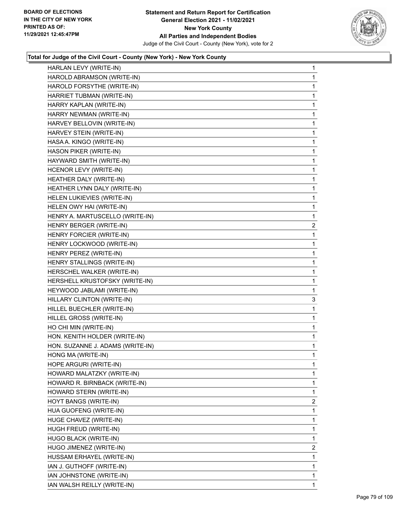

| HARLAN LEVY (WRITE-IN)           | $\mathbf 1$ |
|----------------------------------|-------------|
| HAROLD ABRAMSON (WRITE-IN)       | 1           |
| HAROLD FORSYTHE (WRITE-IN)       | 1           |
| HARRIET TUBMAN (WRITE-IN)        | 1           |
| HARRY KAPLAN (WRITE-IN)          | 1           |
| HARRY NEWMAN (WRITE-IN)          | 1           |
| HARVEY BELLOVIN (WRITE-IN)       | 1           |
| HARVEY STEIN (WRITE-IN)          | 1           |
| HASA A. KINGO (WRITE-IN)         | 1           |
| HASON PIKER (WRITE-IN)           | 1           |
| HAYWARD SMITH (WRITE-IN)         | 1           |
| HCENOR LEVY (WRITE-IN)           | 1           |
| HEATHER DALY (WRITE-IN)          | 1           |
| HEATHER LYNN DALY (WRITE-IN)     | 1           |
| HELEN LUKIEVIES (WRITE-IN)       | 1           |
| HELEN OWY HAI (WRITE-IN)         | 1           |
| HENRY A. MARTUSCELLO (WRITE-IN)  | 1           |
| HENRY BERGER (WRITE-IN)          | 2           |
| HENRY FORCIER (WRITE-IN)         | 1           |
| HENRY LOCKWOOD (WRITE-IN)        | 1           |
| HENRY PEREZ (WRITE-IN)           | 1           |
| HENRY STALLINGS (WRITE-IN)       | 1           |
| HERSCHEL WALKER (WRITE-IN)       | 1           |
| HERSHELL KRUSTOFSKY (WRITE-IN)   | 1           |
| HEYWOOD JABLAMI (WRITE-IN)       | 1           |
| HILLARY CLINTON (WRITE-IN)       | 3           |
| HILLEL BUECHLER (WRITE-IN)       | 1           |
| HILLEL GROSS (WRITE-IN)          | 1           |
| HO CHI MIN (WRITE-IN)            | 1           |
| HON. KENITH HOLDER (WRITE-IN)    | 1           |
| HON. SUZANNE J. ADAMS (WRITE-IN) | 1           |
| HONG MA (WRITE-IN)               | 1           |
| HOPE ARGURI (WRITE-IN)           | 1           |
| HOWARD MALATZKY (WRITE-IN)       | 1           |
| HOWARD R. BIRNBACK (WRITE-IN)    | 1           |
| HOWARD STERN (WRITE-IN)          | 1           |
| HOYT BANGS (WRITE-IN)            | 2           |
| HUA GUOFENG (WRITE-IN)           | 1           |
| HUGE CHAVEZ (WRITE-IN)           | 1           |
| HUGH FREUD (WRITE-IN)            | 1           |
| HUGO BLACK (WRITE-IN)            | 1           |
| HUGO JIMENEZ (WRITE-IN)          | 2           |
| HUSSAM ERHAYEL (WRITE-IN)        | 1           |
| IAN J. GUTHOFF (WRITE-IN)        | 1           |
| IAN JOHNSTONE (WRITE-IN)         | 1           |
| IAN WALSH REILLY (WRITE-IN)      | 1           |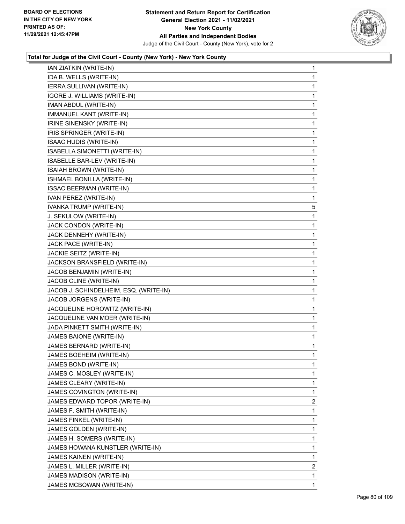

| IAN ZIATKIN (WRITE-IN)                 | 1            |
|----------------------------------------|--------------|
| IDA B. WELLS (WRITE-IN)                | 1            |
| IERRA SULLIVAN (WRITE-IN)              | 1            |
| IGORE J. WILLIAMS (WRITE-IN)           | 1            |
| IMAN ABDUL (WRITE-IN)                  | 1            |
| IMMANUEL KANT (WRITE-IN)               | 1            |
| IRINE SINENSKY (WRITE-IN)              | 1            |
| IRIS SPRINGER (WRITE-IN)               | 1            |
| <b>ISAAC HUDIS (WRITE-IN)</b>          | 1            |
| ISABELLA SIMONETTI (WRITE-IN)          | 1            |
| ISABELLE BAR-LEV (WRITE-IN)            | 1            |
| ISAIAH BROWN (WRITE-IN)                | 1            |
| ISHMAEL BONILLA (WRITE-IN)             | 1            |
| <b>ISSAC BEERMAN (WRITE-IN)</b>        | 1            |
| IVAN PEREZ (WRITE-IN)                  | 1            |
| IVANKA TRUMP (WRITE-IN)                | 5            |
| J. SEKULOW (WRITE-IN)                  | 1            |
| JACK CONDON (WRITE-IN)                 | 1            |
| JACK DENNEHY (WRITE-IN)                | 1            |
| JACK PACE (WRITE-IN)                   | 1            |
| JACKIE SEITZ (WRITE-IN)                | 1            |
| JACKSON BRANSFIELD (WRITE-IN)          | 1            |
| JACOB BENJAMIN (WRITE-IN)              | $\mathbf{1}$ |
| JACOB CLINE (WRITE-IN)                 | 1            |
| JACOB J. SCHINDELHEIM, ESQ. (WRITE-IN) | 1            |
| JACOB JORGENS (WRITE-IN)               | 1            |
| JACQUELINE HOROWITZ (WRITE-IN)         | 1            |
| JACQUELINE VAN MOER (WRITE-IN)         | 1            |
| JADA PINKETT SMITH (WRITE-IN)          | 1            |
| JAMES BAIONE (WRITE-IN)                | 1            |
| JAMES BERNARD (WRITE-IN)               | 1            |
| JAMES BOEHEIM (WRITE-IN)               | 1            |
| JAMES BOND (WRITE-IN)                  | 1            |
| JAMES C. MOSLEY (WRITE-IN)             | 1            |
| JAMES CLEARY (WRITE-IN)                | 1            |
| JAMES COVINGTON (WRITE-IN)             | 1            |
| JAMES EDWARD TOPOR (WRITE-IN)          | 2            |
| JAMES F. SMITH (WRITE-IN)              | 1            |
| JAMES FINKEL (WRITE-IN)                | 1            |
| JAMES GOLDEN (WRITE-IN)                | 1            |
| JAMES H. SOMERS (WRITE-IN)             | 1            |
| JAMES HOWANA KUNSTLER (WRITE-IN)       | 1            |
| JAMES KAINEN (WRITE-IN)                | 1            |
| JAMES L. MILLER (WRITE-IN)             | 2            |
| JAMES MADISON (WRITE-IN)               | 1            |
| JAMES MCBOWAN (WRITE-IN)               | 1            |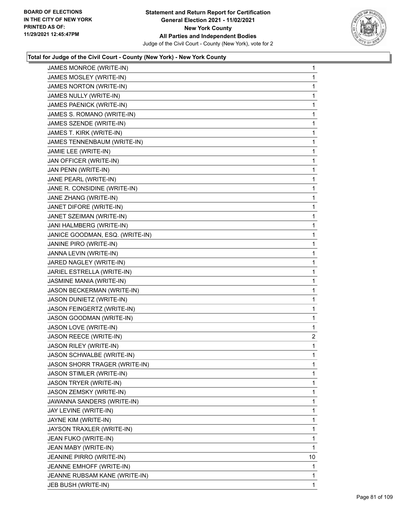

| JAMES MONROE (WRITE-IN)              | 1              |
|--------------------------------------|----------------|
| JAMES MOSLEY (WRITE-IN)              | 1              |
| JAMES NORTON (WRITE-IN)              | 1              |
| JAMES NULLY (WRITE-IN)               | 1              |
| JAMES PAENICK (WRITE-IN)             | 1              |
| JAMES S. ROMANO (WRITE-IN)           | 1              |
| JAMES SZENDE (WRITE-IN)              | 1              |
| JAMES T. KIRK (WRITE-IN)             | 1              |
| JAMES TENNENBAUM (WRITE-IN)          | 1              |
| JAMIE LEE (WRITE-IN)                 | 1              |
| JAN OFFICER (WRITE-IN)               | 1              |
| JAN PENN (WRITE-IN)                  | 1              |
| JANE PEARL (WRITE-IN)                | 1              |
| JANE R. CONSIDINE (WRITE-IN)         | 1              |
| JANE ZHANG (WRITE-IN)                | 1              |
| JANET DIFORE (WRITE-IN)              | 1              |
| JANET SZEIMAN (WRITE-IN)             | 1              |
| JANI HALMBERG (WRITE-IN)             | 1              |
| JANICE GOODMAN, ESQ. (WRITE-IN)      | 1              |
| JANINE PIRO (WRITE-IN)               | 1              |
| JANNA LEVIN (WRITE-IN)               | 1              |
| JARED NAGLEY (WRITE-IN)              | 1              |
| JARIEL ESTRELLA (WRITE-IN)           | 1              |
| JASMINE MANIA (WRITE-IN)             | 1              |
| JASON BECKERMAN (WRITE-IN)           | 1              |
| JASON DUNIETZ (WRITE-IN)             | 1              |
| JASON FEINGERTZ (WRITE-IN)           | 1              |
| JASON GOODMAN (WRITE-IN)             | 1              |
| JASON LOVE (WRITE-IN)                | 1              |
| JASON REECE (WRITE-IN)               | $\overline{c}$ |
| JASON RILEY (WRITE-IN)               | 1              |
| JASON SCHWALBE (WRITE-IN)            | 1              |
| <b>JASON SHORR TRAGER (WRITE-IN)</b> | 1              |
| JASON STIMLER (WRITE-IN)             | 1              |
| JASON TRYER (WRITE-IN)               | 1              |
| JASON ZEMSKY (WRITE-IN)              | 1              |
| JAWANNA SANDERS (WRITE-IN)           | 1              |
| JAY LEVINE (WRITE-IN)                | 1              |
| JAYNE KIM (WRITE-IN)                 | 1              |
| JAYSON TRAXLER (WRITE-IN)            | 1              |
| JEAN FUKO (WRITE-IN)                 | 1              |
| JEAN MABY (WRITE-IN)                 | 1              |
| JEANINE PIRRO (WRITE-IN)             | 10             |
| JEANNE EMHOFF (WRITE-IN)             | 1              |
| JEANNE RUBSAM KANE (WRITE-IN)        | 1              |
| JEB BUSH (WRITE-IN)                  | 1              |
|                                      |                |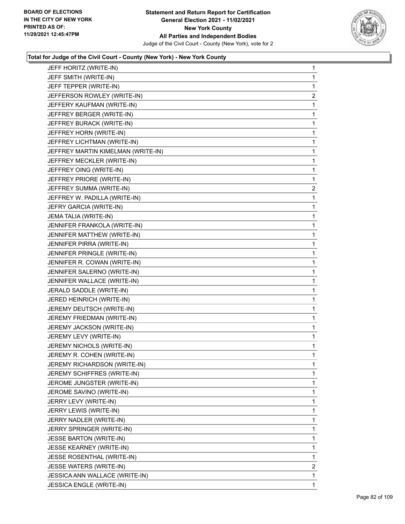

| JEFF HORITZ (WRITE-IN)             | 1              |
|------------------------------------|----------------|
| JEFF SMITH (WRITE-IN)              | 1              |
| JEFF TEPPER (WRITE-IN)             | 1              |
| JEFFERSON ROWLEY (WRITE-IN)        | $\overline{2}$ |
| JEFFERY KAUFMAN (WRITE-IN)         | 1              |
| JEFFREY BERGER (WRITE-IN)          | 1              |
| JEFFREY BURACK (WRITE-IN)          | 1              |
| JEFFREY HORN (WRITE-IN)            | 1              |
| JEFFREY LICHTMAN (WRITE-IN)        | 1              |
| JEFFREY MARTIN KIMELMAN (WRITE-IN) | 1              |
| JEFFREY MECKLER (WRITE-IN)         | 1              |
| JEFFREY OING (WRITE-IN)            | $\mathbf{1}$   |
| JEFFREY PRIORE (WRITE-IN)          | 1              |
| JEFFREY SUMMA (WRITE-IN)           | 2              |
| JEFFREY W. PADILLA (WRITE-IN)      | 1              |
| JEFRY GARCIA (WRITE-IN)            | 1              |
| JEMA TALIA (WRITE-IN)              | 1              |
| JENNIFER FRANKOLA (WRITE-IN)       | $\mathbf{1}$   |
| JENNIFER MATTHEW (WRITE-IN)        | 1              |
| JENNIFER PIRRA (WRITE-IN)          | 1              |
| JENNIFER PRINGLE (WRITE-IN)        | 1              |
| JENNIFER R. COWAN (WRITE-IN)       | 1              |
| JENNIFER SALERNO (WRITE-IN)        | 1              |
| JENNIFER WALLACE (WRITE-IN)        | $\mathbf{1}$   |
| JERALD SADDLE (WRITE-IN)           | 1              |
| JERED HEINRICH (WRITE-IN)          | 1              |
| JEREMY DEUTSCH (WRITE-IN)          | 1              |
| JEREMY FRIEDMAN (WRITE-IN)         | 1              |
| JEREMY JACKSON (WRITE-IN)          | 1              |
| JEREMY LEVY (WRITE-IN)             | $\mathbf{1}$   |
| JEREMY NICHOLS (WRITE-IN)          | 1              |
| JEREMY R. COHEN (WRITE-IN)         | 1              |
| JEREMY RICHARDSON (WRITE-IN)       | 1              |
| JEREMY SCHIFFRES (WRITE-IN)        | 1              |
| JEROME JUNGSTER (WRITE-IN)         | 1              |
| JEROME SAVINO (WRITE-IN)           | 1              |
| JERRY LEVY (WRITE-IN)              | 1              |
| JERRY LEWIS (WRITE-IN)             | 1              |
| JERRY NADLER (WRITE-IN)            | 1              |
| JERRY SPRINGER (WRITE-IN)          | 1              |
| <b>JESSE BARTON (WRITE-IN)</b>     | 1              |
| <b>JESSE KEARNEY (WRITE-IN)</b>    | 1              |
| JESSE ROSENTHAL (WRITE-IN)         | 1              |
| JESSE WATERS (WRITE-IN)            | 2              |
| JESSICA ANN WALLACE (WRITE-IN)     | 1              |
| JESSICA ENGLE (WRITE-IN)           | 1              |
|                                    |                |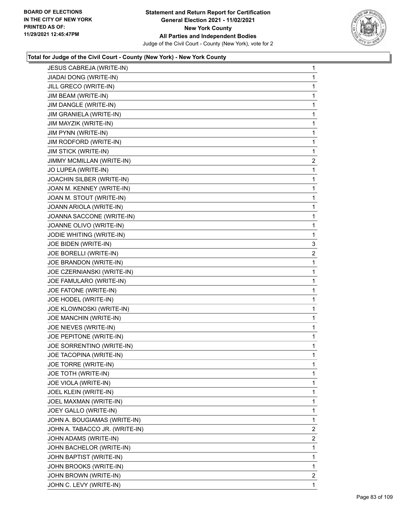

| JESUS CABREJA (WRITE-IN)       | 1                       |
|--------------------------------|-------------------------|
| JIADAI DONG (WRITE-IN)         | 1                       |
| JILL GRECO (WRITE-IN)          | 1                       |
| JIM BEAM (WRITE-IN)            | 1                       |
| JIM DANGLE (WRITE-IN)          | 1                       |
| JIM GRANIELA (WRITE-IN)        | 1                       |
| JIM MAYZIK (WRITE-IN)          | 1                       |
| JIM PYNN (WRITE-IN)            | 1                       |
| JIM RODFORD (WRITE-IN)         | 1                       |
| <b>JIM STICK (WRITE-IN)</b>    | 1                       |
| JIMMY MCMILLAN (WRITE-IN)      | $\overline{\mathbf{c}}$ |
| JO LUPEA (WRITE-IN)            | 1                       |
| JOACHIN SILBER (WRITE-IN)      | 1                       |
| JOAN M. KENNEY (WRITE-IN)      | 1                       |
| JOAN M. STOUT (WRITE-IN)       | 1                       |
| JOANN ARIOLA (WRITE-IN)        | 1                       |
| JOANNA SACCONE (WRITE-IN)      | 1                       |
| JOANNE OLIVO (WRITE-IN)        | 1                       |
| JODIE WHITING (WRITE-IN)       | 1                       |
| JOE BIDEN (WRITE-IN)           | 3                       |
| JOE BORELLI (WRITE-IN)         | $\overline{c}$          |
| JOE BRANDON (WRITE-IN)         | 1                       |
| JOE CZERNIANSKI (WRITE-IN)     | 1                       |
| JOE FAMULARO (WRITE-IN)        | 1                       |
| JOE FATONE (WRITE-IN)          | 1                       |
| JOE HODEL (WRITE-IN)           | 1                       |
| JOE KLOWNOSKI (WRITE-IN)       | 1                       |
| JOE MANCHIN (WRITE-IN)         | 1                       |
| JOE NIEVES (WRITE-IN)          | 1                       |
| JOE PEPITONE (WRITE-IN)        | 1                       |
| JOE SORRENTINO (WRITE-IN)      | 1                       |
| JOE TACOPINA (WRITE-IN)        | 1                       |
| JOE TORRE (WRITE-IN)           | 1                       |
| JOE TOTH (WRITE-IN)            | 1                       |
| JOE VIOLA (WRITE-IN)           | 1                       |
| JOEL KLEIN (WRITE-IN)          | 1                       |
| JOEL MAXMAN (WRITE-IN)         | 1                       |
| JOEY GALLO (WRITE-IN)          | 1                       |
| JOHN A. BOUGIAMAS (WRITE-IN)   | 1                       |
| JOHN A. TABACCO JR. (WRITE-IN) | $\overline{2}$          |
| JOHN ADAMS (WRITE-IN)          | $\overline{2}$          |
| JOHN BACHELOR (WRITE-IN)       | 1                       |
| JOHN BAPTIST (WRITE-IN)        | 1                       |
| JOHN BROOKS (WRITE-IN)         | 1                       |
| JOHN BROWN (WRITE-IN)          | $\overline{2}$          |
| JOHN C. LEVY (WRITE-IN)        | 1                       |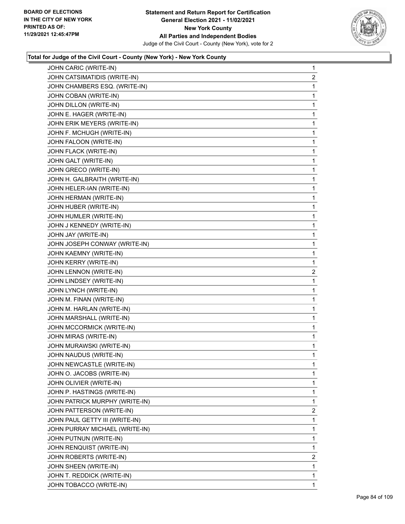

| JOHN CARIC (WRITE-IN)          | $\mathbf 1$ |
|--------------------------------|-------------|
| JOHN CATSIMATIDIS (WRITE-IN)   | 2           |
| JOHN CHAMBERS ESQ. (WRITE-IN)  | 1           |
| JOHN COBAN (WRITE-IN)          | 1           |
| JOHN DILLON (WRITE-IN)         | 1           |
| JOHN E. HAGER (WRITE-IN)       | 1           |
| JOHN ERIK MEYERS (WRITE-IN)    | 1           |
| JOHN F. MCHUGH (WRITE-IN)      | 1           |
| JOHN FALOON (WRITE-IN)         | 1           |
| JOHN FLACK (WRITE-IN)          | 1           |
| JOHN GALT (WRITE-IN)           | 1           |
| JOHN GRECO (WRITE-IN)          | 1           |
| JOHN H. GALBRAITH (WRITE-IN)   | 1           |
| JOHN HELER-IAN (WRITE-IN)      | 1           |
| JOHN HERMAN (WRITE-IN)         | 1           |
| JOHN HUBER (WRITE-IN)          | 1           |
| JOHN HUMLER (WRITE-IN)         | 1           |
| JOHN J KENNEDY (WRITE-IN)      | 1           |
| JOHN JAY (WRITE-IN)            | 1           |
| JOHN JOSEPH CONWAY (WRITE-IN)  | 1           |
| JOHN KAEMNY (WRITE-IN)         | 1           |
| JOHN KERRY (WRITE-IN)          | 1           |
| JOHN LENNON (WRITE-IN)         | 2           |
| JOHN LINDSEY (WRITE-IN)        | 1           |
| JOHN LYNCH (WRITE-IN)          | 1           |
| JOHN M. FINAN (WRITE-IN)       | 1           |
| JOHN M. HARLAN (WRITE-IN)      | 1           |
| JOHN MARSHALL (WRITE-IN)       | 1           |
| JOHN MCCORMICK (WRITE-IN)      | 1           |
| JOHN MIRAS (WRITE-IN)          | 1           |
| JOHN MURAWSKI (WRITE-IN)       | 1           |
| JOHN NAUDUS (WRITE-IN)         | 1           |
| JOHN NEWCASTLE (WRITE-IN)      | 1           |
| JOHN O. JACOBS (WRITE-IN)      | 1           |
| JOHN OLIVIER (WRITE-IN)        | 1           |
| JOHN P. HASTINGS (WRITE-IN)    | 1           |
| JOHN PATRICK MURPHY (WRITE-IN) | 1           |
| JOHN PATTERSON (WRITE-IN)      | 2           |
| JOHN PAUL GETTY III (WRITE-IN) | 1           |
| JOHN PURRAY MICHAEL (WRITE-IN) | 1           |
| JOHN PUTNUN (WRITE-IN)         | 1           |
| JOHN RENQUIST (WRITE-IN)       | 1           |
| JOHN ROBERTS (WRITE-IN)        | 2           |
| JOHN SHEEN (WRITE-IN)          | 1           |
| JOHN T. REDDICK (WRITE-IN)     | 1           |
| JOHN TOBACCO (WRITE-IN)        | 1           |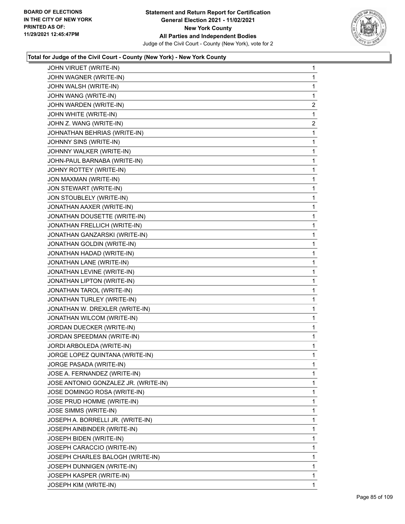

| JOHN VIRUET (WRITE-IN)               | 1              |
|--------------------------------------|----------------|
| JOHN WAGNER (WRITE-IN)               | 1              |
| JOHN WALSH (WRITE-IN)                | 1              |
| JOHN WANG (WRITE-IN)                 | 1              |
| JOHN WARDEN (WRITE-IN)               | 2              |
| JOHN WHITE (WRITE-IN)                | 1              |
| JOHN Z. WANG (WRITE-IN)              | $\overline{2}$ |
| JOHNATHAN BEHRIAS (WRITE-IN)         | 1              |
| JOHNNY SINS (WRITE-IN)               | 1              |
| JOHNNY WALKER (WRITE-IN)             | 1              |
| JOHN-PAUL BARNABA (WRITE-IN)         | 1              |
| JOHNY ROTTEY (WRITE-IN)              | 1              |
| JON MAXMAN (WRITE-IN)                | 1              |
| JON STEWART (WRITE-IN)               | 1              |
| JON STOUBLELY (WRITE-IN)             | 1              |
| JONATHAN AAXER (WRITE-IN)            | 1              |
| JONATHAN DOUSETTE (WRITE-IN)         | 1              |
| JONATHAN FRELLICH (WRITE-IN)         | 1              |
| JONATHAN GANZARSKI (WRITE-IN)        | 1              |
| JONATHAN GOLDIN (WRITE-IN)           | 1              |
| JONATHAN HADAD (WRITE-IN)            | 1              |
| JONATHAN LANE (WRITE-IN)             | 1              |
| JONATHAN LEVINE (WRITE-IN)           | 1              |
| JONATHAN LIPTON (WRITE-IN)           | 1              |
| JONATHAN TAROL (WRITE-IN)            | 1              |
| JONATHAN TURLEY (WRITE-IN)           | 1              |
| JONATHAN W. DREXLER (WRITE-IN)       | 1              |
| JONATHAN WILCOM (WRITE-IN)           | 1              |
| JORDAN DUECKER (WRITE-IN)            | 1              |
| JORDAN SPEEDMAN (WRITE-IN)           | 1              |
| JORDI ARBOLEDA (WRITE-IN)            | 1              |
| JORGE LOPEZ QUINTANA (WRITE-IN)      | 1              |
| JORGE PASADA (WRITE-IN)              | 1              |
| JOSE A. FERNANDEZ (WRITE-IN)         | 1              |
| JOSE ANTONIO GONZALEZ JR. (WRITE-IN) | 1              |
| JOSE DOMINGO ROSA (WRITE-IN)         | 1              |
| JOSE PRUD HOMME (WRITE-IN)           | 1              |
| <b>JOSE SIMMS (WRITE-IN)</b>         | 1              |
| JOSEPH A. BORRELLI JR. (WRITE-IN)    | 1              |
| JOSEPH AINBINDER (WRITE-IN)          | 1              |
| JOSEPH BIDEN (WRITE-IN)              | 1              |
| JOSEPH CARACCIO (WRITE-IN)           | 1              |
| JOSEPH CHARLES BALOGH (WRITE-IN)     | 1              |
| JOSEPH DUNNIGEN (WRITE-IN)           | 1              |
| JOSEPH KASPER (WRITE-IN)             | 1              |
| JOSEPH KIM (WRITE-IN)                | 1              |
|                                      |                |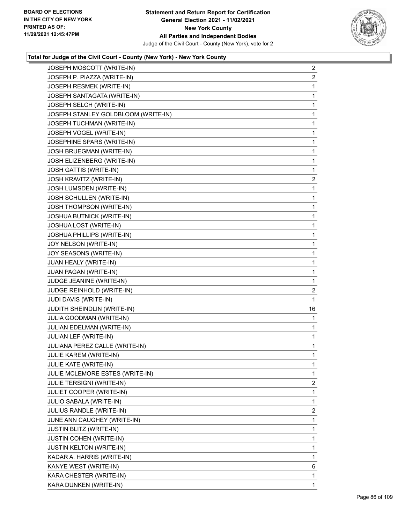

| JOSEPH MOSCOTT (WRITE-IN)           | $\overline{2}$ |
|-------------------------------------|----------------|
| JOSEPH P. PIAZZA (WRITE-IN)         | $\overline{2}$ |
| JOSEPH RESMEK (WRITE-IN)            | 1              |
| JOSEPH SANTAGATA (WRITE-IN)         | 1              |
| JOSEPH SELCH (WRITE-IN)             | 1              |
| JOSEPH STANLEY GOLDBLOOM (WRITE-IN) | 1              |
| JOSEPH TUCHMAN (WRITE-IN)           | 1              |
| JOSEPH VOGEL (WRITE-IN)             | 1              |
| JOSEPHINE SPARS (WRITE-IN)          | 1              |
| JOSH BRUEGMAN (WRITE-IN)            | 1              |
| JOSH ELIZENBERG (WRITE-IN)          | 1              |
| JOSH GATTIS (WRITE-IN)              | 1              |
| JOSH KRAVITZ (WRITE-IN)             | $\overline{a}$ |
| JOSH LUMSDEN (WRITE-IN)             | 1              |
| JOSH SCHULLEN (WRITE-IN)            | 1              |
| JOSH THOMPSON (WRITE-IN)            | 1              |
| <b>JOSHUA BUTNICK (WRITE-IN)</b>    | 1              |
| JOSHUA LOST (WRITE-IN)              | 1              |
| JOSHUA PHILLIPS (WRITE-IN)          | 1              |
| JOY NELSON (WRITE-IN)               | 1              |
| JOY SEASONS (WRITE-IN)              | 1              |
| JUAN HEALY (WRITE-IN)               | 1              |
| JUAN PAGAN (WRITE-IN)               | 1              |
| JUDGE JEANINE (WRITE-IN)            | 1              |
| JUDGE REINHOLD (WRITE-IN)           | $\overline{2}$ |
| JUDI DAVIS (WRITE-IN)               | 1              |
| JUDITH SHEINDLIN (WRITE-IN)         | 16             |
| JULIA GOODMAN (WRITE-IN)            | 1              |
| JULIAN EDELMAN (WRITE-IN)           | 1              |
| JULIAN LEF (WRITE-IN)               | 1              |
| JULIANA PEREZ CALLE (WRITE-IN)      | 1              |
| JULIE KAREM (WRITE-IN)              | 1              |
| JULIE KATE (WRITE-IN)               | 1              |
| JULIE MCLEMORE ESTES (WRITE-IN)     | 1              |
| JULIE TERSIGNI (WRITE-IN)           | $\overline{2}$ |
| JULIET COOPER (WRITE-IN)            | 1              |
| <b>JULIO SABALA (WRITE-IN)</b>      | 1              |
| JULIUS RANDLE (WRITE-IN)            | 2              |
| JUNE ANN CAUGHEY (WRITE-IN)         | 1              |
| <b>JUSTIN BLITZ (WRITE-IN)</b>      | 1              |
| <b>JUSTIN COHEN (WRITE-IN)</b>      | 1              |
| <b>JUSTIN KELTON (WRITE-IN)</b>     | 1              |
| KADAR A. HARRIS (WRITE-IN)          | 1              |
| KANYE WEST (WRITE-IN)               | 6              |
| KARA CHESTER (WRITE-IN)             | 1              |
| KARA DUNKEN (WRITE-IN)              | $\mathbf{1}$   |
|                                     |                |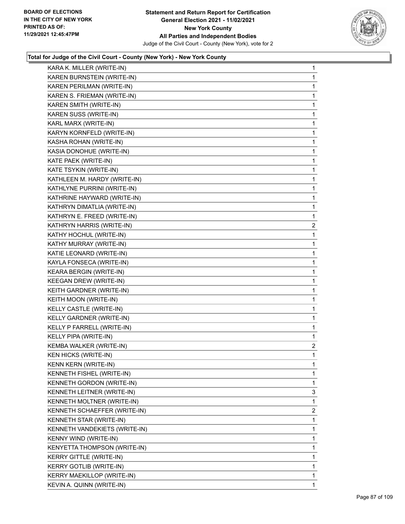

| KARA K. MILLER (WRITE-IN)      | 1              |
|--------------------------------|----------------|
| KAREN BURNSTEIN (WRITE-IN)     | 1              |
| KAREN PERILMAN (WRITE-IN)      | 1              |
| KAREN S. FRIEMAN (WRITE-IN)    | 1              |
| KAREN SMITH (WRITE-IN)         | 1              |
| KAREN SUSS (WRITE-IN)          | 1              |
| KARL MARX (WRITE-IN)           | 1              |
| KARYN KORNFELD (WRITE-IN)      | 1              |
| KASHA ROHAN (WRITE-IN)         | 1              |
| KASIA DONOHUE (WRITE-IN)       | 1              |
| KATE PAEK (WRITE-IN)           | 1              |
| KATE TSYKIN (WRITE-IN)         | 1              |
| KATHLEEN M. HARDY (WRITE-IN)   | 1              |
| KATHLYNE PURRINI (WRITE-IN)    | 1              |
| KATHRINE HAYWARD (WRITE-IN)    | 1              |
| KATHRYN DIMATLIA (WRITE-IN)    | 1              |
| KATHRYN E. FREED (WRITE-IN)    | 1              |
| KATHRYN HARRIS (WRITE-IN)      | $\overline{c}$ |
| KATHY HOCHUL (WRITE-IN)        | 1              |
| KATHY MURRAY (WRITE-IN)        | 1              |
| KATIE LEONARD (WRITE-IN)       | 1              |
| KAYLA FONSECA (WRITE-IN)       | 1              |
| KEARA BERGIN (WRITE-IN)        | 1              |
| KEEGAN DREW (WRITE-IN)         | 1              |
| KEITH GARDNER (WRITE-IN)       | 1              |
| KEITH MOON (WRITE-IN)          | 1              |
| KELLY CASTLE (WRITE-IN)        | 1              |
| KELLY GARDNER (WRITE-IN)       | 1              |
| KELLY P FARRELL (WRITE-IN)     | 1              |
| KELLY PIPA (WRITE-IN)          | 1              |
| KEMBA WALKER (WRITE-IN)        | $\overline{a}$ |
| <b>KEN HICKS (WRITE-IN)</b>    | 1              |
| <b>KENN KERN (WRITE-IN)</b>    | 1              |
| KENNETH FISHEL (WRITE-IN)      | 1              |
| KENNETH GORDON (WRITE-IN)      | 1              |
| KENNETH LEITNER (WRITE-IN)     | 3              |
| KENNETH MOLTNER (WRITE-IN)     | 1              |
| KENNETH SCHAEFFER (WRITE-IN)   | $\overline{2}$ |
| KENNETH STAR (WRITE-IN)        | 1              |
| KENNETH VANDEKIETS (WRITE-IN)  | 1              |
| KENNY WIND (WRITE-IN)          | 1              |
| KENYETTA THOMPSON (WRITE-IN)   | 1              |
| KERRY GITTLE (WRITE-IN)        | 1              |
| <b>KERRY GOTLIB (WRITE-IN)</b> | 1              |
| KERRY MAEKILLOP (WRITE-IN)     | 1              |
| KEVIN A. QUINN (WRITE-IN)      | $\mathbf{1}$   |
|                                |                |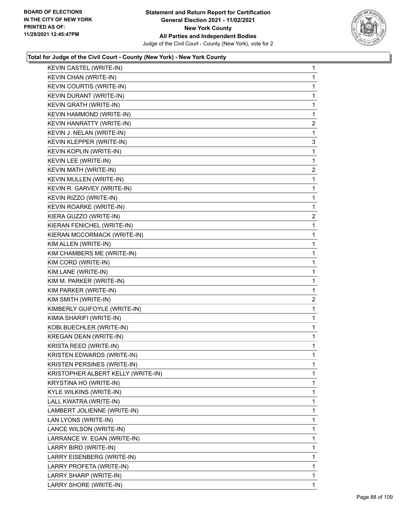

| KEVIN CASTEL (WRITE-IN)            | 1                       |
|------------------------------------|-------------------------|
| KEVIN CHAN (WRITE-IN)              | 1                       |
| KEVIN COURTIS (WRITE-IN)           | 1                       |
| KEVIN DURANT (WRITE-IN)            | 1                       |
| KEVIN GRATH (WRITE-IN)             | 1                       |
| KEVIN HAMMOND (WRITE-IN)           | 1                       |
| KEVIN HANRATTY (WRITE-IN)          | $\overline{2}$          |
| KEVIN J. NELAN (WRITE-IN)          | 1                       |
| KEVIN KLEPPER (WRITE-IN)           | 3                       |
| KEVIN KOPLIN (WRITE-IN)            | 1                       |
| KEVIN LEE (WRITE-IN)               | 1                       |
| KEVIN MATH (WRITE-IN)              | $\overline{2}$          |
| KEVIN MULLEN (WRITE-IN)            | 1                       |
| KEVIN R. GARVEY (WRITE-IN)         | 1                       |
| KEVIN RIZZO (WRITE-IN)             | 1                       |
| KEVIN ROARKE (WRITE-IN)            | 1                       |
| KIERA GUZZO (WRITE-IN)             | $\overline{\mathbf{c}}$ |
| KIERAN FENICHEL (WRITE-IN)         | 1                       |
| KIERAN MCCORMACK (WRITE-IN)        | 1                       |
| KIM ALLEN (WRITE-IN)               | 1                       |
| KIM CHAMBERS ME (WRITE-IN)         | 1                       |
| KIM CORD (WRITE-IN)                | 1                       |
| KIM LANE (WRITE-IN)                | 1                       |
|                                    |                         |
| KIM M. PARKER (WRITE-IN)           | 1                       |
| KIM PARKER (WRITE-IN)              | 1                       |
| KIM SMITH (WRITE-IN)               | $\overline{c}$          |
| KIMBERLY GUIFOYLE (WRITE-IN)       | 1                       |
| KIMIA SHARIFI (WRITE-IN)           | 1                       |
| KOBI BUECHLER (WRITE-IN)           | 1                       |
| KREGAN DEAN (WRITE-IN)             | 1                       |
| KRISTA REED (WRITE-IN)             | 1                       |
| KRISTEN EDWARDS (WRITE-IN)         | 1                       |
| KRISTEN PERSINES (WRITE-IN)        | 1                       |
| KRISTOPHER ALBERT KELLY (WRITE-IN) | 1                       |
| KRYSTINA HO (WRITE-IN)             | 1                       |
| KYLE WILKINS (WRITE-IN)            | 1                       |
| LALL KWATRA (WRITE-IN)             | 1                       |
| LAMBERT JOLIENNE (WRITE-IN)        | 1                       |
| LAN LYONS (WRITE-IN)               | 1                       |
| LANCE WILSON (WRITE-IN)            | 1                       |
| LARRANCE W. EGAN (WRITE-IN)        | 1                       |
| LARRY BIRD (WRITE-IN)              | 1                       |
| LARRY EISENBERG (WRITE-IN)         | 1                       |
| LARRY PROFETA (WRITE-IN)           | 1                       |
| LARRY SHARP (WRITE-IN)             | 1                       |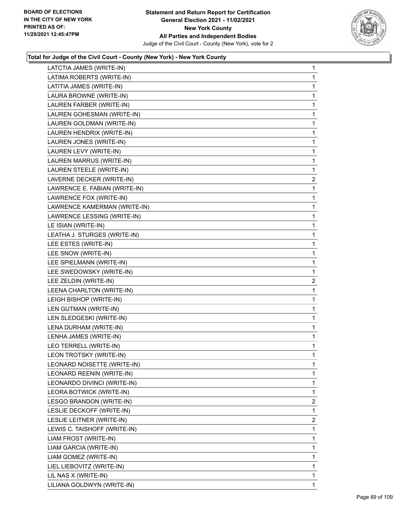

| LATCTIA JAMES (WRITE-IN)      | 1              |
|-------------------------------|----------------|
| LATIMA ROBERTS (WRITE-IN)     | 1              |
| LATITIA JAMES (WRITE-IN)      | 1              |
| LAURA BROWNE (WRITE-IN)       | 1              |
| LAUREN FARBER (WRITE-IN)      | 1              |
| LAUREN GOHESMAN (WRITE-IN)    | 1              |
| LAUREN GOLDMAN (WRITE-IN)     | 1              |
| LAUREN HENDRIX (WRITE-IN)     | 1              |
| LAUREN JONES (WRITE-IN)       | 1              |
| LAUREN LEVY (WRITE-IN)        | 1              |
| LAUREN MARRUS (WRITE-IN)      | 1              |
| LAUREN STEELE (WRITE-IN)      | 1              |
| LAVERNE DECKER (WRITE-IN)     | $\overline{2}$ |
| LAWRENCE E. FABIAN (WRITE-IN) | 1              |
| LAWRENCE FOX (WRITE-IN)       | 1              |
| LAWRENCE KAMERMAN (WRITE-IN)  | 1              |
| LAWRENCE LESSING (WRITE-IN)   | 1              |
| LE ISIAN (WRITE-IN)           | 1              |
| LEATHA J. STURGES (WRITE-IN)  | 1              |
| LEE ESTES (WRITE-IN)          | 1              |
| LEE SNOW (WRITE-IN)           | 1              |
| LEE SPIELMANN (WRITE-IN)      | 1              |
| LEE SWEDOWSKY (WRITE-IN)      | 1              |
| LEE ZELDIN (WRITE-IN)         | $\overline{2}$ |
| LEENA CHARLTON (WRITE-IN)     | 1              |
| LEIGH BISHOP (WRITE-IN)       | 1              |
| LEN GUTMAN (WRITE-IN)         | 1              |
| LEN SLEDGESKI (WRITE-IN)      | 1              |
| LENA DURHAM (WRITE-IN)        | 1              |
| LENHA JAMES (WRITE-IN)        | 1              |
| LEO TERRELL (WRITE-IN)        | 1              |
| LEON TROTSKY (WRITE-IN)       | 1              |
| LEONARD NOISETTE (WRITE-IN)   | 1              |
| LEONARD REENIN (WRITE-IN)     | 1              |
| LEONARDO DIVINCI (WRITE-IN)   | 1              |
| LEORA BOTWICK (WRITE-IN)      | 1              |
| LESGO BRANDON (WRITE-IN)      | $\overline{2}$ |
| LESLIE DECKOFF (WRITE-IN)     | 1              |
| LESLIE LEITNER (WRITE-IN)     | 2              |
| LEWIS C. TAISHOFF (WRITE-IN)  | 1              |
| LIAM FROST (WRITE-IN)         | 1              |
| LIAM GARCIA (WRITE-IN)        | 1              |
| LIAM GOMEZ (WRITE-IN)         | 1              |
| LIEL LIEBOVITZ (WRITE-IN)     | 1              |
| LIL NAS X (WRITE-IN)          | 1              |
| LILIANA GOLDWYN (WRITE-IN)    | 1              |
|                               |                |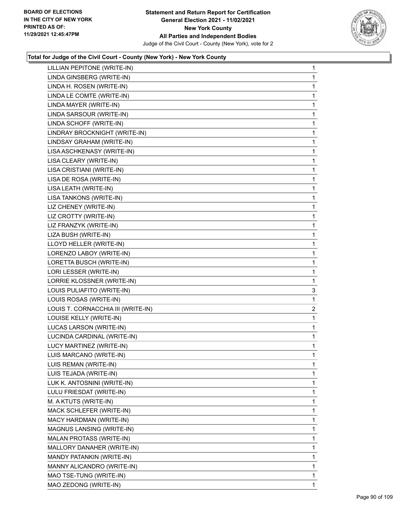

| LILLIAN PEPITONE (WRITE-IN)        | $\mathbf{1}$ |
|------------------------------------|--------------|
| LINDA GINSBERG (WRITE-IN)          | 1            |
| LINDA H. ROSEN (WRITE-IN)          | 1            |
| LINDA LE COMTE (WRITE-IN)          | 1            |
| LINDA MAYER (WRITE-IN)             | 1            |
| LINDA SARSOUR (WRITE-IN)           | $\mathbf{1}$ |
| LINDA SCHOFF (WRITE-IN)            | 1            |
| LINDRAY BROCKNIGHT (WRITE-IN)      | 1            |
| LINDSAY GRAHAM (WRITE-IN)          | 1            |
| LISA ASCHKENASY (WRITE-IN)         | 1            |
| LISA CLEARY (WRITE-IN)             | 1            |
| LISA CRISTIANI (WRITE-IN)          | 1            |
| LISA DE ROSA (WRITE-IN)            | 1            |
| LISA LEATH (WRITE-IN)              | 1            |
| LISA TANKONS (WRITE-IN)            | 1            |
| LIZ CHENEY (WRITE-IN)              | 1            |
| LIZ CROTTY (WRITE-IN)              | 1            |
| LIZ FRANZYK (WRITE-IN)             | 1            |
| LIZA BUSH (WRITE-IN)               | 1            |
| LLOYD HELLER (WRITE-IN)            | 1            |
| LORENZO LABOY (WRITE-IN)           | 1            |
| LORETTA BUSCH (WRITE-IN)           | 1            |
| LORI LESSER (WRITE-IN)             | 1            |
| LORRIE KLOSSNER (WRITE-IN)         | 1            |
| LOUIS PULIAFITO (WRITE-IN)         | 3            |
| LOUIS ROSAS (WRITE-IN)             | 1            |
| LOUIS T. CORNACCHIA III (WRITE-IN) | 2            |
| LOUISE KELLY (WRITE-IN)            | 1            |
| LUCAS LARSON (WRITE-IN)            | 1            |
| LUCINDA CARDINAL (WRITE-IN)        | $\mathbf{1}$ |
| LUCY MARTINEZ (WRITE-IN)           | 1            |
| LUIS MARCANO (WRITE-IN)            | 1            |
| LUIS REMAN (WRITE-IN)              | 1            |
| LUIS TEJADA (WRITE-IN)             | 1            |
| LUK K. ANTOSNINI (WRITE-IN)        | 1            |
| LULU FRIESDAT (WRITE-IN)           | 1            |
| M. A KTUTS (WRITE-IN)              | 1            |
| MACK SCHLEFER (WRITE-IN)           | 1            |
| MACY HARDMAN (WRITE-IN)            | 1            |
| MAGNUS LANSING (WRITE-IN)          | 1            |
| MALAN PROTASS (WRITE-IN)           | 1            |
| MALLORY DANAHER (WRITE-IN)         | 1            |
| MANDY PATANKIN (WRITE-IN)          | 1            |
| MANNY ALICANDRO (WRITE-IN)         | 1            |
| MAO TSE-TUNG (WRITE-IN)            | 1            |
| MAO ZEDONG (WRITE-IN)              | 1.           |
|                                    |              |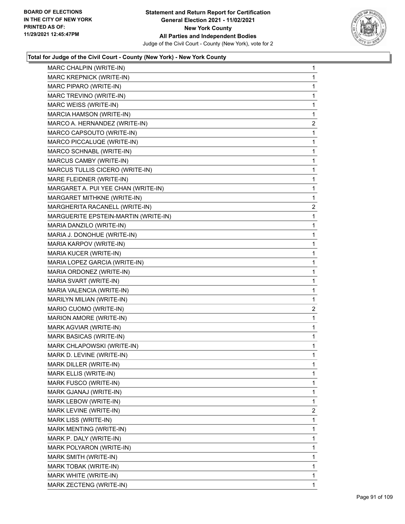

| MARC CHALPIN (WRITE-IN)              | $\mathbf{1}$   |
|--------------------------------------|----------------|
| MARC KREPNICK (WRITE-IN)             | 1              |
| MARC PIPARO (WRITE-IN)               | 1              |
| MARC TREVINO (WRITE-IN)              | 1              |
| MARC WEISS (WRITE-IN)                | 1              |
| MARCIA HAMSON (WRITE-IN)             | 1              |
| MARCO A. HERNANDEZ (WRITE-IN)        | $\overline{a}$ |
| MARCO CAPSOUTO (WRITE-IN)            | 1              |
| MARCO PICCALUQE (WRITE-IN)           | 1              |
| MARCO SCHNABL (WRITE-IN)             | $\mathbf 1$    |
| MARCUS CAMBY (WRITE-IN)              | 1              |
| MARCUS TULLIS CICERO (WRITE-IN)      | 1              |
| MARE FLEIDNER (WRITE-IN)             | 1              |
| MARGARET A. PUI YEE CHAN (WRITE-IN)  | 1              |
| MARGARET MITHKNE (WRITE-IN)          | 1              |
| MARGHERITA RACANELL (WRITE-IN)       | $\overline{c}$ |
| MARGUERITE EPSTEIN-MARTIN (WRITE-IN) | 1              |
| MARIA DANZILO (WRITE-IN)             | 1              |
| MARIA J. DONOHUE (WRITE-IN)          | 1              |
| MARIA KARPOV (WRITE-IN)              | 1              |
| MARIA KUCER (WRITE-IN)               | 1              |
| MARIA LOPEZ GARCIA (WRITE-IN)        | $\mathbf 1$    |
| MARIA ORDONEZ (WRITE-IN)             | 1              |
| MARIA SVART (WRITE-IN)               | 1              |
| MARIA VALENCIA (WRITE-IN)            | 1              |
| MARILYN MILIAN (WRITE-IN)            | 1              |
| MARIO CUOMO (WRITE-IN)               | $\overline{2}$ |
| MARION AMORE (WRITE-IN)              | $\mathbf 1$    |
| MARK AGVIAR (WRITE-IN)               | 1              |
| MARK BASICAS (WRITE-IN)              | 1              |
| MARK CHLAPOWSKI (WRITE-IN)           | 1              |
| MARK D. LEVINE (WRITE-IN)            | 1              |
| MARK DILLER (WRITE-IN)               | 1              |
| MARK ELLIS (WRITE-IN)                | 1              |
| MARK FUSCO (WRITE-IN)                | 1              |
| MARK GJANAJ (WRITE-IN)               | 1              |
| MARK LEBOW (WRITE-IN)                | 1              |
| MARK LEVINE (WRITE-IN)               | 2              |
| MARK LISS (WRITE-IN)                 | 1              |
| MARK MENTING (WRITE-IN)              | 1              |
| MARK P. DALY (WRITE-IN)              | 1              |
| MARK POLYARON (WRITE-IN)             | 1              |
| MARK SMITH (WRITE-IN)                | 1              |
| MARK TOBAK (WRITE-IN)                | 1              |
| MARK WHITE (WRITE-IN)                | 1              |
| MARK ZECTENG (WRITE-IN)              | 1              |
|                                      |                |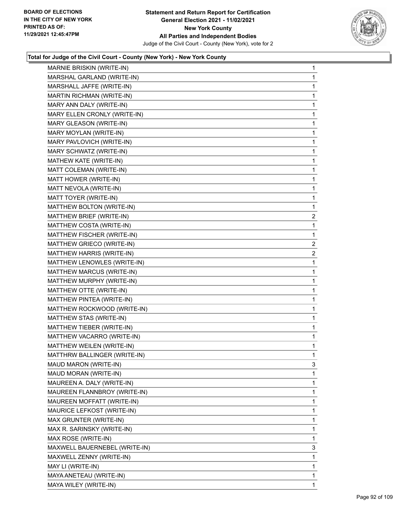

| MARNIE BRISKIN (WRITE-IN)     | $\mathbf{1}$   |
|-------------------------------|----------------|
| MARSHAL GARLAND (WRITE-IN)    | 1              |
| MARSHALL JAFFE (WRITE-IN)     | 1              |
| MARTIN RICHMAN (WRITE-IN)     | 1              |
| MARY ANN DALY (WRITE-IN)      | 1              |
| MARY ELLEN CRONLY (WRITE-IN)  | $\mathbf{1}$   |
| MARY GLEASON (WRITE-IN)       | 1              |
| MARY MOYLAN (WRITE-IN)        | 1              |
| MARY PAVLOVICH (WRITE-IN)     | 1              |
| MARY SCHWATZ (WRITE-IN)       | 1              |
| MATHEW KATE (WRITE-IN)        | 1              |
| MATT COLEMAN (WRITE-IN)       | $\mathbf{1}$   |
| MATT HOWER (WRITE-IN)         | 1              |
| MATT NEVOLA (WRITE-IN)        | 1              |
| MATT TOYER (WRITE-IN)         | 1              |
| MATTHEW BOLTON (WRITE-IN)     | 1              |
| MATTHEW BRIEF (WRITE-IN)      | $\overline{2}$ |
| MATTHEW COSTA (WRITE-IN)      | 1              |
| MATTHEW FISCHER (WRITE-IN)    | 1              |
| MATTHEW GRIECO (WRITE-IN)     | $\overline{2}$ |
| MATTHEW HARRIS (WRITE-IN)     | $\overline{2}$ |
| MATTHEW LENOWLES (WRITE-IN)   | $\mathbf 1$    |
| MATTHEW MARCUS (WRITE-IN)     | 1              |
| MATTHEW MURPHY (WRITE-IN)     | $\mathbf{1}$   |
| MATTHEW OTTE (WRITE-IN)       | 1              |
| MATTHEW PINTEA (WRITE-IN)     | 1              |
| MATTHEW ROCKWOOD (WRITE-IN)   | 1              |
| MATTHEW STAS (WRITE-IN)       | 1              |
| MATTHEW TIEBER (WRITE-IN)     | 1              |
| MATTHEW VACARRO (WRITE-IN)    | $\mathbf{1}$   |
| MATTHEW WEILEN (WRITE-IN)     | 1              |
| MATTHRW BALLINGER (WRITE-IN)  | 1              |
| MAUD MARON (WRITE-IN)         | 3              |
| MAUD MORAN (WRITE-IN)         | 1              |
| MAUREEN A. DALY (WRITE-IN)    | 1              |
| MAUREEN FLANNBROY (WRITE-IN)  | 1              |
| MAUREEN MOFFATT (WRITE-IN)    | 1              |
| MAURICE LEFKOST (WRITE-IN)    | 1              |
| MAX GRUNTER (WRITE-IN)        | 1              |
| MAX R. SARINSKY (WRITE-IN)    | 1              |
| MAX ROSE (WRITE-IN)           | 1              |
| MAXWELL BAUERNEBEL (WRITE-IN) | 3              |
| MAXWELL ZENNY (WRITE-IN)      | 1              |
| MAY LI (WRITE-IN)             | 1              |
| MAYA ANETEAU (WRITE-IN)       | 1              |
| MAYA WILEY (WRITE-IN)         | 1              |
|                               |                |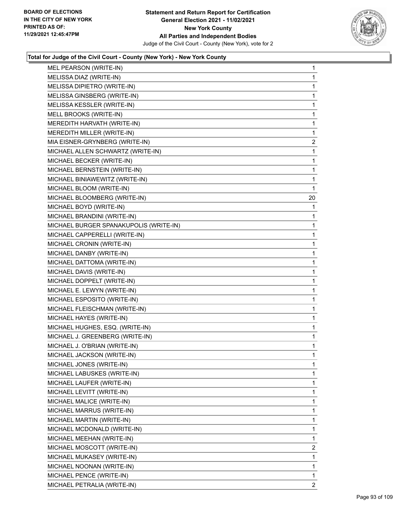

| MEL PEARSON (WRITE-IN)                 | $\mathbf{1}$   |
|----------------------------------------|----------------|
| MELISSA DIAZ (WRITE-IN)                | $\mathbf{1}$   |
| MELISSA DIPIETRO (WRITE-IN)            | $\mathbf{1}$   |
| MELISSA GINSBERG (WRITE-IN)            | 1              |
| MELISSA KESSLER (WRITE-IN)             | $\mathbf 1$    |
| MELL BROOKS (WRITE-IN)                 | $\mathbf{1}$   |
| MEREDITH HARVATH (WRITE-IN)            | 1              |
| MEREDITH MILLER (WRITE-IN)             | $\mathbf{1}$   |
| MIA EISNER-GRYNBERG (WRITE-IN)         | $\overline{2}$ |
| MICHAEL ALLEN SCHWARTZ (WRITE-IN)      | 1              |
| MICHAEL BECKER (WRITE-IN)              | $\mathbf{1}$   |
| MICHAEL BERNSTEIN (WRITE-IN)           | $\mathbf{1}$   |
| MICHAEL BINIAWEWITZ (WRITE-IN)         | 1              |
| MICHAEL BLOOM (WRITE-IN)               | $\mathbf{1}$   |
| MICHAEL BLOOMBERG (WRITE-IN)           | 20             |
| MICHAEL BOYD (WRITE-IN)                | 1              |
| MICHAEL BRANDINI (WRITE-IN)            | 1              |
| MICHAEL BURGER SPANAKUPOLIS (WRITE-IN) | $\mathbf{1}$   |
| MICHAEL CAPPERELLI (WRITE-IN)          | 1              |
| MICHAEL CRONIN (WRITE-IN)              | $\mathbf{1}$   |
| MICHAEL DANBY (WRITE-IN)               | $\mathbf{1}$   |
| MICHAEL DATTOMA (WRITE-IN)             | 1              |
| MICHAEL DAVIS (WRITE-IN)               | 1              |
| MICHAEL DOPPELT (WRITE-IN)             | $\mathbf{1}$   |
| MICHAEL E. LEWYN (WRITE-IN)            | 1              |
| MICHAEL ESPOSITO (WRITE-IN)            | $\mathbf{1}$   |
| MICHAEL FLEISCHMAN (WRITE-IN)          | 1              |
| MICHAEL HAYES (WRITE-IN)               | 1              |
| MICHAEL HUGHES, ESQ. (WRITE-IN)        | 1              |
| MICHAEL J. GREENBERG (WRITE-IN)        | $\mathbf{1}$   |
| MICHAEL J. O'BRIAN (WRITE-IN)          | $\mathbf 1$    |
| MICHAEL JACKSON (WRITE-IN)             | $\mathbf{1}$   |
| MICHAEL JONES (WRITE-IN)               | 1              |
| MICHAEL LABUSKES (WRITE-IN)            | 1              |
| MICHAEL LAUFER (WRITE-IN)              | $\mathbf{1}$   |
| MICHAEL LEVITT (WRITE-IN)              | 1              |
| MICHAEL MALICE (WRITE-IN)              | 1              |
| MICHAEL MARRUS (WRITE-IN)              | $\mathbf{1}$   |
| MICHAEL MARTIN (WRITE-IN)              | 1              |
| MICHAEL MCDONALD (WRITE-IN)            | 1              |
| MICHAEL MEEHAN (WRITE-IN)              | $\mathbf{1}$   |
| MICHAEL MOSCOTT (WRITE-IN)             | 2              |
| MICHAEL MUKASEY (WRITE-IN)             | 1              |
| MICHAEL NOONAN (WRITE-IN)              | $\mathbf{1}$   |
| MICHAEL PENCE (WRITE-IN)               | $\mathbf{1}$   |
| MICHAEL PETRALIA (WRITE-IN)            | $\mathbf{2}$   |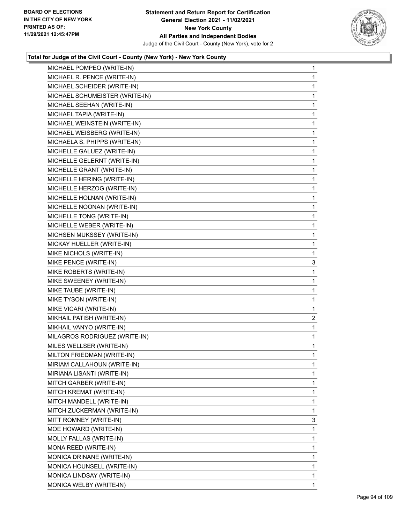

| MICHAEL POMPEO (WRITE-IN)      | 1              |
|--------------------------------|----------------|
| MICHAEL R. PENCE (WRITE-IN)    | 1              |
| MICHAEL SCHEIDER (WRITE-IN)    | 1              |
| MICHAEL SCHUMEISTER (WRITE-IN) | 1              |
| MICHAEL SEEHAN (WRITE-IN)      | 1              |
| MICHAEL TAPIA (WRITE-IN)       | 1              |
| MICHAEL WEINSTEIN (WRITE-IN)   | 1              |
| MICHAEL WEISBERG (WRITE-IN)    | 1              |
| MICHAELA S. PHIPPS (WRITE-IN)  | 1              |
| MICHELLE GALUEZ (WRITE-IN)     | 1              |
| MICHELLE GELERNT (WRITE-IN)    | 1              |
| MICHELLE GRANT (WRITE-IN)      | 1              |
| MICHELLE HERING (WRITE-IN)     | 1              |
| MICHELLE HERZOG (WRITE-IN)     | 1              |
| MICHELLE HOLNAN (WRITE-IN)     | 1              |
| MICHELLE NOONAN (WRITE-IN)     | 1              |
| MICHELLE TONG (WRITE-IN)       | 1              |
| MICHELLE WEBER (WRITE-IN)      | 1              |
| MICHSEN MUKSSEY (WRITE-IN)     | 1              |
| MICKAY HUELLER (WRITE-IN)      | 1              |
| MIKE NICHOLS (WRITE-IN)        | 1              |
| MIKE PENCE (WRITE-IN)          | 3              |
| MIKE ROBERTS (WRITE-IN)        | 1              |
| MIKE SWEENEY (WRITE-IN)        | 1              |
| MIKE TAUBE (WRITE-IN)          | 1              |
| MIKE TYSON (WRITE-IN)          | 1              |
| MIKE VICARI (WRITE-IN)         | 1              |
| MIKHAIL PATISH (WRITE-IN)      | $\overline{a}$ |
| MIKHAIL VANYO (WRITE-IN)       | 1              |
| MILAGROS RODRIGUEZ (WRITE-IN)  | 1              |
| MILES WELLSER (WRITE-IN)       | 1              |
| MILTON FRIEDMAN (WRITE-IN)     | $\mathbf{1}$   |
| MIRIAM CALLAHOUN (WRITE-IN)    | 1              |
| MIRIANA LISANTI (WRITE-IN)     | 1              |
| MITCH GARBER (WRITE-IN)        | 1              |
| MITCH KREMAT (WRITE-IN)        | 1              |
| MITCH MANDELL (WRITE-IN)       | 1              |
| MITCH ZUCKERMAN (WRITE-IN)     | 1              |
| MITT ROMNEY (WRITE-IN)         | 3              |
| MOE HOWARD (WRITE-IN)          | 1              |
| MOLLY FALLAS (WRITE-IN)        | 1              |
| MONA REED (WRITE-IN)           | 1              |
| MONICA DRINANE (WRITE-IN)      | 1              |
| MONICA HOUNSELL (WRITE-IN)     | 1              |
| MONICA LINDSAY (WRITE-IN)      | 1              |
| MONICA WELBY (WRITE-IN)        | 1              |
|                                |                |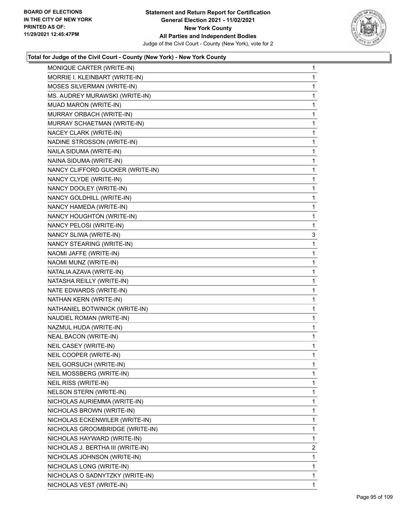

| MONIQUE CARTER (WRITE-IN)         | 1              |
|-----------------------------------|----------------|
| MORRIE I. KLEINBART (WRITE-IN)    | 1              |
| MOSES SILVERMAN (WRITE-IN)        | 1              |
| MS. AUDREY MURAWSKI (WRITE-IN)    | 1              |
| MUAD MARON (WRITE-IN)             | 1              |
| MURRAY ORBACH (WRITE-IN)          | 1              |
| MURRAY SCHAETMAN (WRITE-IN)       | 1              |
| NACEY CLARK (WRITE-IN)            | 1              |
| NADINE STROSSON (WRITE-IN)        | 1              |
| NAILA SIDUMA (WRITE-IN)           | 1              |
| NAINA SIDUMA (WRITE-IN)           | 1              |
| NANCY CLIFFORD GUCKER (WRITE-IN)  | 1              |
| NANCY CLYDE (WRITE-IN)            | 1              |
| NANCY DOOLEY (WRITE-IN)           | 1              |
| NANCY GOLDHILL (WRITE-IN)         | 1              |
| NANCY HAMEDA (WRITE-IN)           | 1              |
| NANCY HOUGHTON (WRITE-IN)         | 1              |
| NANCY PELOSI (WRITE-IN)           | 1              |
| NANCY SLIWA (WRITE-IN)            | 3              |
| NANCY STEARING (WRITE-IN)         | 1              |
| NAOMI JAFFE (WRITE-IN)            | 1              |
| NAOMI MUNZ (WRITE-IN)             | 1              |
| NATALIA AZAVA (WRITE-IN)          | 1              |
| NATASHA REILLY (WRITE-IN)         | 1              |
| NATE EDWARDS (WRITE-IN)           | 1              |
| NATHAN KERN (WRITE-IN)            | 1              |
| NATHANIEL BOTWINICK (WRITE-IN)    | 1              |
| NAUDIEL ROMAN (WRITE-IN)          | 1              |
| NAZMUL HUDA (WRITE-IN)            | 1              |
| <b>NEAL BACON (WRITE-IN)</b>      | 1              |
| NEIL CASEY (WRITE-IN)             | 1              |
| NEIL COOPER (WRITE-IN)            | 1              |
| NEIL GORSUCH (WRITE-IN)           | 1              |
| NEIL MOSSBERG (WRITE-IN)          | 1              |
| NEIL RISS (WRITE-IN)              | 1              |
| NELSON STERN (WRITE-IN)           | 1              |
| NICHOLAS AURIEMMA (WRITE-IN)      | 1              |
| NICHOLAS BROWN (WRITE-IN)         | 1              |
| NICHOLAS ECKENWILER (WRITE-IN)    | 1              |
| NICHOLAS GROOMBRIDGE (WRITE-IN)   | 1              |
| NICHOLAS HAYWARD (WRITE-IN)       | 1              |
| NICHOLAS J. BERTHA III (WRITE-IN) | $\overline{2}$ |
| NICHOLAS JOHNSON (WRITE-IN)       | 1              |
| NICHOLAS LONG (WRITE-IN)          | 1              |
| NICHOLAS O SADNYTZKY (WRITE-IN)   | 1              |
| NICHOLAS VEST (WRITE-IN)          | 1              |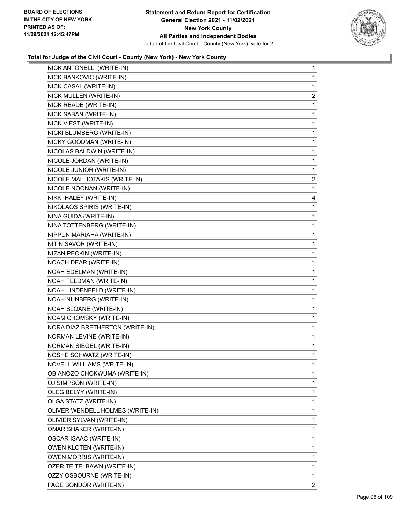

| NICK ANTONELLI (WRITE-IN)        | $\mathbf{1}$   |
|----------------------------------|----------------|
| NICK BANKOVIC (WRITE-IN)         | 1              |
| NICK CASAL (WRITE-IN)            | 1              |
| NICK MULLEN (WRITE-IN)           | $\overline{c}$ |
| NICK READE (WRITE-IN)            | 1              |
| NICK SABAN (WRITE-IN)            | 1              |
| NICK VIEST (WRITE-IN)            | 1              |
| NICKI BLUMBERG (WRITE-IN)        | 1              |
| NICKY GOODMAN (WRITE-IN)         | 1              |
| NICOLAS BALDWIN (WRITE-IN)       | 1              |
| NICOLE JORDAN (WRITE-IN)         | 1              |
| NICOLE JUNIOR (WRITE-IN)         | 1              |
| NICOLE MALLIOTAKIS (WRITE-IN)    | $\overline{c}$ |
| NICOLE NOONAN (WRITE-IN)         | 1              |
| NIKKI HALEY (WRITE-IN)           | 4              |
| NIKOLAOS SPIRIS (WRITE-IN)       | 1              |
| NINA GUIDA (WRITE-IN)            | 1              |
| NINA TOTTENBERG (WRITE-IN)       | 1              |
| NIPPUN MARIAHA (WRITE-IN)        | 1              |
| NITIN SAVOR (WRITE-IN)           | 1              |
| NIZAN PECKIN (WRITE-IN)          | 1              |
| NOACH DEAR (WRITE-IN)            | 1              |
| NOAH EDELMAN (WRITE-IN)          | 1              |
| NOAH FELDMAN (WRITE-IN)          | 1              |
| NOAH LINDENFELD (WRITE-IN)       | 1              |
| NOAH NUNBERG (WRITE-IN)          | 1              |
| NOAH SLOANE (WRITE-IN)           | 1              |
| NOAM CHOMSKY (WRITE-IN)          | 1              |
| NORA DIAZ BRETHERTON (WRITE-IN)  | 1              |
| NORMAN LEVINE (WRITE-IN)         | 1              |
| <b>NORMAN SIEGEL (WRITE-IN)</b>  | 1              |
| NOSHE SCHWATZ (WRITE-IN)         | 1              |
| NOVELL WILLIAMS (WRITE-IN)       | 1              |
| OBIANOZO CHOKWUMA (WRITE-IN)     | 1              |
| OJ SIMPSON (WRITE-IN)            | 1              |
| OLEG BELYY (WRITE-IN)            | 1              |
| OLGA STATZ (WRITE-IN)            | 1              |
| OLIVER WENDELL HOLMES (WRITE-IN) | 1              |
| OLIVIER SYLVAN (WRITE-IN)        | 1              |
| OMAR SHAKER (WRITE-IN)           | 1              |
| OSCAR ISAAC (WRITE-IN)           | 1              |
| <b>OWEN KLOTEN (WRITE-IN)</b>    | 1              |
| <b>OWEN MORRIS (WRITE-IN)</b>    | 1              |
| OZER TEITELBAWN (WRITE-IN)       | 1              |
| OZZY OSBOURNE (WRITE-IN)         | 1              |
| PAGE BONDOR (WRITE-IN)           | 2              |
|                                  |                |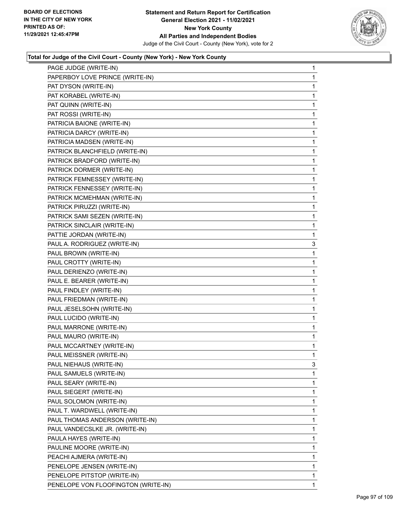

| PAGE JUDGE (WRITE-IN)               | 1 |
|-------------------------------------|---|
| PAPERBOY LOVE PRINCE (WRITE-IN)     | 1 |
| PAT DYSON (WRITE-IN)                | 1 |
| PAT KORABEL (WRITE-IN)              | 1 |
| PAT QUINN (WRITE-IN)                | 1 |
| PAT ROSSI (WRITE-IN)                | 1 |
| PATRICIA BAIONE (WRITE-IN)          | 1 |
| PATRICIA DARCY (WRITE-IN)           | 1 |
| PATRICIA MADSEN (WRITE-IN)          | 1 |
| PATRICK BLANCHFIELD (WRITE-IN)      | 1 |
| PATRICK BRADFORD (WRITE-IN)         | 1 |
| PATRICK DORMER (WRITE-IN)           | 1 |
| PATRICK FEMNESSEY (WRITE-IN)        | 1 |
| PATRICK FENNESSEY (WRITE-IN)        | 1 |
| PATRICK MCMEHMAN (WRITE-IN)         | 1 |
| PATRICK PIRUZZI (WRITE-IN)          | 1 |
| PATRICK SAMI SEZEN (WRITE-IN)       | 1 |
| PATRICK SINCLAIR (WRITE-IN)         | 1 |
| PATTIE JORDAN (WRITE-IN)            | 1 |
| PAUL A. RODRIGUEZ (WRITE-IN)        | 3 |
| PAUL BROWN (WRITE-IN)               | 1 |
| PAUL CROTTY (WRITE-IN)              | 1 |
| PAUL DERIENZO (WRITE-IN)            | 1 |
| PAUL E. BEARER (WRITE-IN)           | 1 |
| PAUL FINDLEY (WRITE-IN)             | 1 |
| PAUL FRIEDMAN (WRITE-IN)            | 1 |
| PAUL JESELSOHN (WRITE-IN)           | 1 |
| PAUL LUCIDO (WRITE-IN)              | 1 |
| PAUL MARRONE (WRITE-IN)             | 1 |
| PAUL MAURO (WRITE-IN)               | 1 |
| PAUL MCCARTNEY (WRITE-IN)           | 1 |
| PAUL MEISSNER (WRITE-IN)            | 1 |
| PAUL NIEHAUS (WRITE-IN)             | 3 |
| PAUL SAMUELS (WRITE-IN)             | 1 |
| PAUL SEARY (WRITE-IN)               | 1 |
| PAUL SIEGERT (WRITE-IN)             | 1 |
| PAUL SOLOMON (WRITE-IN)             | 1 |
| PAUL T. WARDWELL (WRITE-IN)         | 1 |
| PAUL THOMAS ANDERSON (WRITE-IN)     | 1 |
| PAUL VANDECSLKE JR. (WRITE-IN)      | 1 |
| PAULA HAYES (WRITE-IN)              | 1 |
| PAULINE MOORE (WRITE-IN)            | 1 |
| PEACHI AJMERA (WRITE-IN)            | 1 |
|                                     | 1 |
| PENELOPE JENSEN (WRITE-IN)          |   |
| PENELOPE PITSTOP (WRITE-IN)         | 1 |
| PENELOPE VON FLOOFINGTON (WRITE-IN) | 1 |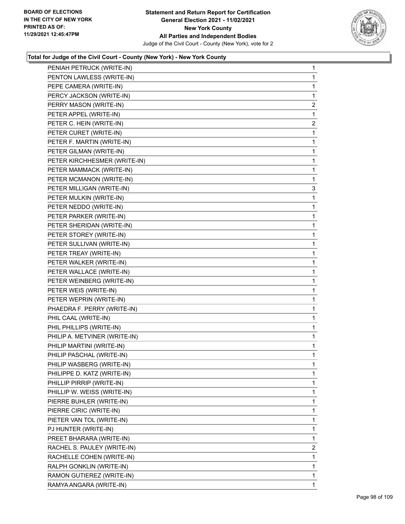

|                                                        | 1              |
|--------------------------------------------------------|----------------|
| PENIAH PETRUCK (WRITE-IN)<br>PENTON LAWLESS (WRITE-IN) | 1              |
| PEPE CAMERA (WRITE-IN)                                 | 1              |
| PERCY JACKSON (WRITE-IN)                               | 1              |
| PERRY MASON (WRITE-IN)                                 | $\overline{c}$ |
| PETER APPEL (WRITE-IN)                                 | $\mathbf{1}$   |
| PETER C. HEIN (WRITE-IN)                               | $\overline{a}$ |
| PETER CURET (WRITE-IN)                                 | 1              |
| PETER F. MARTIN (WRITE-IN)                             | 1              |
| PETER GILMAN (WRITE-IN)                                | 1              |
| PETER KIRCHHESMER (WRITE-IN)                           | 1              |
| PETER MAMMACK (WRITE-IN)                               | 1              |
| PETER MCMANON (WRITE-IN)                               | 1              |
| PETER MILLIGAN (WRITE-IN)                              | 3              |
| PETER MULKIN (WRITE-IN)                                | 1              |
| PETER NEDDO (WRITE-IN)                                 | 1              |
| PETER PARKER (WRITE-IN)                                | 1              |
| PETER SHERIDAN (WRITE-IN)                              | 1              |
| PETER STOREY (WRITE-IN)                                | 1              |
| PETER SULLIVAN (WRITE-IN)                              | 1              |
| PETER TREAY (WRITE-IN)                                 | 1              |
| PETER WALKER (WRITE-IN)                                | 1              |
| PETER WALLACE (WRITE-IN)                               | 1              |
| PETER WEINBERG (WRITE-IN)                              | 1              |
| PETER WEIS (WRITE-IN)                                  | 1              |
| PETER WEPRIN (WRITE-IN)                                | 1              |
| PHAEDRA F. PERRY (WRITE-IN)                            | 1              |
| PHIL CAAL (WRITE-IN)                                   | 1              |
| PHIL PHILLIPS (WRITE-IN)                               | 1              |
| PHILIP A. METVINER (WRITE-IN)                          | 1              |
| PHILIP MARTINI (WRITE-IN)                              | 1              |
| PHILIP PASCHAL (WRITE-IN)                              | $\mathbf 1$    |
| PHILIP WASBERG (WRITE-IN)                              | 1              |
| PHILIPPE D. KATZ (WRITE-IN)                            | 1              |
| PHILLIP PIRRIP (WRITE-IN)                              | 1              |
| PHILLIP W. WEISS (WRITE-IN)                            | 1              |
| PIERRE BUHLER (WRITE-IN)                               | 1              |
| PIERRE CIRIC (WRITE-IN)                                | 1              |
| PIETER VAN TOL (WRITE-IN)                              | 1              |
| PJ HUNTER (WRITE-IN)                                   | 1              |
| PREET BHARARA (WRITE-IN)                               | 1              |
| RACHEL S. PAULEY (WRITE-IN)                            | $\overline{2}$ |
| RACHELLE COHEN (WRITE-IN)                              | 1              |
| RALPH GONKLIN (WRITE-IN)                               | 1              |
| RAMON GUTIEREZ (WRITE-IN)                              | 1              |
| RAMYA ANGARA (WRITE-IN)                                | 1              |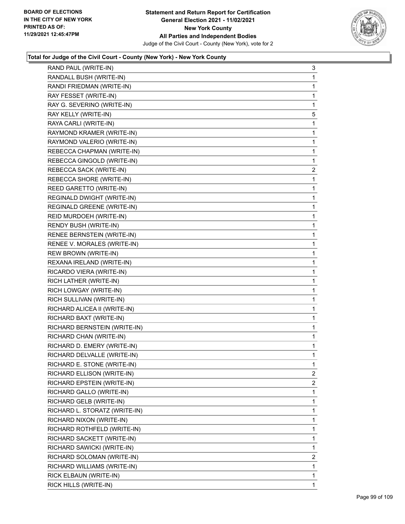

| RAND PAUL (WRITE-IN)          | 3              |
|-------------------------------|----------------|
| RANDALL BUSH (WRITE-IN)       | 1              |
| RANDI FRIEDMAN (WRITE-IN)     | 1              |
| RAY FESSET (WRITE-IN)         | 1              |
| RAY G. SEVERINO (WRITE-IN)    | 1              |
| RAY KELLY (WRITE-IN)          | 5              |
| RAYA CARLI (WRITE-IN)         | 1              |
| RAYMOND KRAMER (WRITE-IN)     | 1              |
| RAYMOND VALERIO (WRITE-IN)    | 1              |
| REBECCA CHAPMAN (WRITE-IN)    | 1              |
| REBECCA GINGOLD (WRITE-IN)    | 1              |
| REBECCA SACK (WRITE-IN)       | 2              |
| REBECCA SHORE (WRITE-IN)      | 1              |
| REED GARETTO (WRITE-IN)       | 1              |
| REGINALD DWIGHT (WRITE-IN)    | 1              |
| REGINALD GREENE (WRITE-IN)    | 1              |
| REID MURDOEH (WRITE-IN)       | $\mathbf{1}$   |
| RENDY BUSH (WRITE-IN)         | 1              |
| RENEE BERNSTEIN (WRITE-IN)    | 1              |
| RENEE V. MORALES (WRITE-IN)   | 1              |
| REW BROWN (WRITE-IN)          | 1              |
| REXANA IRELAND (WRITE-IN)     | 1              |
| RICARDO VIERA (WRITE-IN)      | $\mathbf{1}$   |
| RICH LATHER (WRITE-IN)        | 1              |
| RICH LOWGAY (WRITE-IN)        | 1              |
| RICH SULLIVAN (WRITE-IN)      | 1              |
| RICHARD ALICEA II (WRITE-IN)  | 1              |
| RICHARD BAXT (WRITE-IN)       | 1              |
| RICHARD BERNSTEIN (WRITE-IN)  | 1              |
| RICHARD CHAN (WRITE-IN)       | 1              |
| RICHARD D. EMERY (WRITE-IN)   | 1              |
| RICHARD DELVALLE (WRITE-IN)   | 1              |
| RICHARD E. STONE (WRITE-IN)   | 1              |
| RICHARD ELLISON (WRITE-IN)    | 2              |
| RICHARD EPSTEIN (WRITE-IN)    | $\overline{2}$ |
| RICHARD GALLO (WRITE-IN)      | 1              |
| RICHARD GELB (WRITE-IN)       | 1              |
| RICHARD L. STORATZ (WRITE-IN) | 1              |
| RICHARD NIXON (WRITE-IN)      | 1              |
| RICHARD ROTHFELD (WRITE-IN)   | 1              |
| RICHARD SACKETT (WRITE-IN)    | 1              |
| RICHARD SAWICKI (WRITE-IN)    | 1              |
| RICHARD SOLOMAN (WRITE-IN)    | 2              |
| RICHARD WILLIAMS (WRITE-IN)   | 1              |
| RICK ELBAUN (WRITE-IN)        | 1              |
| RICK HILLS (WRITE-IN)         | 1              |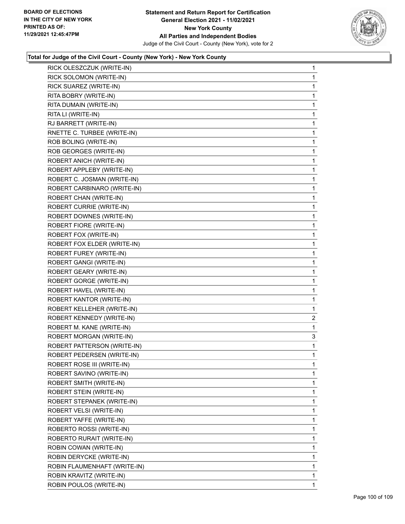

| RICK OLESZCZUK (WRITE-IN)    | 1              |
|------------------------------|----------------|
| RICK SOLOMON (WRITE-IN)      | 1              |
| RICK SUAREZ (WRITE-IN)       | 1              |
| RITA BOBRY (WRITE-IN)        | 1              |
| RITA DUMAIN (WRITE-IN)       | 1              |
| RITA LI (WRITE-IN)           | 1              |
| RJ BARRETT (WRITE-IN)        | 1              |
| RNETTE C. TURBEE (WRITE-IN)  | 1              |
| ROB BOLING (WRITE-IN)        | 1              |
| ROB GEORGES (WRITE-IN)       | 1              |
| ROBERT ANICH (WRITE-IN)      | 1              |
| ROBERT APPLEBY (WRITE-IN)    | 1              |
| ROBERT C. JOSMAN (WRITE-IN)  | 1              |
| ROBERT CARBINARO (WRITE-IN)  | 1              |
| ROBERT CHAN (WRITE-IN)       | 1              |
| ROBERT CURRIE (WRITE-IN)     | 1              |
| ROBERT DOWNES (WRITE-IN)     | 1              |
| ROBERT FIORE (WRITE-IN)      | 1              |
| ROBERT FOX (WRITE-IN)        | 1              |
| ROBERT FOX ELDER (WRITE-IN)  | 1              |
| ROBERT FUREY (WRITE-IN)      | 1              |
| ROBERT GANGI (WRITE-IN)      | 1              |
| ROBERT GEARY (WRITE-IN)      | 1              |
| ROBERT GORGE (WRITE-IN)      | 1              |
| ROBERT HAVEL (WRITE-IN)      | 1              |
| ROBERT KANTOR (WRITE-IN)     | 1              |
| ROBERT KELLEHER (WRITE-IN)   | 1              |
| ROBERT KENNEDY (WRITE-IN)    | $\overline{c}$ |
| ROBERT M. KANE (WRITE-IN)    | 1              |
| ROBERT MORGAN (WRITE-IN)     | 3              |
| ROBERT PATTERSON (WRITE-IN)  | 1              |
| ROBERT PEDERSEN (WRITE-IN)   | 1              |
| ROBERT ROSE III (WRITE-IN)   | 1              |
| ROBERT SAVINO (WRITE-IN)     | 1              |
| ROBERT SMITH (WRITE-IN)      | 1              |
| ROBERT STEIN (WRITE-IN)      | 1              |
| ROBERT STEPANEK (WRITE-IN)   | 1              |
| ROBERT VELSI (WRITE-IN)      | 1              |
| ROBERT YAFFE (WRITE-IN)      | 1              |
| ROBERTO ROSSI (WRITE-IN)     | 1              |
| ROBERTO RURAIT (WRITE-IN)    | 1              |
| ROBIN COWAN (WRITE-IN)       | 1              |
| ROBIN DERYCKE (WRITE-IN)     | 1              |
| ROBIN FLAUMENHAFT (WRITE-IN) | 1              |
| ROBIN KRAVITZ (WRITE-IN)     | 1              |
| ROBIN POULOS (WRITE-IN)      | 1              |
|                              |                |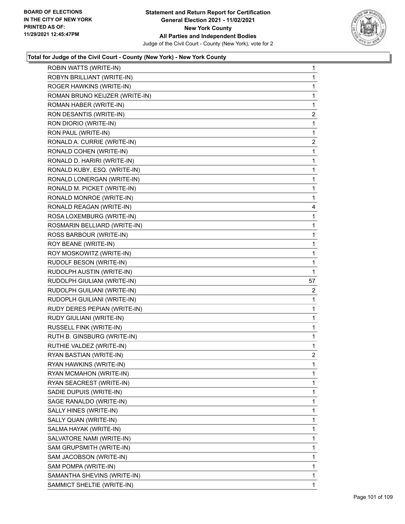

| ROBIN WATTS (WRITE-IN)         | $\mathbf 1$    |
|--------------------------------|----------------|
| ROBYN BRILLIANT (WRITE-IN)     | 1              |
| ROGER HAWKINS (WRITE-IN)       | 1              |
| ROMAN BRUNO KEIJZER (WRITE-IN) | 1              |
| ROMAN HABER (WRITE-IN)         | 1              |
| RON DESANTIS (WRITE-IN)        | $\mathbf{2}$   |
| RON DIORIO (WRITE-IN)          | 1              |
| RON PAUL (WRITE-IN)            | 1              |
| RONALD A. CURRIE (WRITE-IN)    | $\overline{c}$ |
| RONALD COHEN (WRITE-IN)        | 1              |
| RONALD D. HARIRI (WRITE-IN)    | 1              |
| RONALD KUBY, ESQ. (WRITE-IN)   | 1              |
| RONALD LONERGAN (WRITE-IN)     | 1              |
| RONALD M. PICKET (WRITE-IN)    | 1              |
| RONALD MONROE (WRITE-IN)       | 1              |
| RONALD REAGAN (WRITE-IN)       | 4              |
| ROSA LOXEMBURG (WRITE-IN)      | 1              |
| ROSMARIN BELLIARD (WRITE-IN)   | 1              |
| ROSS BARBOUR (WRITE-IN)        | 1              |
| ROY BEANE (WRITE-IN)           | 1              |
| ROY MOSKOWITZ (WRITE-IN)       | 1              |
| RUDOLF BESON (WRITE-IN)        | 1              |
| RUDOLPH AUSTIN (WRITE-IN)      | 1              |
|                                |                |
| RUDOLPH GIULIANI (WRITE-IN)    | 57             |
| RUDOLPH GUILIANI (WRITE-IN)    | 2              |
| RUDOPLH GUILIANI (WRITE-IN)    | 1              |
| RUDY DERES PEPIAN (WRITE-IN)   | 1              |
| RUDY GIULIANI (WRITE-IN)       | 1              |
| RUSSELL FINK (WRITE-IN)        | 1              |
| RUTH B. GINSBURG (WRITE-IN)    | 1              |
| RUTHIE VALDEZ (WRITE-IN)       | 1              |
| RYAN BASTIAN (WRITE-IN)        | $\overline{2}$ |
| RYAN HAWKINS (WRITE-IN)        | 1              |
| RYAN MCMAHON (WRITE-IN)        | 1              |
| RYAN SEACREST (WRITE-IN)       | 1              |
| SADIE DUPUIS (WRITE-IN)        | 1              |
| SAGE RANALDO (WRITE-IN)        | 1              |
| SALLY HINES (WRITE-IN)         | 1              |
| SALLY QUAN (WRITE-IN)          | 1              |
| SALMA HAYAK (WRITE-IN)         | 1              |
| SALVATORE NAMI (WRITE-IN)      | 1              |
| SAM GRUPSMITH (WRITE-IN)       | 1              |
| SAM JACOBSON (WRITE-IN)        | 1              |
| SAM POMPA (WRITE-IN)           | 1              |
| SAMANTHA SHEVINS (WRITE-IN)    | 1              |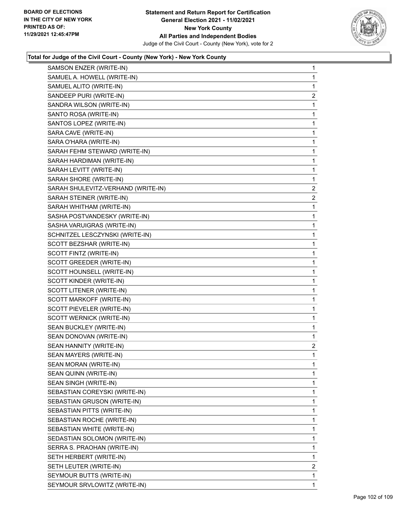

| SAMSON ENZER (WRITE-IN)            | $\mathbf 1$    |
|------------------------------------|----------------|
| SAMUEL A. HOWELL (WRITE-IN)        | 1              |
| SAMUEL ALITO (WRITE-IN)            | 1              |
| SANDEEP PURI (WRITE-IN)            | $\overline{2}$ |
| SANDRA WILSON (WRITE-IN)           | 1              |
| SANTO ROSA (WRITE-IN)              | 1              |
| SANTOS LOPEZ (WRITE-IN)            | 1              |
| SARA CAVE (WRITE-IN)               | 1              |
| SARA O'HARA (WRITE-IN)             | 1              |
| SARAH FEHM STEWARD (WRITE-IN)      | 1              |
| SARAH HARDIMAN (WRITE-IN)          | 1              |
| SARAH LEVITT (WRITE-IN)            | 1              |
| SARAH SHORE (WRITE-IN)             | 1              |
| SARAH SHULEVITZ-VERHAND (WRITE-IN) | $\overline{2}$ |
| SARAH STEINER (WRITE-IN)           | 2              |
| SARAH WHITHAM (WRITE-IN)           | 1              |
| SASHA POSTVANDESKY (WRITE-IN)      | 1              |
| SASHA VARUIGRAS (WRITE-IN)         | 1              |
| SCHNITZEL LESCZYNSKI (WRITE-IN)    | 1              |
| SCOTT BEZSHAR (WRITE-IN)           | 1              |
| SCOTT FINTZ (WRITE-IN)             | 1              |
| SCOTT GREEDER (WRITE-IN)           | 1              |
| SCOTT HOUNSELL (WRITE-IN)          | 1              |
| SCOTT KINDER (WRITE-IN)            | 1              |
| SCOTT LITENER (WRITE-IN)           | 1              |
| SCOTT MARKOFF (WRITE-IN)           | 1              |
| SCOTT PIEVELER (WRITE-IN)          | 1              |
| SCOTT WERNICK (WRITE-IN)           | 1              |
| SEAN BUCKLEY (WRITE-IN)            | 1              |
| SEAN DONOVAN (WRITE-IN)            | 1              |
| SEAN HANNITY (WRITE-IN)            | $\overline{c}$ |
| SEAN MAYERS (WRITE-IN)             | 1              |
| SEAN MORAN (WRITE-IN)              | 1              |
| SEAN QUINN (WRITE-IN)              | 1              |
| SEAN SINGH (WRITE-IN)              | 1              |
| SEBASTIAN COREYSKI (WRITE-IN)      | 1              |
| SEBASTIAN GRUSON (WRITE-IN)        | 1              |
| SEBASTIAN PITTS (WRITE-IN)         | 1              |
| SEBASTIAN ROCHE (WRITE-IN)         | 1              |
| SEBASTIAN WHITE (WRITE-IN)         | 1              |
| SEDASTIAN SOLOMON (WRITE-IN)       | 1              |
| SERRA S. PRAOHAN (WRITE-IN)        | 1              |
| SETH HERBERT (WRITE-IN)            | 1              |
| SETH LEUTER (WRITE-IN)             | $\overline{2}$ |
| SEYMOUR BUTTS (WRITE-IN)           | 1              |
| SEYMOUR SRVLOWITZ (WRITE-IN)       | 1              |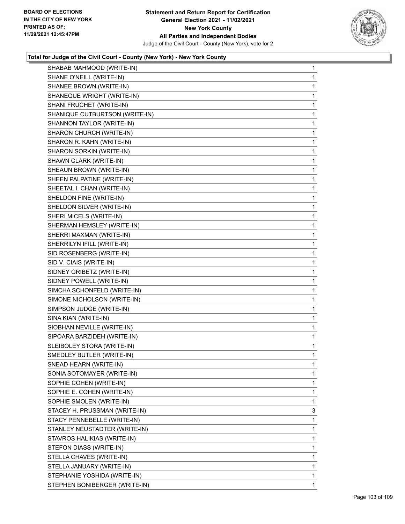

| SHABAB MAHMOOD (WRITE-IN)      | $\mathbf 1$ |
|--------------------------------|-------------|
| SHANE O'NEILL (WRITE-IN)       | 1           |
| SHANEE BROWN (WRITE-IN)        | 1           |
| SHANEQUE WRIGHT (WRITE-IN)     | 1           |
| SHANI FRUCHET (WRITE-IN)       | 1           |
| SHANIQUE CUTBURTSON (WRITE-IN) | 1           |
| SHANNON TAYLOR (WRITE-IN)      | 1           |
| SHARON CHURCH (WRITE-IN)       | 1           |
| SHARON R. KAHN (WRITE-IN)      | 1           |
| SHARON SORKIN (WRITE-IN)       | 1           |
| SHAWN CLARK (WRITE-IN)         | 1           |
| SHEAUN BROWN (WRITE-IN)        | 1           |
| SHEEN PALPATINE (WRITE-IN)     | 1           |
| SHEETAL I. CHAN (WRITE-IN)     | 1           |
| SHELDON FINE (WRITE-IN)        | 1           |
| SHELDON SILVER (WRITE-IN)      | 1           |
| SHERI MICELS (WRITE-IN)        | 1           |
| SHERMAN HEMSLEY (WRITE-IN)     | 1           |
| SHERRI MAXMAN (WRITE-IN)       | 1           |
| SHERRILYN IFILL (WRITE-IN)     | 1           |
| SID ROSENBERG (WRITE-IN)       | 1           |
| SID V. CIAIS (WRITE-IN)        | 1           |
| SIDNEY GRIBETZ (WRITE-IN)      | 1           |
| SIDNEY POWELL (WRITE-IN)       | 1           |
| SIMCHA SCHONFELD (WRITE-IN)    | 1           |
| SIMONE NICHOLSON (WRITE-IN)    | 1           |
| SIMPSON JUDGE (WRITE-IN)       | 1           |
| SINA KIAN (WRITE-IN)           | 1           |
| SIOBHAN NEVILLE (WRITE-IN)     | 1           |
| SIPOARA BARZIDEH (WRITE-IN)    | 1           |
| SLEIBOLEY STORA (WRITE-IN)     | 1           |
| SMEDLEY BUTLER (WRITE-IN)      | 1           |
| SNEAD HEARN (WRITE-IN)         | 1           |
| SONIA SOTOMAYER (WRITE-IN)     | 1           |
| SOPHIE COHEN (WRITE-IN)        | 1           |
| SOPHIE E. COHEN (WRITE-IN)     | 1           |
| SOPHIE SMOLEN (WRITE-IN)       | 1           |
| STACEY H. PRUSSMAN (WRITE-IN)  | 3           |
| STACY PENNEBELLE (WRITE-IN)    | 1           |
| STANLEY NEUSTADTER (WRITE-IN)  | 1           |
| STAVROS HALIKIAS (WRITE-IN)    | 1           |
| STEFON DIASS (WRITE-IN)        | 1           |
| STELLA CHAVES (WRITE-IN)       | 1           |
| STELLA JANUARY (WRITE-IN)      | 1           |
| STEPHANIE YOSHIDA (WRITE-IN)   | 1           |
| STEPHEN BONIBERGER (WRITE-IN)  | 1.          |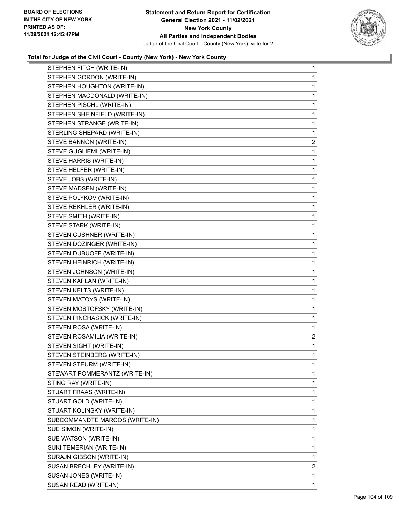

| STEPHEN FITCH (WRITE-IN)       | $\mathbf{1}$   |
|--------------------------------|----------------|
| STEPHEN GORDON (WRITE-IN)      | $\mathbf{1}$   |
| STEPHEN HOUGHTON (WRITE-IN)    | 1              |
| STEPHEN MACDONALD (WRITE-IN)   | $\mathbf{1}$   |
| STEPHEN PISCHL (WRITE-IN)      | 1              |
| STEPHEN SHEINFIELD (WRITE-IN)  | 1              |
| STEPHEN STRANGE (WRITE-IN)     | $\mathbf{1}$   |
| STERLING SHEPARD (WRITE-IN)    | 1              |
| STEVE BANNON (WRITE-IN)        | $\overline{2}$ |
| STEVE GUGLIEMI (WRITE-IN)      | 1              |
| STEVE HARRIS (WRITE-IN)        | 1.             |
| STEVE HELFER (WRITE-IN)        | 1              |
| STEVE JOBS (WRITE-IN)          | $\mathbf{1}$   |
| STEVE MADSEN (WRITE-IN)        | 1              |
| STEVE POLYKOV (WRITE-IN)       | 1              |
| STEVE REKHLER (WRITE-IN)       | $\mathbf{1}$   |
| STEVE SMITH (WRITE-IN)         | 1              |
| STEVE STARK (WRITE-IN)         | $\mathbf{1}$   |
| STEVEN CUSHNER (WRITE-IN)      | $\mathbf{1}$   |
| STEVEN DOZINGER (WRITE-IN)     | 1              |
| STEVEN DUBUOFF (WRITE-IN)      | 1              |
| STEVEN HEINRICH (WRITE-IN)     | $\mathbf{1}$   |
| STEVEN JOHNSON (WRITE-IN)      | 1              |
| STEVEN KAPLAN (WRITE-IN)       | $\mathbf{1}$   |
| STEVEN KELTS (WRITE-IN)        | 1              |
| STEVEN MATOYS (WRITE-IN)       | 1              |
| STEVEN MOSTOFSKY (WRITE-IN)    | 1              |
| STEVEN PINCHASICK (WRITE-IN)   | $\mathbf{1}$   |
| STEVEN ROSA (WRITE-IN)         | 1              |
| STEVEN ROSAMILIA (WRITE-IN)    | $\overline{2}$ |
| STEVEN SIGHT (WRITE-IN)        | $\mathbf{1}$   |
| STEVEN STEINBERG (WRITE-IN)    | 1              |
| STEVEN STEURM (WRITE-IN)       | 1              |
| STEWART POMMERANTZ (WRITE-IN)  | 1              |
| STING RAY (WRITE-IN)           | 1              |
| STUART FRAAS (WRITE-IN)        | 1              |
| STUART GOLD (WRITE-IN)         | 1              |
| STUART KOLINSKY (WRITE-IN)     | 1              |
| SUBCOMMANDTE MARCOS (WRITE-IN) | 1              |
| SUE SIMON (WRITE-IN)           | 1              |
| SUE WATSON (WRITE-IN)          | 1              |
| SUKI TEMERIAN (WRITE-IN)       | 1              |
| SURAJN GIBSON (WRITE-IN)       | 1              |
| SUSAN BRECHLEY (WRITE-IN)      | $\overline{2}$ |
| SUSAN JONES (WRITE-IN)         | 1              |
| SUSAN READ (WRITE-IN)          | 1              |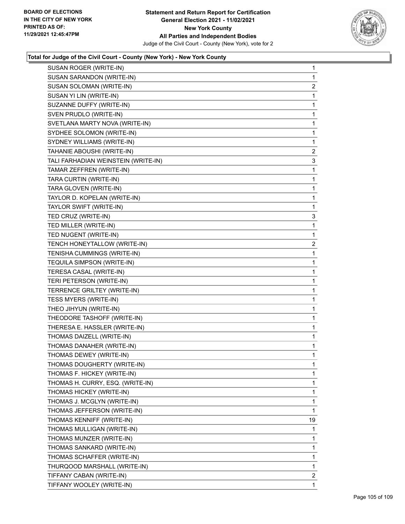

| SUSAN ROGER (WRITE-IN)              | $\mathbf{1}$            |
|-------------------------------------|-------------------------|
| SUSAN SARANDON (WRITE-IN)           | $\mathbf{1}$            |
| SUSAN SOLOMAN (WRITE-IN)            | $\overline{\mathbf{c}}$ |
| SUSAN YI LIN (WRITE-IN)             | $\mathbf{1}$            |
| SUZANNE DUFFY (WRITE-IN)            | 1                       |
| SVEN PRUDLO (WRITE-IN)              | 1                       |
| SVETLANA MARTY NOVA (WRITE-IN)      | 1                       |
| SYDHEE SOLOMON (WRITE-IN)           | $\mathbf{1}$            |
| SYDNEY WILLIAMS (WRITE-IN)          | 1                       |
| TAHANIE ABOUSHI (WRITE-IN)          | 2                       |
| TALI FARHADIAN WEINSTEIN (WRITE-IN) | 3                       |
| TAMAR ZEFFREN (WRITE-IN)            | 1                       |
| TARA CURTIN (WRITE-IN)              | $\mathbf{1}$            |
| TARA GLOVEN (WRITE-IN)              | $\mathbf{1}$            |
| TAYLOR D. KOPELAN (WRITE-IN)        | 1                       |
| TAYLOR SWIFT (WRITE-IN)             | 1                       |
| TED CRUZ (WRITE-IN)                 | 3                       |
| TED MILLER (WRITE-IN)               | 1                       |
| TED NUGENT (WRITE-IN)               | 1                       |
| TENCH HONEYTALLOW (WRITE-IN)        | 2                       |
| TENISHA CUMMINGS (WRITE-IN)         | 1                       |
| TEQUILA SIMPSON (WRITE-IN)          | $\mathbf{1}$            |
| TERESA CASAL (WRITE-IN)             | 1                       |
| TERI PETERSON (WRITE-IN)            | 1                       |
| TERRENCE GRILTEY (WRITE-IN)         | $\mathbf{1}$            |
| TESS MYERS (WRITE-IN)               | 1                       |
| THEO JIHYUN (WRITE-IN)              | 1                       |
| THEODORE TASHOFF (WRITE-IN)         | $\mathbf{1}$            |
| THERESA E. HASSLER (WRITE-IN)       | $\mathbf{1}$            |
| THOMAS DAIZELL (WRITE-IN)           | $\mathbf{1}$            |
| THOMAS DANAHER (WRITE-IN)           | $\mathbf{1}$            |
| THOMAS DEWEY (WRITE-IN)             | 1                       |
| THOMAS DOUGHERTY (WRITE-IN)         | 1                       |
| THOMAS F. HICKEY (WRITE-IN)         | $\mathbf 1$             |
| THOMAS H. CURRY, ESQ. (WRITE-IN)    | 1                       |
| THOMAS HICKEY (WRITE-IN)            | 1                       |
| THOMAS J. MCGLYN (WRITE-IN)         | $\mathbf{1}$            |
| THOMAS JEFFERSON (WRITE-IN)         | 1                       |
| THOMAS KENNIFF (WRITE-IN)           | 19                      |
| THOMAS MULLIGAN (WRITE-IN)          | 1                       |
| THOMAS MUNZER (WRITE-IN)            | 1                       |
| THOMAS SANKARD (WRITE-IN)           | 1                       |
| THOMAS SCHAFFER (WRITE-IN)          | 1                       |
| THURQOOD MARSHALL (WRITE-IN)        | 1                       |
| TIFFANY CABAN (WRITE-IN)            | 2                       |
| TIFFANY WOOLEY (WRITE-IN)           | 1                       |
|                                     |                         |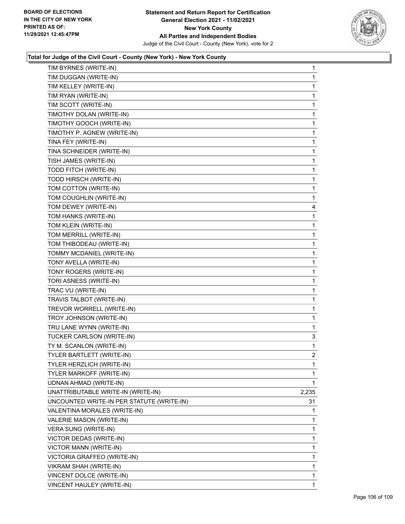

| TIM BYRNES (WRITE-IN)                     | 1              |
|-------------------------------------------|----------------|
| TIM DUGGAN (WRITE-IN)                     | 1              |
| TIM KELLEY (WRITE-IN)                     | 1              |
| TIM RYAN (WRITE-IN)                       | 1              |
| TIM SCOTT (WRITE-IN)                      | 1              |
| TIMOTHY DOLAN (WRITE-IN)                  | 1              |
| TIMOTHY GOOCH (WRITE-IN)                  | 1              |
| TIMOTHY P. AGNEW (WRITE-IN)               | 1              |
| TINA FEY (WRITE-IN)                       | 1              |
| TINA SCHNEIDER (WRITE-IN)                 | 1              |
| TISH JAMES (WRITE-IN)                     | 1              |
| TODD FITCH (WRITE-IN)                     | 1              |
| TODD HIRSCH (WRITE-IN)                    | 1              |
| TOM COTTON (WRITE-IN)                     | 1              |
| TOM COUGHLIN (WRITE-IN)                   | 1              |
| TOM DEWEY (WRITE-IN)                      | 4              |
| TOM HANKS (WRITE-IN)                      | 1              |
| TOM KLEIN (WRITE-IN)                      | 1              |
| TOM MERRILL (WRITE-IN)                    | 1              |
| TOM THIBODEAU (WRITE-IN)                  | 1              |
| TOMMY MCDANIEL (WRITE-IN)                 | 1              |
| TONY AVELLA (WRITE-IN)                    | 1              |
| TONY ROGERS (WRITE-IN)                    | 1              |
| TORI ASNESS (WRITE-IN)                    | 1              |
| TRAC VU (WRITE-IN)                        | 1              |
| TRAVIS TALBOT (WRITE-IN)                  | 1              |
| TREVOR WORRELL (WRITE-IN)                 | 1              |
| TROY JOHNSON (WRITE-IN)                   | 1              |
| TRU LANE WYNN (WRITE-IN)                  | 1              |
| TUCKER CARLSON (WRITE-IN)                 | 3              |
| TY M. SCANLON (WRITE-IN)                  | 1              |
| TYLER BARTLETT (WRITE-IN)                 | $\overline{2}$ |
| TYLER HERZLICH (WRITE-IN)                 | 1              |
| TYLER MARKOFF (WRITE-IN)                  | 1              |
| UDNAN AHMAD (WRITE-IN)                    | 1              |
| UNATTRIBUTABLE WRITE-IN (WRITE-IN)        | 2,235          |
| UNCOUNTED WRITE-IN PER STATUTE (WRITE-IN) | 31             |
| VALENTINA MORALES (WRITE-IN)              | 1              |
| VALERIE MASON (WRITE-IN)                  | 1              |
| VERA SUNG (WRITE-IN)                      | 1              |
| VICTOR DEDAS (WRITE-IN)                   | 1              |
| VICTOR MANN (WRITE-IN)                    | 1              |
| VICTORIA GRAFFEO (WRITE-IN)               | 1              |
| VIKRAM SHAH (WRITE-IN)                    | 1              |
| VINCENT DOLCE (WRITE-IN)                  | 1              |
| VINCENT HAULEY (WRITE-IN)                 | 1              |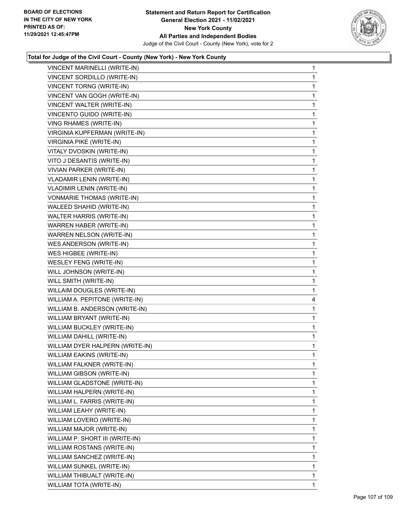

| VINCENT MARINELLI (WRITE-IN)     | $\mathbf{1}$ |
|----------------------------------|--------------|
| VINCENT SORDILLO (WRITE-IN)      | $\mathbf{1}$ |
| <b>VINCENT TORNG (WRITE-IN)</b>  | 1            |
| VINCENT VAN GOGH (WRITE-IN)      | 1            |
| VINCENT WALTER (WRITE-IN)        | 1            |
| VINCENTO GUIDO (WRITE-IN)        | 1            |
| VING RHAMES (WRITE-IN)           | 1            |
| VIRGINIA KUPFERMAN (WRITE-IN)    | 1            |
| <b>VIRGINIA PIKE (WRITE-IN)</b>  | 1            |
| VITALY DVOSKIN (WRITE-IN)        | 1            |
| VITO J DESANTIS (WRITE-IN)       | 1            |
| VIVIAN PARKER (WRITE-IN)         | 1            |
| <b>VLADAMIR LENIN (WRITE-IN)</b> | 1            |
| <b>VLADIMIR LENIN (WRITE-IN)</b> | 1            |
| VONMARIE THOMAS (WRITE-IN)       | 1            |
| WALEED SHAHID (WRITE-IN)         | 1            |
| WALTER HARRIS (WRITE-IN)         | 1            |
| WARREN HABER (WRITE-IN)          | 1            |
| WARREN NELSON (WRITE-IN)         | 1            |
| WES ANDERSON (WRITE-IN)          | 1            |
| WES HIGBEE (WRITE-IN)            | 1            |
| WESLEY FENG (WRITE-IN)           | 1            |
| WILL JOHNSON (WRITE-IN)          | 1            |
| WILL SMITH (WRITE-IN)            | 1            |
| WILLAIM DOUGLES (WRITE-IN)       | 1            |
| WILLIAM A. PEPITONE (WRITE-IN)   | 4            |
| WILLIAM B. ANDERSON (WRITE-IN)   | 1            |
| WILLIAM BRYANT (WRITE-IN)        | 1            |
| WILLIAM BUCKLEY (WRITE-IN)       | 1            |
| WILLIAM DAHILL (WRITE-IN)        | $\mathbf{1}$ |
| WILLIAM DYER HALPERN (WRITE-IN)  | $\mathbf{1}$ |
| WILLIAM EAKINS (WRITE-IN)        | 1            |
| WILLIAM FALKNER (WRITE-IN)       | 1            |
| WILLIAM GIBSON (WRITE-IN)        | 1            |
| WILLIAM GLADSTONE (WRITE-IN)     | 1            |
| WILLIAM HALPERN (WRITE-IN)       | 1            |
| WILLIAM L. FARRIS (WRITE-IN)     | 1            |
| WILLIAM LEAHY (WRITE-IN)         | 1            |
| WILLIAM LOVERO (WRITE-IN)        | 1            |
| WILLIAM MAJOR (WRITE-IN)         | 1            |
| WILLIAM P. SHORT III (WRITE-IN)  | 1            |
| WILLIAM ROSTANS (WRITE-IN)       | 1            |
| WILLIAM SANCHEZ (WRITE-IN)       | 1            |
| WILLIAM SUNKEL (WRITE-IN)        | 1            |
| WILLIAM THIBUALT (WRITE-IN)      | 1            |
| WILLIAM TOTA (WRITE-IN)          | 1            |
|                                  |              |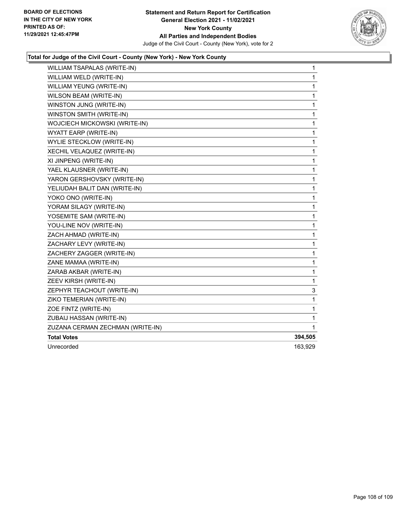

| WILLIAM TSAPALAS (WRITE-IN)      | $\mathbf{1}$ |
|----------------------------------|--------------|
| WILLIAM WELD (WRITE-IN)          | 1            |
| WILLIAM YEUNG (WRITE-IN)         | 1            |
| WILSON BEAM (WRITE-IN)           | 1            |
| WINSTON JUNG (WRITE-IN)          | 1            |
| WINSTON SMITH (WRITE-IN)         | 1            |
| WOJCIECH MICKOWSKI (WRITE-IN)    | 1            |
| WYATT EARP (WRITE-IN)            | 1            |
| WYLIE STECKLOW (WRITE-IN)        | 1            |
| XECHIL VELAQUEZ (WRITE-IN)       | 1            |
| XI JINPENG (WRITE-IN)            | 1            |
| YAEL KLAUSNER (WRITE-IN)         | 1            |
| YARON GERSHOVSKY (WRITE-IN)      | 1            |
| YELIUDAH BALIT DAN (WRITE-IN)    | 1            |
| YOKO ONO (WRITE-IN)              | 1            |
| YORAM SILAGY (WRITE-IN)          | 1            |
| YOSEMITE SAM (WRITE-IN)          | 1            |
| YOU-LINE NOV (WRITE-IN)          | 1            |
| ZACH AHMAD (WRITE-IN)            | 1            |
| ZACHARY LEVY (WRITE-IN)          | 1            |
| ZACHERY ZAGGER (WRITE-IN)        | 1            |
| ZANE MAMAA (WRITE-IN)            | 1            |
| ZARAB AKBAR (WRITE-IN)           | 1            |
| ZEEV KIRSH (WRITE-IN)            | 1            |
| ZEPHYR TEACHOUT (WRITE-IN)       | 3            |
| ZIKO TEMERIAN (WRITE-IN)         | 1            |
| ZOE FINTZ (WRITE-IN)             | 1            |
| ZUBAIJ HASSAN (WRITE-IN)         | 1            |
| ZUZANA CERMAN ZECHMAN (WRITE-IN) | 1            |
| <b>Total Votes</b>               | 394,505      |
| Unrecorded                       | 163,929      |
|                                  |              |